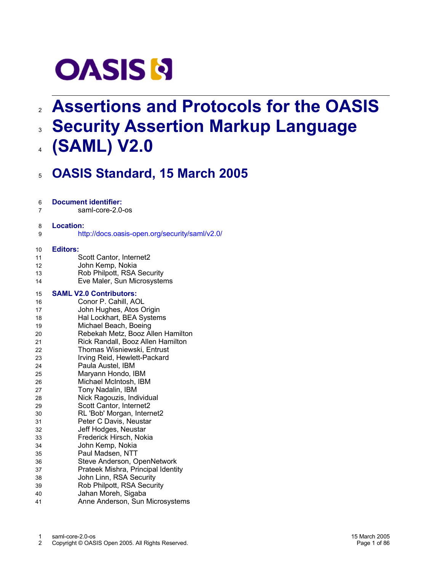# **OASIS N**

## **Assertions and Protocols for the OASIS** 2 **Security Assertion Markup Language** 3

**(SAML) V2.0** 4

## **OASIS Standard, 15 March 2005** 5

#### **Document identifier:** 6

saml-core-2.0-os 7

#### **Location:** 8

http://docs.oasis-open.org/security/saml/v2.0/ 9

#### **Editors:** 10

- Scott Cantor, Internet2 11
- John Kemp, Nokia 12
- Rob Philpott, RSA Security 13
- Eve Maler, Sun Microsystems 14

#### **SAML V2.0 Contributors:** 15

Conor P. Cahill, AOL John Hughes, Atos Origin Hal Lockhart, BEA Systems Michael Beach, Boeing Rebekah Metz, Booz Allen Hamilton Rick Randall, Booz Allen Hamilton Thomas Wisniewski, Entrust Irving Reid, Hewlett-Packard Paula Austel, IBM Maryann Hondo, IBM Michael McIntosh, IBM Tony Nadalin, IBM Nick Ragouzis, Individual Scott Cantor, Internet2 RL 'Bob' Morgan, Internet2 Peter C Davis, Neustar Jeff Hodges, Neustar Frederick Hirsch, Nokia John Kemp, Nokia Paul Madsen, NTT Steve Anderson, OpenNetwork Prateek Mishra, Principal Identity John Linn, RSA Security Rob Philpott, RSA Security Jahan Moreh, Sigaba Anne Anderson, Sun Microsystems 16 17 18 19 20 21 22 23 24 25 26 27 28 29 30 31 32 33 34 35 36 37 38 39 40 41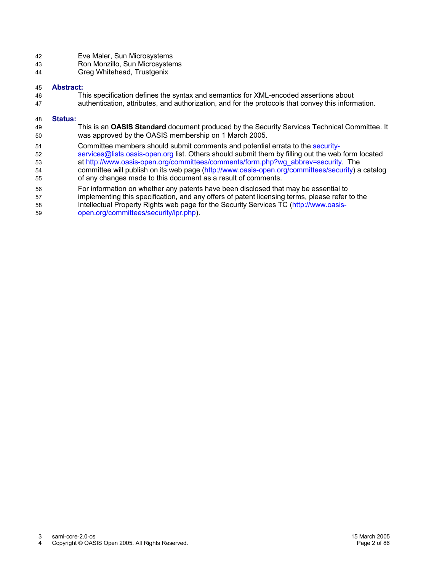- Eve Maler, Sun Microsystems 42
- Ron Monzillo, Sun Microsystems 43
- Greg Whitehead, Trustgenix 44

#### **Abstract:** 45

This specification defines the syntax and semantics for XML-encoded assertions about authentication, attributes, and authorization, and for the protocols that convey this information. 46 47

#### **Status:** 48

- This is an **OASIS Standard** document produced by the Security Services Technical Committee. It was approved by the OASIS membership on 1 March 2005. 49 50
- Committee members should submit comments and potential errata to the security-51
- services@lists.oasis-open.org list. Others should submit them by filling out the web form located at http://www.oasis-open.org/committees/comments/form.php?wg\_abbrev=security. The committee will publish on its web page (http://www.oasis-open.org/committees/security) a catalog of any changes made to this document as a result of comments. 52 53 54 55
- For information on whether any patents have been disclosed that may be essential to 56
- implementing this specification, and any offers of patent licensing terms, please refer to the 57
- Intellectual Property Rights web page for the Security Services TC (http://www.oasisopen.org/committees/security/ipr.php). 58 59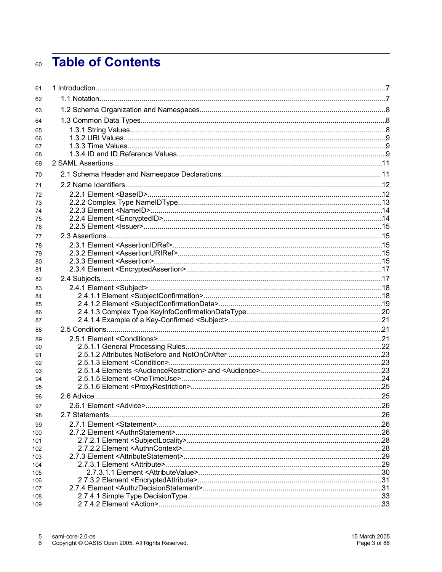## **Table of Contents** 60

| 61       |                                 |     |
|----------|---------------------------------|-----|
| 62       |                                 |     |
| 63       |                                 |     |
| 64       |                                 |     |
| 65       |                                 |     |
| 66       |                                 |     |
| 67       |                                 |     |
| 68       |                                 |     |
| 69       |                                 |     |
| 70       |                                 |     |
| 71       |                                 |     |
| 72       |                                 |     |
| 73       |                                 |     |
| 74       |                                 |     |
| 75       |                                 |     |
| 76       |                                 |     |
| 77       |                                 |     |
| 78       |                                 |     |
| 79       |                                 |     |
| 80       |                                 |     |
| 81       |                                 |     |
| 82       |                                 |     |
| 83       |                                 |     |
| 84       |                                 |     |
| 85       |                                 |     |
| 86       |                                 |     |
| 87       |                                 |     |
| 88       |                                 |     |
| 89       |                                 |     |
| 90       |                                 |     |
| 91       |                                 |     |
| 92<br>93 |                                 |     |
| 94       |                                 |     |
| 95       |                                 |     |
| 96       |                                 |     |
| 97       | 2.6.1 Element <advice></advice> | 26  |
| 98       |                                 |     |
| 99       |                                 |     |
| 100      |                                 |     |
| 101      |                                 |     |
| 102      |                                 | .28 |
| 103      |                                 |     |
| 104      |                                 |     |
| 105      |                                 |     |
| 106      |                                 |     |
| 107      |                                 |     |
| 108      |                                 |     |
| 109      |                                 |     |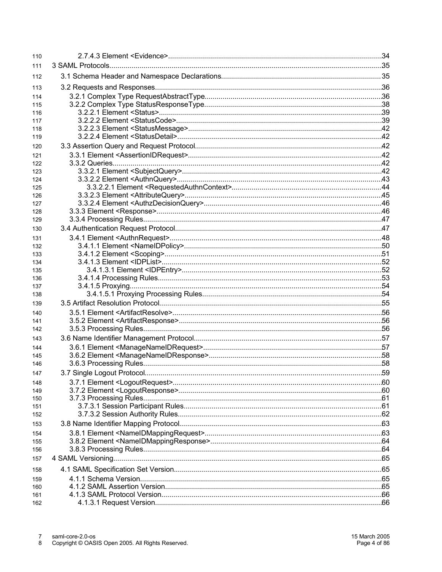| 110        |  |
|------------|--|
| 111        |  |
| 112        |  |
| 113        |  |
| 114        |  |
| 115        |  |
| 116        |  |
| 117        |  |
| 118        |  |
| 119        |  |
| 120        |  |
| 121        |  |
| 122        |  |
| 123        |  |
| 124        |  |
| 125        |  |
| 126        |  |
| 127        |  |
| 128        |  |
| 129        |  |
| 130        |  |
| 131        |  |
| 132        |  |
| 133        |  |
| 134        |  |
| 135<br>136 |  |
| 137        |  |
| 138        |  |
| 139        |  |
| 140        |  |
| 141        |  |
| 142        |  |
| 143        |  |
| 144        |  |
| 145        |  |
| 146        |  |
| 147        |  |
| 148        |  |
| 149        |  |
| 150        |  |
| 151        |  |
| 152        |  |
| 153        |  |
| 154        |  |
| 155        |  |
| 156        |  |
| 157        |  |
| 158        |  |
| 159        |  |
| 160        |  |
| 161        |  |
| 162        |  |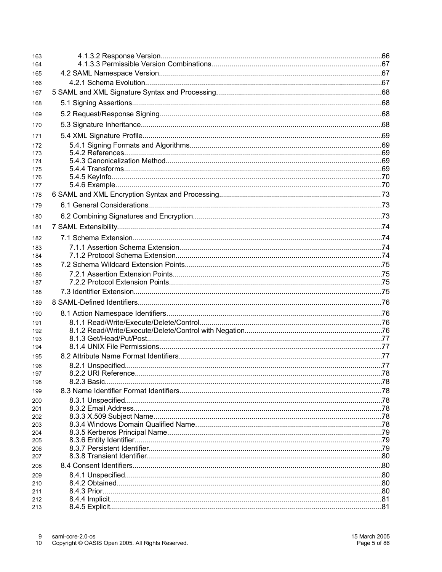| 163<br>164 |                     |  |
|------------|---------------------|--|
| 165        |                     |  |
| 166        |                     |  |
| 167        |                     |  |
| 168        |                     |  |
| 169        |                     |  |
| 170        |                     |  |
| 171        |                     |  |
| 172        |                     |  |
| 173        |                     |  |
| 174        |                     |  |
| 175        |                     |  |
| 176        |                     |  |
| 177        |                     |  |
| 178        |                     |  |
| 179        |                     |  |
| 180        |                     |  |
| 181        |                     |  |
| 182        |                     |  |
| 183        |                     |  |
| 184        |                     |  |
| 185        |                     |  |
| 186        |                     |  |
| 187        |                     |  |
| 188        |                     |  |
| 189        |                     |  |
| 190        |                     |  |
| 191        |                     |  |
| 192        |                     |  |
| 193        |                     |  |
| 194        |                     |  |
| 195        |                     |  |
| 196        |                     |  |
| 197        | 8.2.2 URI Reference |  |
| 198        |                     |  |
| 199        |                     |  |
| 200        |                     |  |
| 201<br>202 |                     |  |
| 203        |                     |  |
| 204        |                     |  |
| 205        |                     |  |
| 206        |                     |  |
| 207        |                     |  |
| 208        |                     |  |
| 209        |                     |  |
| 210        |                     |  |
| 211        |                     |  |
| 212<br>213 |                     |  |
|            |                     |  |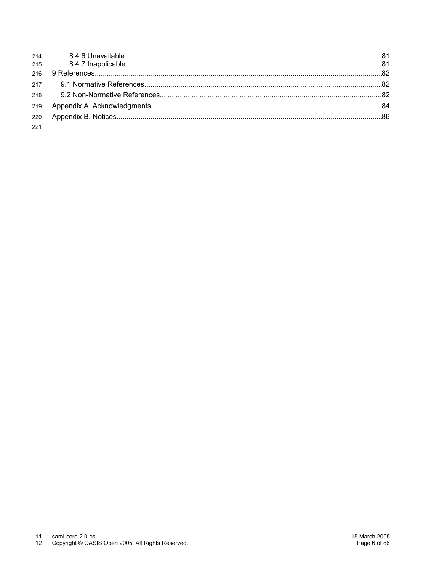| 215 |  |
|-----|--|
|     |  |
|     |  |
| 218 |  |
|     |  |
|     |  |
| 221 |  |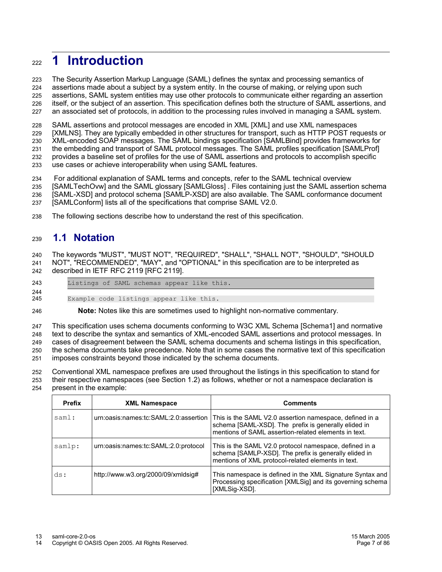## **1 Introduction** 222

The Security Assertion Markup Language (SAML) defines the syntax and processing semantics of 223

assertions made about a subject by a system entity. In the course of making, or relying upon such 224

assertions, SAML system entities may use other protocols to communicate either regarding an assertion 225

itself, or the subject of an assertion. This specification defines both the structure of SAML assertions, and an associated set of protocols, in addition to the processing rules involved in managing a SAML system. 226 227

SAML assertions and protocol messages are encoded in XML [XML] and use XML namespaces 228

[XMLNS]. They are typically embedded in other structures for transport, such as HTTP POST requests or 229

XML-encoded SOAP messages. The SAML bindings specification [SAMLBind] provides frameworks for the embedding and transport of SAML protocol messages. The SAML profiles specification [SAMLProf] 230 231

provides a baseline set of profiles for the use of SAML assertions and protocols to accomplish specific 232

use cases or achieve interoperability when using SAML features. 233

For additional explanation of SAML terms and concepts, refer to the SAML technical overview 234

[SAMLTechOvw] and the SAML glossary [SAMLGloss] . Files containing just the SAML assertion schema 235

[SAML-XSD] and protocol schema [SAMLP-XSD] are also available. The SAML conformance document 236

[SAMLConform] lists all of the specifications that comprise SAML V2.0. 237

The following sections describe how to understand the rest of this specification. 238

#### **1.1 Notation** 239

The keywords "MUST", "MUST NOT", "REQUIRED", "SHALL", "SHALL NOT", "SHOULD", "SHOULD NOT", "RECOMMENDED", "MAY", and "OPTIONAL" in this specification are to be interpreted as described in IETF RFC 2119 [RFC 2119]. 240 241 242

| 243 | Listings of SAML schemas appear like this. |
|-----|--------------------------------------------|
| 244 |                                            |
| 245 | Example code listings appear like this.    |

**Note:** Notes like this are sometimes used to highlight non-normative commentary. 246

This specification uses schema documents conforming to W3C XML Schema [Schema1] and normative text to describe the syntax and semantics of XML-encoded SAML assertions and protocol messages. In cases of disagreement between the SAML schema documents and schema listings in this specification, the schema documents take precedence. Note that in some cases the normative text of this specification 247 248 249 250

imposes constraints beyond those indicated by the schema documents. 251

Conventional XML namespace prefixes are used throughout the listings in this specification to stand for their respective namespaces (see Section 1.2) as follows, whether or not a namespace declaration is present in the example: 252 253 254

| <b>Prefix</b> | <b>XML Namespace</b>                  | <b>Comments</b>                                                                                                                                                         |
|---------------|---------------------------------------|-------------------------------------------------------------------------------------------------------------------------------------------------------------------------|
| saml:         | urn:oasis:names:tc:SAML:2.0:assertion | This is the SAML V2.0 assertion namespace, defined in a<br>schema [SAML-XSD]. The prefix is generally elided in<br>mentions of SAML assertion-related elements in text. |
| samlp:        | urn:oasis:names:tc:SAML:2.0:protocol  | This is the SAML V2.0 protocol namespace, defined in a<br>schema [SAMLP-XSD]. The prefix is generally elided in<br>mentions of XML protocol-related elements in text.   |
| ds:           | http://www.w3.org/2000/09/xmldsig#    | This namespace is defined in the XML Signature Syntax and<br>Processing specification [XMLSig] and its governing schema<br>[XMLSig-XSD].                                |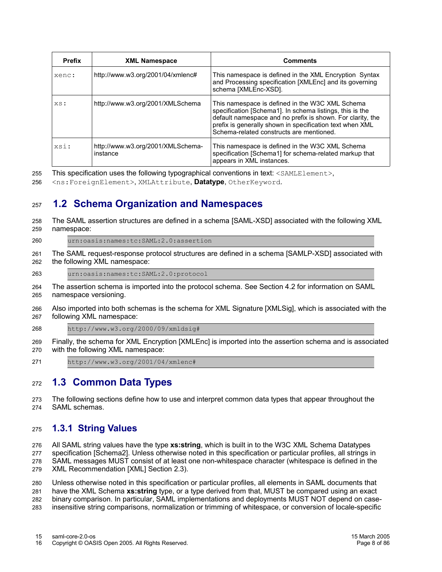| <b>Prefix</b> | <b>XML Namespace</b>                          | <b>Comments</b>                                                                                                                                                                                                                                                                   |
|---------------|-----------------------------------------------|-----------------------------------------------------------------------------------------------------------------------------------------------------------------------------------------------------------------------------------------------------------------------------------|
| xenc:         | http://www.w3.org/2001/04/xmlenc#             | This namespace is defined in the XML Encryption Syntax<br>and Processing specification [XMLEnc] and its governing<br>schema [XMLEnc-XSD].                                                                                                                                         |
| XS:           | http://www.w3.org/2001/XMLSchema              | This namespace is defined in the W3C XML Schema<br>specification [Schema1]. In schema listings, this is the<br>default namespace and no prefix is shown. For clarity, the<br>prefix is generally shown in specification text when XML<br>Schema-related constructs are mentioned. |
| xsi:          | http://www.w3.org/2001/XMLSchema-<br>instance | This namespace is defined in the W3C XML Schema<br>specification [Schema1] for schema-related markup that<br>appears in XML instances.                                                                                                                                            |

This specification uses the following typographical conventions in text:  $\leq$ SAMLElement>, 255

<ns:ForeignElement>, XMLAttribute, **Datatype**, OtherKeyword. 256

#### **1.2 Schema Organization and Namespaces** 257

The SAML assertion structures are defined in a schema [SAML-XSD] associated with the following XML namespace: 258 259

urn:oasis:names:tc:SAML:2.0:assertion 260

The SAML request-response protocol structures are defined in a schema [SAMLP-XSD] associated with the following XML namespace: 261 262

urn:oasis:names:tc:SAML:2.0:protocol 263

The assertion schema is imported into the protocol schema. See Section 4.2 for information on SAML namespace versioning. 264 265

Also imported into both schemas is the schema for XML Signature [XMLSig], which is associated with the following XML namespace: 266 267

http://www.w3.org/2000/09/xmldsig# 268

Finally, the schema for XML Encryption [XMLEnc] is imported into the assertion schema and is associated with the following XML namespace: 269 270

http://www.w3.org/2001/04/xmlenc# 271

#### **1.3 Common Data Types** 272

The following sections define how to use and interpret common data types that appear throughout the SAML schemas. 273 274

#### **1.3.1 String Values** 275

All SAML string values have the type **xs:string**, which is built in to the W3C XML Schema Datatypes specification [Schema2]. Unless otherwise noted in this specification or particular profiles, all strings in SAML messages MUST consist of at least one non-whitespace character (whitespace is defined in the XML Recommendation [XML] Section 2.3). 276 277 278 279

Unless otherwise noted in this specification or particular profiles, all elements in SAML documents that have the XML Schema **xs:string** type, or a type derived from that, MUST be compared using an exact binary comparison. In particular, SAML implementations and deployments MUST NOT depend on caseinsensitive string comparisons, normalization or trimming of whitespace, or conversion of locale-specific 280 281 282 283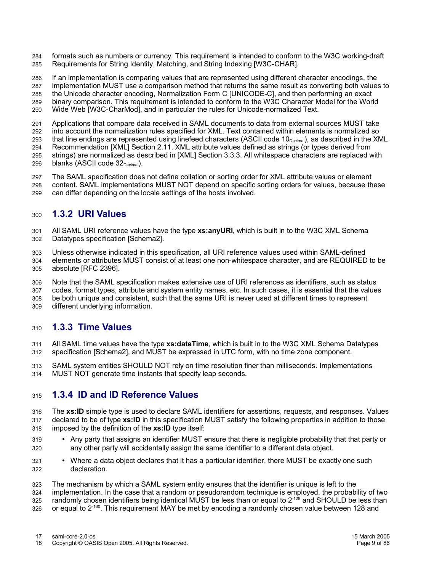formats such as numbers or currency. This requirement is intended to conform to the W3C working-draft Requirements for String Identity, Matching, and String Indexing [W3C-CHAR]. 284 285

If an implementation is comparing values that are represented using different character encodings, the implementation MUST use a comparison method that returns the same result as converting both values to the Unicode character encoding, Normalization Form C [UNICODE-C], and then performing an exact binary comparison. This requirement is intended to conform to the W3C Character Model for the World Wide Web [W3C-CharMod], and in particular the rules for Unicode-normalized Text. 286 287 288 289 290

Applications that compare data received in SAML documents to data from external sources MUST take into account the normalization rules specified for XML. Text contained within elements is normalized so that line endings are represented using linefeed characters (ASCII code  $10_{\text{Decimal}}$ ), as described in the XML Recommendation [XML] Section 2.11. XML attribute values defined as strings (or types derived from strings) are normalized as described in [XML] Section 3.3.3. All whitespace characters are replaced with blanks (ASCII code 32<sub>Decimal</sub>). 291 292 293 294 295 296

The SAML specification does not define collation or sorting order for XML attribute values or element content. SAML implementations MUST NOT depend on specific sorting orders for values, because these can differ depending on the locale settings of the hosts involved. 297 298 299

#### **1.3.2 URI Values** 300

All SAML URI reference values have the type **xs:anyURI**, which is built in to the W3C XML Schema Datatypes specification [Schema2]. 301 302

Unless otherwise indicated in this specification, all URI reference values used within SAML-defined elements or attributes MUST consist of at least one non-whitespace character, and are REQUIRED to be absolute [RFC 2396]. 303 304 305

Note that the SAML specification makes extensive use of URI references as identifiers, such as status codes, format types, attribute and system entity names, etc. In such cases, it is essential that the values be both unique and consistent, such that the same URI is never used at different times to represent different underlying information. 306 307 308 309

#### **1.3.3 Time Values** 310

All SAML time values have the type **xs:dateTime**, which is built in to the W3C XML Schema Datatypes specification [Schema2], and MUST be expressed in UTC form, with no time zone component. 311 312

SAML system entities SHOULD NOT rely on time resolution finer than milliseconds. Implementations MUST NOT generate time instants that specify leap seconds. 313 314

#### **1.3.4 ID and ID Reference Values** 315

The **xs:ID** simple type is used to declare SAML identifiers for assertions, requests, and responses. Values declared to be of type **xs:ID** in this specification MUST satisfy the following properties in addition to those imposed by the definition of the **xs:ID** type itself: 316 317 318

- Any party that assigns an identifier MUST ensure that there is negligible probability that that party or any other party will accidentally assign the same identifier to a different data object. 319 320
- Where a data object declares that it has a particular identifier, there MUST be exactly one such declaration. 321 322

The mechanism by which a SAML system entity ensures that the identifier is unique is left to the 323

implementation. In the case that a random or pseudorandom technique is employed, the probability of two 324

randomly chosen identifiers being identical MUST be less than or equal to 2<sup>-128</sup> and SHOULD be less than 325

or equal to 2<sup>-160</sup>. This requirement MAY be met by encoding a randomly chosen value between 128 and 326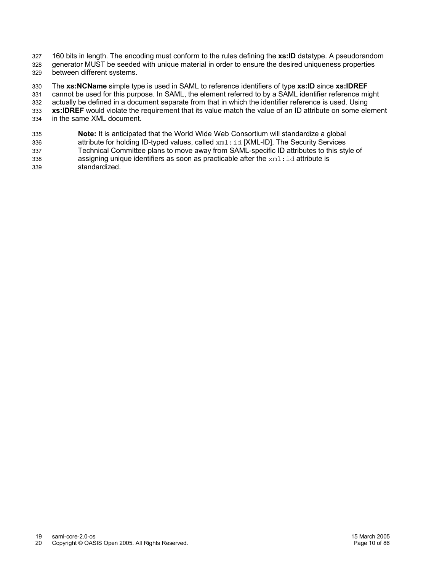160 bits in length. The encoding must conform to the rules defining the **xs:ID** datatype. A pseudorandom generator MUST be seeded with unique material in order to ensure the desired uniqueness properties between different systems. 327 328 329

The **xs:NCName** simple type is used in SAML to reference identifiers of type **xs:ID** since **xs:IDREF** cannot be used for this purpose. In SAML, the element referred to by a SAML identifier reference might actually be defined in a document separate from that in which the identifier reference is used. Using **xs:IDREF** would violate the requirement that its value match the value of an ID attribute on some element in the same XML document. 330 331 332 333 334

- **Note:** It is anticipated that the World Wide Web Consortium will standardize a global attribute for holding ID-typed values, called xml:id [XML-ID]. The Security Services Technical Committee plans to move away from SAML-specific ID attributes to this style of assigning unique identifiers as soon as practicable after the  $xml$ : id attribute is 335 336 337 338
- standardized. 339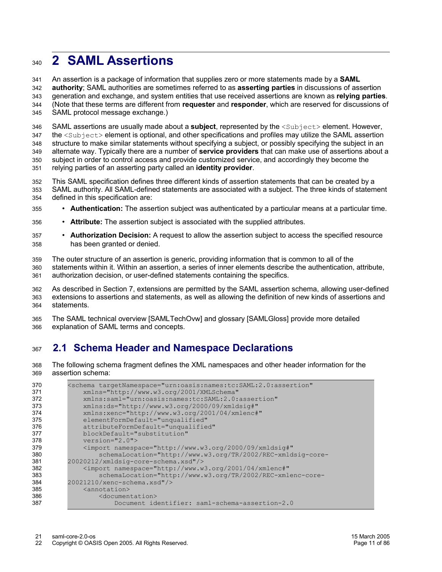### **2 SAML Assertions** 340

An assertion is a package of information that supplies zero or more statements made by a **SAML** 341

**authority**; SAML authorities are sometimes referred to as **asserting parties** in discussions of assertion 342

generation and exchange, and system entities that use received assertions are known as **relying parties**. (Note that these terms are different from **requester** and **responder**, which are reserved for discussions of 343 344

SAML protocol message exchange.) 345

SAML assertions are usually made about a **subject**, represented by the <subject> element. However, the <Subject> element is optional, and other specifications and profiles may utilize the SAML assertion structure to make similar statements without specifying a subject, or possibly specifying the subject in an alternate way. Typically there are a number of **service providers** that can make use of assertions about a subject in order to control access and provide customized service, and accordingly they become the relying parties of an asserting party called an **identity provider**. 346 347 348 349 350 351

This SAML specification defines three different kinds of assertion statements that can be created by a SAML authority. All SAML-defined statements are associated with a subject. The three kinds of statement defined in this specification are: 352 353 354

- **Authentication:** The assertion subject was authenticated by a particular means at a particular time. 355
- **Attribute:** The assertion subject is associated with the supplied attributes. 356
- **Authorization Decision:** A request to allow the assertion subject to access the specified resource has been granted or denied. 357 358

The outer structure of an assertion is generic, providing information that is common to all of the 359

statements within it. Within an assertion, a series of inner elements describe the authentication, attribute, authorization decision, or user-defined statements containing the specifics. 360 361

As described in Section 7, extensions are permitted by the SAML assertion schema, allowing user-defined extensions to assertions and statements, as well as allowing the definition of new kinds of assertions and statements. 362 363 364

The SAML technical overview [SAMLTechOvw] and glossary [SAMLGloss] provide more detailed explanation of SAML terms and concepts. 365 366

#### **2.1 Schema Header and Namespace Declarations** 367

The following schema fragment defines the XML namespaces and other header information for the assertion schema: 368 369

| 370 | <schema <="" targetnamespace="urn:oasis:names:tc:SAML:2.0:assertion" th=""></schema> |
|-----|--------------------------------------------------------------------------------------|
| 371 | xmlns="http://www.w3.org/2001/XMLSchema"                                             |
| 372 | xmlns:saml="urn:oasis:names:tc:SAML:2.0:assertion"                                   |
| 373 | xmlns:ds="http://www.w3.org/2000/09/xmldsig#"                                        |
| 374 | xmlns:xenc="http://www.w3.org/2001/04/xmlenc#"                                       |
| 375 | elementFormDefault="unqualified"                                                     |
| 376 | attributeFormDefault="unqualified"                                                   |
| 377 | blockDefault="substitution"                                                          |
| 378 | $version="2.0"$                                                                      |
| 379 | <import <="" namespace="http://www.w3.org/2000/09/xmldsig#" th=""></import>          |
| 380 | schemaLocation="http://www.w3.org/TR/2002/REC-xmldsig-core-                          |
| 381 | 20020212/xmldsig-core-schema.xsd"/>                                                  |
| 382 | <import <="" namespace="http://www.w3.org/2001/04/xmlenc#" th=""></import>           |
| 383 | schemaLocation="http://www.w3.org/TR/2002/REC-xmlenc-core-                           |
| 384 | 20021210/xenc-schema.xsd"/>                                                          |
| 385 | <annotation></annotation>                                                            |
| 386 | <documentation></documentation>                                                      |
| 387 | Document identifier: saml-schema-assertion-2.0                                       |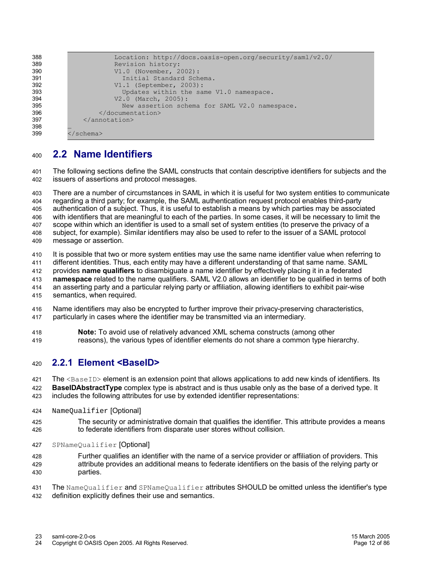```
 Location: http://docs.oasis-open.org/security/saml/v2.0/
                        Revision history:
                        V1.0 (November, 2002):
                          Initial Standard Schema.
                        V1.1 (September, 2003):
                          Updates within the same V1.0 namespace.
                        V2.0 (March, 2005):
                          New assertion schema for SAML V2.0 namespace.
                   </documentation>
               </annotation>
          …
          </schema>
388
389
390
391
392
393
394
395
396
397
398
399
```
#### **2.2 Name Identifiers** 400

The following sections define the SAML constructs that contain descriptive identifiers for subjects and the issuers of assertions and protocol messages. 401 402

There are a number of circumstances in SAML in which it is useful for two system entities to communicate regarding a third party; for example, the SAML authentication request protocol enables third-party authentication of a subject. Thus, it is useful to establish a means by which parties may be associated with identifiers that are meaningful to each of the parties. In some cases, it will be necessary to limit the scope within which an identifier is used to a small set of system entities (to preserve the privacy of a subject, for example). Similar identifiers may also be used to refer to the issuer of a SAML protocol message or assertion. 403 404 405 406 407 408 409

It is possible that two or more system entities may use the same name identifier value when referring to different identities. Thus, each entity may have a different understanding of that same name. SAML 410 411

provides **name qualifiers** to disambiguate a name identifier by effectively placing it in a federated 412

**namespace** related to the name qualifiers. SAML V2.0 allows an identifier to be qualified in terms of both 413

an asserting party and a particular relying party or affiliation, allowing identifiers to exhibit pair-wise 414

semantics, when required. 415

Name identifiers may also be encrypted to further improve their privacy-preserving characteristics, particularly in cases where the identifier may be transmitted via an intermediary. 416 417

**Note:** To avoid use of relatively advanced XML schema constructs (among other reasons), the various types of identifier elements do not share a common type hierarchy. 418 419

#### **2.2.1 Element <BaseID>** 420

The  $\triangle$ BaseID> element is an extension point that allows applications to add new kinds of identifiers. Its **BaseIDAbstractType** complex type is abstract and is thus usable only as the base of a derived type. It includes the following attributes for use by extended identifier representations: 421 422 423

- NameQualifier [Optional] 424
- The security or administrative domain that qualifies the identifier. This attribute provides a means to federate identifiers from disparate user stores without collision. 425 426
- SPNameQualifier [Optional] 427
- Further qualifies an identifier with the name of a service provider or affiliation of providers. This attribute provides an additional means to federate identifiers on the basis of the relying party or parties. 428 429 430

The NameQualifier and SPNameQualifier attributes SHOULD be omitted unless the identifier's type definition explicitly defines their use and semantics. 431 432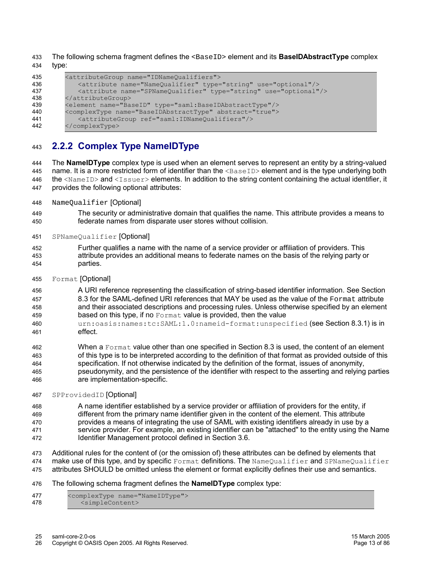The following schema fragment defines the <BaseID> element and its **BaseIDAbstractType** complex type: 433 434

| 435 | <attributegroup name="IDNameQualifiers"></attributegroup>                   |
|-----|-----------------------------------------------------------------------------|
| 436 | <attribute name="NameQualifier" type="string" use="optional"></attribute>   |
| 437 | <attribute name="SPNameQualifier" type="string" use="optional"></attribute> |
| 438 |                                                                             |
| 439 | <element name="BaseID" type="saml:BaseIDAbstractType"></element>            |
| 440 | <complextype abstract="true" name="BaseIDAbstractType"></complextype>       |
| 441 | <attributegroup ref="saml:IDNameQualifiers"></attributegroup>               |
| 442 |                                                                             |
|     |                                                                             |

#### **2.2.2 Complex Type NameIDType** 443

The **NameIDType** complex type is used when an element serves to represent an entity by a string-valued name. It is a more restricted form of identifier than the <BaseID> element and is the type underlying both the <NameID> and <Issuer> elements. In addition to the string content containing the actual identifier, it provides the following optional attributes: 444 445 446 447

- NameQualifier [Optional] 448
- The security or administrative domain that qualifies the name. This attribute provides a means to federate names from disparate user stores without collision. 449 450
- SPNameQualifier [Optional] 451
- Further qualifies a name with the name of a service provider or affiliation of providers. This attribute provides an additional means to federate names on the basis of the relying party or parties. 452 453 454
- Format [Optional] 455

A URI reference representing the classification of string-based identifier information. See Section 8.3 for the SAML-defined URI references that MAY be used as the value of the Format attribute and their associated descriptions and processing rules. Unless otherwise specified by an element based on this type, if no Format value is provided, then the value 456 457 458 459

- urn:oasis:names:tc:SAML:1.0:nameid-format:unspecified (see Section 8.3.1) is in effect. 460 461
- When a Format value other than one specified in Section 8.3 is used, the content of an element of this type is to be interpreted according to the definition of that format as provided outside of this specification. If not otherwise indicated by the definition of the format, issues of anonymity, pseudonymity, and the persistence of the identifier with respect to the asserting and relying parties are implementation-specific. 462 463 464 465 466
- SPProvidedID [Optional] 467

A name identifier established by a service provider or affiliation of providers for the entity, if different from the primary name identifier given in the content of the element. This attribute provides a means of integrating the use of SAML with existing identifiers already in use by a service provider. For example, an existing identifier can be "attached" to the entity using the Name Identifier Management protocol defined in Section 3.6. 468 469 470 471 472

- Additional rules for the content of (or the omission of) these attributes can be defined by elements that make use of this type, and by specific Format definitions. The NameQualifier and SPNameQualifier attributes SHOULD be omitted unless the element or format explicitly defines their use and semantics. 473 474 475
- The following schema fragment defines the **NameIDType** complex type: 476

| 477 | <complextype name="NameIDType"></complextype> |
|-----|-----------------------------------------------|
| 478 | <simplecontent></simplecontent>               |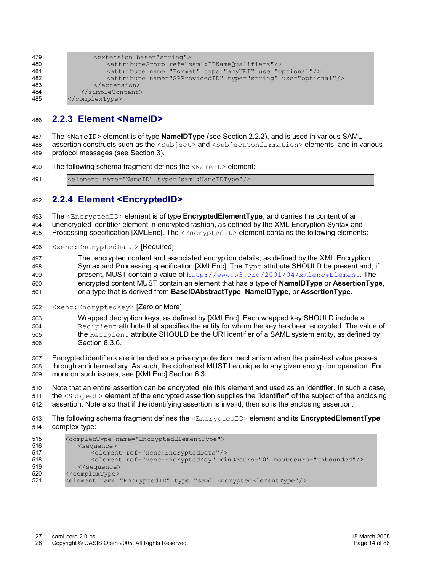| 479 | <extension base="string"></extension>                                    |
|-----|--------------------------------------------------------------------------|
| 480 | <attributegroup ref="saml:IDNameQualifiers"></attributegroup>            |
| 481 | <attribute name="Format" type="anyURI" use="optional"></attribute>       |
| 482 | <attribute name="SPProvidedID" type="string" use="optional"></attribute> |
| 483 | $\langle$ /extension>                                                    |
| 484 | $\langle$ /simpleContent>                                                |
| 485 |                                                                          |

#### **2.2.3 Element <NameID>** 486

The <NameID> element is of type **NameIDType** (see Section 2.2.2), and is used in various SAML assertion constructs such as the <Subject> and <SubjectConfirmation> elements, and in various protocol messages (see Section 3). 487 488 489

The following schema fragment defines the  $\langle$ NameID $\rangle$  element: 490

<element name="NameID" type="saml:NameIDType"/> 491

#### **2.2.4 Element <EncryptedID>** 492

The <EncryptedID> element is of type **EncryptedElementType**, and carries the content of an unencrypted identifier element in encrypted fashion, as defined by the XML Encryption Syntax and Processing specification [XMLEnc]. The <EncryptedID> element contains the following elements: 493 494 495

- 
- <xenc:EncryptedData> [Required] 496

The encrypted content and associated encryption details, as defined by the XML Encryption Syntax and Processing specification [XMLEnc]. The Type attribute SHOULD be present and, if present, MUST contain a value of http://www.w3.org/2001/04/xmlenc#Element. The encrypted content MUST contain an element that has a type of **NameIDType** or **AssertionType**, or a type that is derived from **BaseIDAbstractType**, **NameIDType**, or **AssertionType**. 497 498 499 500 501

<xenc:EncryptedKey> [Zero or More] 502

Wrapped decryption keys, as defined by [XMLEnc]. Each wrapped key SHOULD include a Recipient attribute that specifies the entity for whom the key has been encrypted. The value of the Recipient attribute SHOULD be the URI identifier of a SAML system entity, as defined by 503 504 505

Section 8.3.6. 506

Encrypted identifiers are intended as a privacy protection mechanism when the plain-text value passes through an intermediary. As such, the ciphertext MUST be unique to any given encryption operation. For more on such issues, see [XMLEnc] Section 6.3. 507 508 509

Note that an entire assertion can be encrypted into this element and used as an identifier. In such a case, the <Subject> element of the encrypted assertion supplies the "identifier" of the subject of the enclosing assertion. Note also that if the identifying assertion is invalid, then so is the enclosing assertion. 510 511 512

The following schema fragment defines the <EncryptedID> element and its **EncryptedElementType** complex type: 513 514

| 515 | <complextype name="EncryptedElementType"></complextype>                         |
|-----|---------------------------------------------------------------------------------|
| 516 | $<$ sequence $>$                                                                |
| 517 | <element ref="xenc:EncryptedData"></element>                                    |
| 518 | <element maxoccurs="unbounded" minoccurs="0" ref="xenc:EncryptedKey"></element> |
| 519 | $\langle$ /sequence>                                                            |
| 520 |                                                                                 |
| 521 | <element name="EncryptedID" type="saml:EncryptedElementType"></element>         |
|     |                                                                                 |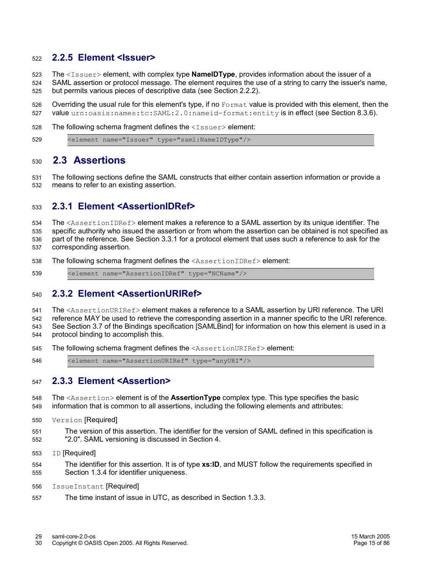#### **2.2.5 Element <Issuer>** 522

The <Issuer> element, with complex type **NameIDType**, provides information about the issuer of a 523

- SAML assertion or protocol message. The element requires the use of a string to carry the issuer's name, but permits various pieces of descriptive data (see Section 2.2.2). 524 525
- Overriding the usual rule for this element's type, if no Format value is provided with this element, then the value urn: oasis: names: tc: SAML: 2.0: nameid-format: entity is in effect (see Section 8.3.6). 526 527
- The following schema fragment defines the <Issuer> element: 528

| 529 |  | <element name="Issuer" type="saml:NameIDType"></element> |
|-----|--|----------------------------------------------------------|
|-----|--|----------------------------------------------------------|

#### **2.3 Assertions** 530

The following sections define the SAML constructs that either contain assertion information or provide a means to refer to an existing assertion. 531 532

#### **2.3.1 Element <AssertionIDRef>** 533

The <AssertionIDRef> element makes a reference to a SAML assertion by its unique identifier. The 534

specific authority who issued the assertion or from whom the assertion can be obtained is not specified as part of the reference. See Section 3.3.1 for a protocol element that uses such a reference to ask for the corresponding assertion. 535 536 537

The following schema fragment defines the <AssertionIDRef> element: 538

<element name="AssertionIDRef" type="NCName"/> 539

#### **2.3.2 Element <AssertionURIRef>** 540

The <AssertionURIRef> element makes a reference to a SAML assertion by URI reference. The URI reference MAY be used to retrieve the corresponding assertion in a manner specific to the URI reference. See Section 3.7 of the Bindings specification [SAMLBind] for information on how this element is used in a 541 542 543

- protocol binding to accomplish this. 544
- The following schema fragment defines the <AssertionURIRef> element: 545

<element name="AssertionURIRef" type="anyURI"/> 546

#### **2.3.3 Element <Assertion>** 547

- The <Assertion> element is of the **AssertionType** complex type. This type specifies the basic information that is common to all assertions, including the following elements and attributes: 548 549
- Version [Required] 550
- The version of this assertion. The identifier for the version of SAML defined in this specification is "2.0". SAML versioning is discussed in Section 4. 551 552
- ID [Required] 553
- The identifier for this assertion. It is of type **xs:ID**, and MUST follow the requirements specified in Section 1.3.4 for identifier uniqueness. 554 555
- IssueInstant [Required] 556
- The time instant of issue in UTC, as described in Section 1.3.3. 557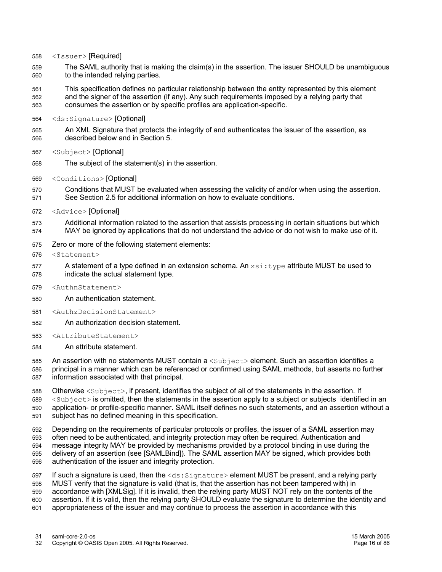<Issuer> [Required] 558

The SAML authority that is making the claim(s) in the assertion. The issuer SHOULD be unambiguous to the intended relying parties. 559 560

This specification defines no particular relationship between the entity represented by this element and the signer of the assertion (if any). Any such requirements imposed by a relying party that consumes the assertion or by specific profiles are application-specific. 561 562 563

- <ds:Signature> [Optional] 564
- An XML Signature that protects the integrity of and authenticates the issuer of the assertion, as described below and in Section 5. 565 566
- <Subject> [Optional] 567
- The subject of the statement(s) in the assertion. 568
- <Conditions> [Optional] 569

Conditions that MUST be evaluated when assessing the validity of and/or when using the assertion. See Section 2.5 for additional information on how to evaluate conditions. 570 571

- <Advice> [Optional] 572
- Additional information related to the assertion that assists processing in certain situations but which MAY be ignored by applications that do not understand the advice or do not wish to make use of it. 573 574
- Zero or more of the following statement elements: 575
- <Statement> 576
- A statement of a type defined in an extension schema. An  $x$ si:type attribute MUST be used to indicate the actual statement type. 577 578
- <AuthnStatement> 579
- An authentication statement. 580
- <AuthzDecisionStatement> 581
- An authorization decision statement. 582
- <AttributeStatement> 583
- An attribute statement. 584

An assertion with no statements MUST contain a <Subject> element. Such an assertion identifies a principal in a manner which can be referenced or confirmed using SAML methods, but asserts no further information associated with that principal. 585 586 587

Otherwise <Subject>, if present, identifies the subject of all of the statements in the assertion. If  $\langle$ Subject> is omitted, then the statements in the assertion apply to a subject or subjects identified in an application- or profile-specific manner. SAML itself defines no such statements, and an assertion without a subject has no defined meaning in this specification. 588 589 590 591

Depending on the requirements of particular protocols or profiles, the issuer of a SAML assertion may often need to be authenticated, and integrity protection may often be required. Authentication and message integrity MAY be provided by mechanisms provided by a protocol binding in use during the delivery of an assertion (see [SAMLBind]). The SAML assertion MAY be signed, which provides both authentication of the issuer and integrity protection. 592 593 594 595 596

If such a signature is used, then the  $\langle ds : S \text{ is} \rangle$  element MUST be present, and a relying party MUST verify that the signature is valid (that is, that the assertion has not been tampered with) in accordance with [XMLSig]. If it is invalid, then the relying party MUST NOT rely on the contents of the assertion. If it is valid, then the relying party SHOULD evaluate the signature to determine the identity and appropriateness of the issuer and may continue to process the assertion in accordance with this 597 598 599 600 601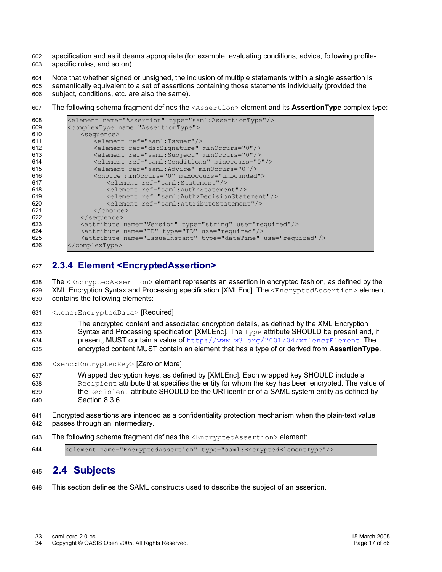specification and as it deems appropriate (for example, evaluating conditions, advice, following profilespecific rules, and so on). 602 603

Note that whether signed or unsigned, the inclusion of multiple statements within a single assertion is semantically equivalent to a set of assertions containing those statements individually (provided the subject, conditions, etc. are also the same). 604 605 606

The following schema fragment defines the <Assertion> element and its **AssertionType** complex type: 607

```
<element name="Assertion" type="saml:AssertionType"/>
         <complexType name="AssertionType">
             <sequence>
                <element ref="saml:Issuer"/>
                <element ref="ds:Signature" minOccurs="0"/>
                <element ref="saml:Subject" minOccurs="0"/>
                <element ref="saml:Conditions" minOccurs="0"/>
                <element ref="saml:Advice" minOccurs="0"/>
                <choice minOccurs="0" maxOccurs="unbounded">
                   <element ref="saml:Statement"/>
                   <element ref="saml:AuthnStatement"/>
                   <element ref="saml:AuthzDecisionStatement"/>
                   <element ref="saml:AttributeStatement"/>
                </choice>
            </sequence>
            <attribute name="Version" type="string" use="required"/>
            <attribute name="ID" type="ID" use="required"/>
             <attribute name="IssueInstant" type="dateTime" use="required"/>
         </complexType>
608
609
610
611
612
613
614
615
616
617
618
619
620
621
622
623
624
625
626
```
#### **2.3.4 Element <EncryptedAssertion>** 627

The <EncryptedAssertion> element represents an assertion in encrypted fashion, as defined by the XML Encryption Syntax and Processing specification [XMLEnc]. The <EncryptedAssertion> element contains the following elements: 628 629 630

<xenc:EncryptedData> [Required] 631

The encrypted content and associated encryption details, as defined by the XML Encryption Syntax and Processing specification [XMLEnc]. The  $Typ$ e attribute SHOULD be present and, if present, MUST contain a value of http://www.w3.org/2001/04/xmlenc#Element. The encrypted content MUST contain an element that has a type of or derived from **AssertionType**. 632 633 634 635

<xenc:EncryptedKey> [Zero or More] 636

Wrapped decryption keys, as defined by [XMLEnc]. Each wrapped key SHOULD include a Recipient attribute that specifies the entity for whom the key has been encrypted. The value of the Recipient attribute SHOULD be the URI identifier of a SAML system entity as defined by Section 8.3.6. 637 638 639 640

- Encrypted assertions are intended as a confidentiality protection mechanism when the plain-text value passes through an intermediary. 641 642
- The following schema fragment defines the <EncryptedAssertion> element: 643
- <element name="EncryptedAssertion" type="saml:EncryptedElementType"/> 644

#### **2.4 Subjects** 645

This section defines the SAML constructs used to describe the subject of an assertion. 646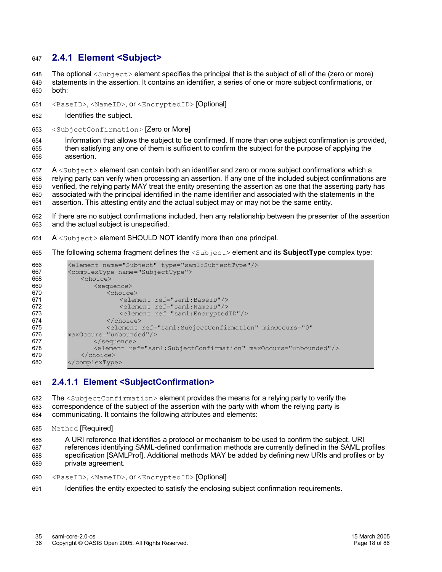#### **2.4.1 Element <Subject>**  647

The optional <Subject> element specifies the principal that is the subject of all of the (zero or more) statements in the assertion. It contains an identifier, a series of one or more subject confirmations, or both: 648 649 650

- <BaseID>, <NameID>, or <EncryptedID> [Optional] 651
- Identifies the subject. 652
- <SubjectConfirmation> [Zero or More] 653

Information that allows the subject to be confirmed. If more than one subject confirmation is provided, then satisfying any one of them is sufficient to confirm the subject for the purpose of applying the assertion. 654 655 656

A <Subject> element can contain both an identifier and zero or more subject confirmations which a relying party can verify when processing an assertion. If any one of the included subject confirmations are verified, the relying party MAY treat the entity presenting the assertion as one that the asserting party has associated with the principal identified in the name identifier and associated with the statements in the assertion. This attesting entity and the actual subject may or may not be the same entity. 657 658 659 660 661

If there are no subject confirmations included, then any relationship between the presenter of the assertion and the actual subject is unspecified. 662 663

- A <Subject> element SHOULD NOT identify more than one principal. 664
- The following schema fragment defines the <Subject> element and its **SubjectType** complex type: 665

| 666 | <element name="Subject" type="saml:SubjectType"></element>                  |
|-----|-----------------------------------------------------------------------------|
| 667 | <complextype name="SubjectType"></complextype>                              |
| 668 | <choice></choice>                                                           |
| 669 | $<$ sequence $>$                                                            |
| 670 | <choice></choice>                                                           |
| 671 | <element ref="saml:BaseID"></element>                                       |
| 672 | <element ref="saml:NameID"></element>                                       |
| 673 | <element ref="saml:EncryptedID"></element>                                  |
| 674 | $\langle$ /choice>                                                          |
| 675 | <element <="" minoccurs="0" ref="saml:SubjectConfirmation" th=""></element> |
| 676 | maxOccurs="unbounded"/>                                                     |
| 677 | $\langle$ /sequence>                                                        |
| 678 | <element maxoccurs="unbounded" ref="saml:SubjectConfirmation"></element>    |
| 679 |                                                                             |
| 680 |                                                                             |

#### **2.4.1.1 Element <SubjectConfirmation>** 681

The <SubjectConfirmation> element provides the means for a relying party to verify the correspondence of the subject of the assertion with the party with whom the relying party is communicating. It contains the following attributes and elements: 682 683 684

Method [Required] 685

A URI reference that identifies a protocol or mechanism to be used to confirm the subject. URI references identifying SAML-defined confirmation methods are currently defined in the SAML profiles specification [SAMLProf]. Additional methods MAY be added by defining new URIs and profiles or by private agreement. 686 687 688 689

- <BaseID>, <NameID>, or <EncryptedID> [Optional] 690
- Identifies the entity expected to satisfy the enclosing subject confirmation requirements. 691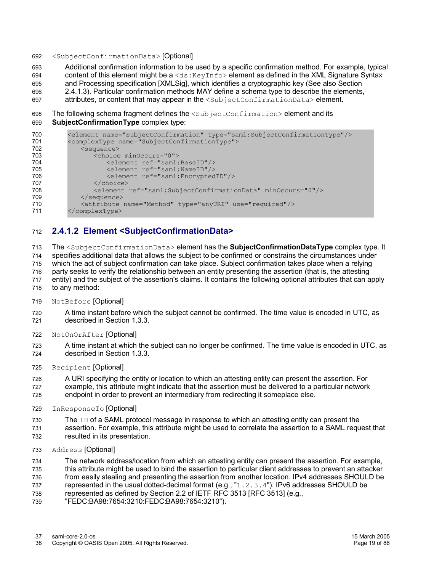#### <SubjectConfirmationData> [Optional] 692

- Additional confirmation information to be used by a specific confirmation method. For example, typical content of this element might be  $a \leq d s : K e \vee \text{Info} >$  element as defined in the XML Signature Syntax 693 694
- and Processing specification [XMLSig], which identifies a cryptographic key (See also Section 695
- 2.4.1.3). Particular confirmation methods MAY define a schema type to describe the elements, 696
- attributes, or content that may appear in the <SubjectConfirmationData> element. 697

The following schema fragment defines the <SubjectConfirmation> element and its 698

#### **SubjectConfirmationType** complex type: 699

| 700 | <element name="SubjectConfirmation" type="saml:SubjectConfirmationType"></element> |
|-----|------------------------------------------------------------------------------------|
| 701 | <complextype name="SubjectConfirmationType"></complextype>                         |
| 702 | $\leq$ sequence $>$                                                                |
| 703 | <choice minoccurs="0"></choice>                                                    |
| 704 | <element ref="saml:BaseID"></element>                                              |
| 705 | <element ref="saml:NameID"></element>                                              |
| 706 | <element ref="saml:EncryptedID"></element>                                         |
| 707 | $\langle$ /choice>                                                                 |
| 708 | <element minoccurs="0" ref="saml:SubjectConfirmationData"></element>               |
| 709 | $\langle$ /sequence>                                                               |
| 710 | <attribute name="Method" type="anyURI" use="required"></attribute>                 |
| 711 |                                                                                    |

#### **2.4.1.2 Element <SubjectConfirmationData>** 712

The <SubjectConfirmationData> element has the **SubjectConfirmationDataType** complex type. It 713

specifies additional data that allows the subject to be confirmed or constrains the circumstances under 714

which the act of subject confirmation can take place. Subject confirmation takes place when a relying 715

party seeks to verify the relationship between an entity presenting the assertion (that is, the attesting 716

- entity) and the subject of the assertion's claims. It contains the following optional attributes that can apply 717
- to any method: 718
- NotBefore [Optional] 719
- A time instant before which the subject cannot be confirmed. The time value is encoded in UTC, as described in Section 1.3.3. 720 721
- NotOnOrAfter [Optional] 722
- A time instant at which the subject can no longer be confirmed. The time value is encoded in UTC, as described in Section 1.3.3. 723 724
- Recipient [Optional] 725

A URI specifying the entity or location to which an attesting entity can present the assertion. For example, this attribute might indicate that the assertion must be delivered to a particular network endpoint in order to prevent an intermediary from redirecting it someplace else. 726 727 728

- InResponseTo [Optional] 729
- The ID of a SAML protocol message in response to which an attesting entity can present the assertion. For example, this attribute might be used to correlate the assertion to a SAML request that 730 731
- resulted in its presentation. 732
- Address [Optional] 733

The network address/location from which an attesting entity can present the assertion. For example, 734

- this attribute might be used to bind the assertion to particular client addresses to prevent an attacker from easily stealing and presenting the assertion from another location. IPv4 addresses SHOULD be 735 736
- represented in the usual dotted-decimal format (e.g., "1.2.3.4"). IPv6 addresses SHOULD be 737
- represented as defined by Section 2.2 of IETF RFC 3513 [RFC 3513] (e.g., 738
- "FEDC:BA98:7654:3210:FEDC:BA98:7654:3210"). 739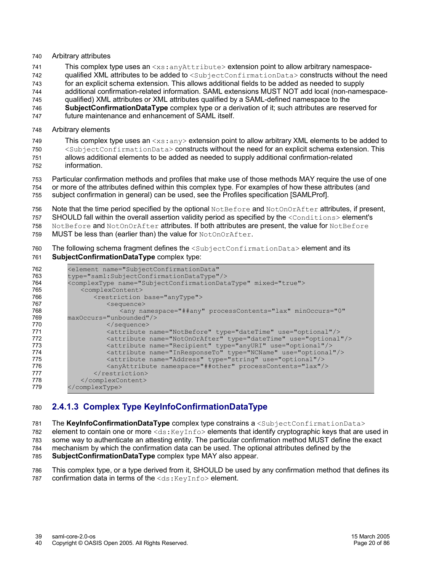#### Arbitrary attributes 740

This complex type uses an  $\langle x \rangle$  any Attribute > extension point to allow arbitrary namespace-741 742

qualified XML attributes to be added to <SubjectConfirmationData> constructs without the need for an explicit schema extension. This allows additional fields to be added as needed to supply

additional confirmation-related information. SAML extensions MUST NOT add local (non-namespace-743 744

qualified) XML attributes or XML attributes qualified by a SAML-defined namespace to the 745

**SubjectConfirmationDataType** complex type or a derivation of it; such attributes are reserved for 746

future maintenance and enhancement of SAML itself. 747

#### Arbitrary elements 748

This complex type uses an  $\langle x \sin y \rangle$  extension point to allow arbitrary XML elements to be added to <SubjectConfirmationData> constructs without the need for an explicit schema extension. This allows additional elements to be added as needed to supply additional confirmation-related information. 749 750 751 752

Particular confirmation methods and profiles that make use of those methods MAY require the use of one or more of the attributes defined within this complex type. For examples of how these attributes (and subject confirmation in general) can be used, see the Profiles specification [SAMLProf]. 753 754 755

Note that the time period specified by the optional NotBefore and NotOnOrAfter attributes, if present, SHOULD fall within the overall assertion validity period as specified by the <Conditions> element's NotBefore and NotOnOrAfter attributes. If both attributes are present, the value for NotBefore 756 757 758

MUST be less than (earlier than) the value for NotOnOrAfter. 759

The following schema fragment defines the <SubjectConfirmationData> element and its **SubjectConfirmationDataType** complex type: 760 761

| 762 | <element <="" name="SubjectConfirmationData" th=""></element>                |
|-----|------------------------------------------------------------------------------|
| 763 | type="saml:SubjectConfirmationDataType"/>                                    |
| 764 | <complextype mixed="true" name="SubjectConfirmationDataType"></complextype>  |
| 765 | <complexcontent></complexcontent>                                            |
| 766 | <restriction base="anyType"></restriction>                                   |
| 767 | $<$ sequence $>$                                                             |
| 768 | <any <="" minoccurs="0" namespace="##any" processcontents="lax" th=""></any> |
| 769 | $maxOccurs="unbounded"$ />                                                   |
| 770 | $\langle$ /sequence>                                                         |
| 771 | <attribute name="NotBefore" type="dateTime" use="optional"></attribute>      |
| 772 | <attribute name="NotOnOrAfter" type="dateTime" use="optional"></attribute>   |
| 773 | <attribute name="Recipient" type="anyURI" use="optional"></attribute>        |
| 774 | <attribute name="InResponseTo" type="NCName" use="optional"></attribute>     |
| 775 | <attribute name="Address" type="string" use="optional"></attribute>          |
| 776 | <anyattribute namespace="##other" processcontents="lax"></anyattribute>      |
| 777 | $\langle$ /restriction>                                                      |
| 778 |                                                                              |
| 779 |                                                                              |

#### **2.4.1.3 Complex Type KeyInfoConfirmationDataType** 780

The **KeyInfoConfirmationDataType** complex type constrains a <SubjectConfirmationData> 781

element to contain one or more  $\langle ds : KevInfo \rangle$  elements that identify cryptographic keys that are used in 782

some way to authenticate an attesting entity. The particular confirmation method MUST define the exact 783

mechanism by which the confirmation data can be used. The optional attributes defined by the 784 785

**SubjectConfirmationDataType** complex type MAY also appear.

This complex type, or a type derived from it, SHOULD be used by any confirmation method that defines its confirmation data in terms of the <ds: KeyInfo> element. 786 787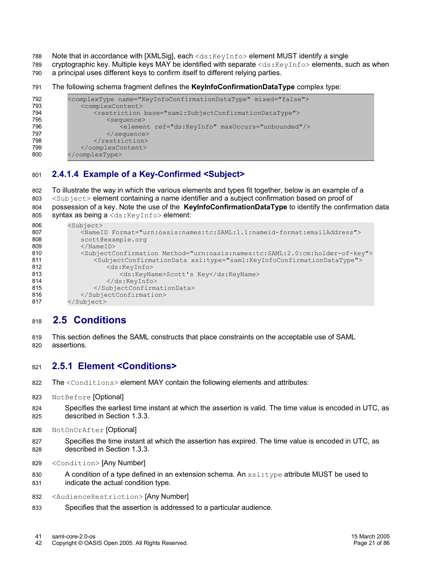- Note that in accordance with [XMLSig], each <ds: KeyInfo> element MUST identify a single 788
- cryptographic key. Multiple keys MAY be identified with separate <ds: KeyInfo> elements, such as when a principal uses different keys to confirm itself to different relying parties. 789 790
- The following schema fragment defines the **KeyInfoConfirmationDataType** complex type: 791

```
<complexType name="KeyInfoConfirmationDataType" mixed="false">
             <complexContent>
                <restriction base="saml:SubjectConfirmationDataType">
                    <sequence>
                       <element ref="ds:KeyInfo" maxOccurs="unbounded"/>
                    </sequence>
                </restriction>
             </complexContent>
         </complexType>
792
793
794
795
796
797
798
799
800
```
#### **2.4.1.4 Example of a Key-Confirmed <Subject>** 801

To illustrate the way in which the various elements and types fit together, below is an example of a <Subject> element containing a name identifier and a subject confirmation based on proof of possession of a key. Note the use of the **KeyInfoConfirmationDataType** to identify the confirmation data syntax as being a <ds: KeyInfo> element: 802 803 804 805

```
<Subject>
             <NameID Format="urn:oasis:names:tc:SAML:1.1:nameid-format:emailAddress">
             scott@example.org
             </NameID>
             <SubjectConfirmation Method="urn:oasis:names:tc:SAML:2.0:cm:holder-of-key">
                <SubjectConfirmationData xsi:type="saml:KeyInfoConfirmationDataType">
                    <ds:KeyInfo>
                       <ds:KeyName>Scott's Key</ds:KeyName>
                    </ds:KeyInfo>
                </SubjectConfirmationData>
             </SubjectConfirmation>
         </Subject>
806
807
808
809
810
811
812
813
814
815
816
817
```
#### **2.5 Conditions** 818

This section defines the SAML constructs that place constraints on the acceptable use of SAML assertions. 819 820

#### **2.5.1 Element <Conditions>** 821

- The <Conditions> element MAY contain the following elements and attributes: 822
- NotBefore [Optional] 823
- Specifies the earliest time instant at which the assertion is valid. The time value is encoded in UTC, as described in Section 1.3.3. 824 825
- NotOnOrAfter [Optional] 826
- Specifies the time instant at which the assertion has expired. The time value is encoded in UTC, as described in Section 1.3.3. 827 828
- <Condition> [Any Number] 829
- A condition of a type defined in an extension schema. An  $xsi:type$  attribute MUST be used to indicate the actual condition type. 830 831
- <AudienceRestriction> [Any Number] 832
- Specifies that the assertion is addressed to a particular audience. 833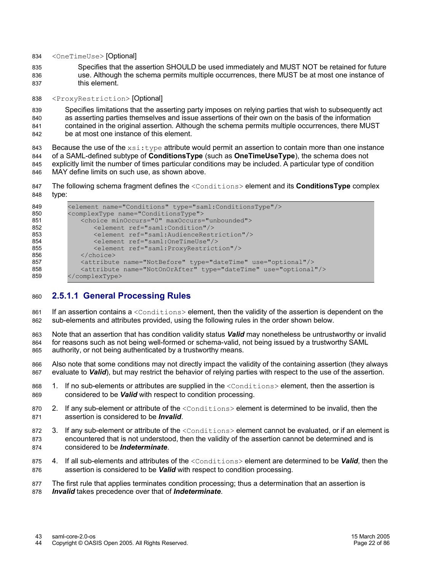- <OneTimeUse> [Optional] 834
- Specifies that the assertion SHOULD be used immediately and MUST NOT be retained for future use. Although the schema permits multiple occurrences, there MUST be at most one instance of this element. 835 836 837

<ProxyRestriction> [Optional] 838

Specifies limitations that the asserting party imposes on relying parties that wish to subsequently act as asserting parties themselves and issue assertions of their own on the basis of the information contained in the original assertion. Although the schema permits multiple occurrences, there MUST be at most one instance of this element. 839 840 841 842

Because the use of the  $xsi:type$  attribute would permit an assertion to contain more than one instance of a SAML-defined subtype of **ConditionsType** (such as **OneTimeUseType**), the schema does not explicitly limit the number of times particular conditions may be included. A particular type of condition MAY define limits on such use, as shown above. 843 844 845 846

The following schema fragment defines the <Conditions> element and its **ConditionsType** complex type: 847 848

| 849 | <element name="Conditions" type="saml:ConditionsType"></element>           |
|-----|----------------------------------------------------------------------------|
| 850 | <complextype name="ConditionsType"></complextype>                          |
| 851 | <choice maxoccurs="unbounded" minoccurs="0"></choice>                      |
| 852 | <element ref="saml:Condition"></element>                                   |
| 853 | <element ref="saml:AudienceRestriction"></element>                         |
| 854 | <element ref="saml:OneTimeUse"></element>                                  |
| 855 | <element ref="saml: ProxyRestriction"></element>                           |
| 856 | $\langle$ /choice>                                                         |
| 857 | <attribute name="NotBefore" type="dateTime" use="optional"></attribute>    |
| 858 | <attribute name="NotOnOrAfter" type="dateTime" use="optional"></attribute> |
| 859 |                                                                            |

#### **2.5.1.1 General Processing Rules** 860

If an assertion contains a  $\leq$ Conditions belement, then the validity of the assertion is dependent on the sub-elements and attributes provided, using the following rules in the order shown below. 861 862

Note that an assertion that has condition validity status *Valid* may nonetheless be untrustworthy or invalid for reasons such as not being well-formed or schema-valid, not being issued by a trustworthy SAML authority, or not being authenticated by a trustworthy means. 863 864 865

Also note that some conditions may not directly impact the validity of the containing assertion (they always evaluate to *Valid*), but may restrict the behavior of relying parties with respect to the use of the assertion. 866 867

- 1. If no sub-elements or attributes are supplied in the <Conditions> element, then the assertion is considered to be *Valid* with respect to condition processing. 868 869
- 2. If any sub-element or attribute of the <Conditions> element is determined to be invalid, then the assertion is considered to be *Invalid*. 870 871
- 3. If any sub-element or attribute of the  $\leq$ conditions> element cannot be evaluated, or if an element is encountered that is not understood, then the validity of the assertion cannot be determined and is considered to be *Indeterminate*. 872 873 874
- 4. If all sub-elements and attributes of the <Conditions> element are determined to be *Valid*, then the assertion is considered to be *Valid* with respect to condition processing. 875 876

The first rule that applies terminates condition processing; thus a determination that an assertion is *Invalid* takes precedence over that of *Indeterminate*. 877 878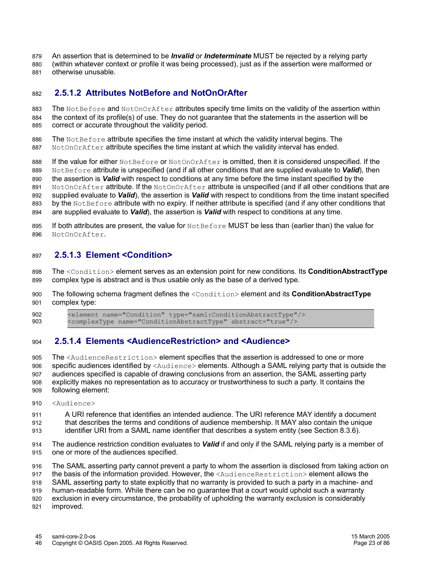- An assertion that is determined to be *Invalid* or *Indeterminate* MUST be rejected by a relying party 879
- (within whatever context or profile it was being processed), just as if the assertion were malformed or otherwise unusable. 880 881

#### **2.5.1.2 Attributes NotBefore and NotOnOrAfter**  882

The NotBefore and NotOnOrAfter attributes specify time limits on the validity of the assertion within the context of its profile(s) of use. They do not guarantee that the statements in the assertion will be correct or accurate throughout the validity period. 883 884 885

The NotBefore attribute specifies the time instant at which the validity interval begins. The 886

NotOnOrAfter attribute specifies the time instant at which the validity interval has ended. 887

If the value for either NotBefore or NotOnOrAfter is omitted, then it is considered unspecified. If the NotBefore attribute is unspecified (and if all other conditions that are supplied evaluate to *Valid*), then the assertion is *Valid* with respect to conditions at any time before the time instant specified by the NotOnOrAfter attribute. If the NotOnOrAfter attribute is unspecified (and if all other conditions that are supplied evaluate to *Valid*), the assertion is *Valid* with respect to conditions from the time instant specified by the NotBefore attribute with no expiry. If neither attribute is specified (and if any other conditions that 888 889 890 891 892 893

are supplied evaluate to *Valid*), the assertion is *Valid* with respect to conditions at any time. 894

If both attributes are present, the value for NotBefore MUST be less than (earlier than) the value for NotOnOrAfter. 895 896

#### **2.5.1.3 Element <Condition>** 897

The <Condition> element serves as an extension point for new conditions. Its **ConditionAbstractType** complex type is abstract and is thus usable only as the base of a derived type. 898 899

The following schema fragment defines the <Condition> element and its **ConditionAbstractType** complex type: 900 901

<element name="Condition" type="saml:ConditionAbstractType"/> <complexType name="ConditionAbstractType" abstract="true"/> 902 903

#### **2.5.1.4 Elements <AudienceRestriction> and <Audience>** 904

The <AudienceRestriction> element specifies that the assertion is addressed to one or more specific audiences identified by <Audience> elements. Although a SAML relying party that is outside the audiences specified is capable of drawing conclusions from an assertion, the SAML asserting party explicitly makes no representation as to accuracy or trustworthiness to such a party. It contains the following element:  $905$ 906 907 908 909

<Audience> 910

A URI reference that identifies an intended audience. The URI reference MAY identify a document that describes the terms and conditions of audience membership. It MAY also contain the unique identifier URI from a SAML name identifier that describes a system entity (see Section 8.3.6). 911 **912** 913

The audience restriction condition evaluates to *Valid* if and only if the SAML relying party is a member of one or more of the audiences specified. 914 915

The SAML asserting party cannot prevent a party to whom the assertion is disclosed from taking action on the basis of the information provided. However, the <AudienceRestriction> element allows the 916 917

SAML asserting party to state explicitly that no warranty is provided to such a party in a machine- and 918

human-readable form. While there can be no guarantee that a court would uphold such a warranty 919

exclusion in every circumstance, the probability of upholding the warranty exclusion is considerably 920

improved. 921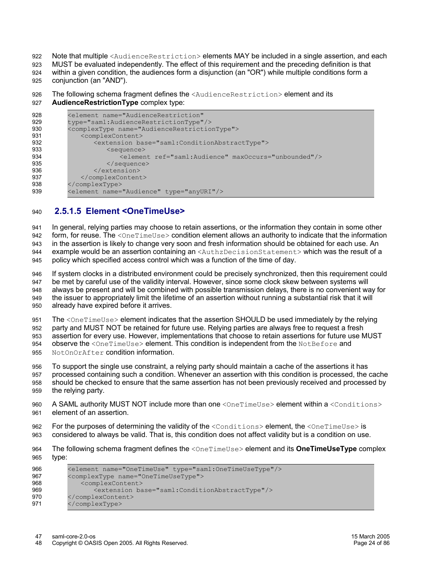Note that multiple <AudienceRestriction> elements MAY be included in a single assertion, and each 922

MUST be evaluated independently. The effect of this requirement and the preceding definition is that 923

within a given condition, the audiences form a disjunction (an "OR") while multiple conditions form a conjunction (an "AND"). 924 925

The following schema fragment defines the <AudienceRestriction> element and its 926

**AudienceRestrictionType** complex type: 927

| 928 | <element <="" name="AudienceRestriction" th=""></element>     |
|-----|---------------------------------------------------------------|
| 929 | type="saml:AudienceRestrictionType"/>                         |
| 930 | <complextype name="AudienceRestrictionType"></complextype>    |
| 931 | <complexcontent></complexcontent>                             |
| 932 | <extension base="saml:ConditionAbstractType"></extension>     |
| 933 | $<$ sequence $>$                                              |
| 934 | <element maxoccurs="unbounded" ref="saml:Audience"></element> |
| 935 | $\langle$ /sequence>                                          |
| 936 | $\langle$ /extension>                                         |
| 937 |                                                               |
| 938 |                                                               |
| 939 | <element name="Audience" type="anyURI"></element>             |

#### **2.5.1.5 Element <OneTimeUse>** 940

In general, relying parties may choose to retain assertions, or the information they contain in some other form, for reuse. The <OneTimeUse> condition element allows an authority to indicate that the information 941 942

in the assertion is likely to change very soon and fresh information should be obtained for each use. An example would be an assertion containing an <AuthzDecisionStatement> which was the result of a 943 944

policy which specified access control which was a function of the time of day. 945

If system clocks in a distributed environment could be precisely synchronized, then this requirement could be met by careful use of the validity interval. However, since some clock skew between systems will always be present and will be combined with possible transmission delays, there is no convenient way for the issuer to appropriately limit the lifetime of an assertion without running a substantial risk that it will already have expired before it arrives. 946 947 948 949 950

The <OneTimeUse> element indicates that the assertion SHOULD be used immediately by the relying party and MUST NOT be retained for future use. Relying parties are always free to request a fresh assertion for every use. However, implementations that choose to retain assertions for future use MUST observe the <OneTimeUse> element. This condition is independent from the NotBefore and NotOnOrAfter condition information. 951 952 953 954 955

To support the single use constraint, a relying party should maintain a cache of the assertions it has processed containing such a condition. Whenever an assertion with this condition is processed, the cache should be checked to ensure that the same assertion has not been previously received and processed by the relying party. 956 957 958 959

A SAML authority MUST NOT include more than one <OneTimeUse> element within a <Conditions> element of an assertion. 960 961

For the purposes of determining the validity of the <Conditions> element, the <OneTimeUse> is considered to always be valid. That is, this condition does not affect validity but is a condition on use. 962 963

The following schema fragment defines the <OneTimeUse> element and its **OneTimeUseType** complex type: 964 965

| 966 | <element name="OneTimeUse" type="saml:OneTimeUseType"></element> |
|-----|------------------------------------------------------------------|
| 967 | <complextype name="OneTimeUseType"></complextype>                |
| 968 | <complexcontent></complexcontent>                                |
| 969 | <extension base="saml:ConditionAbstractType"></extension>        |
| 970 |                                                                  |
| 971 |                                                                  |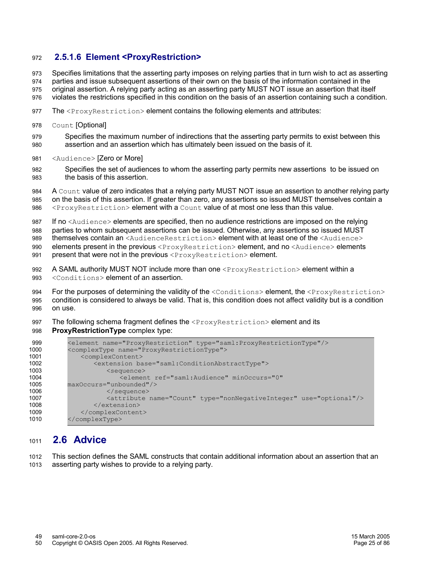#### **2.5.1.6 Element <ProxyRestriction>** 972

Specifies limitations that the asserting party imposes on relying parties that in turn wish to act as asserting 973

parties and issue subsequent assertions of their own on the basis of the information contained in the 974

original assertion. A relying party acting as an asserting party MUST NOT issue an assertion that itself 975

violates the restrictions specified in this condition on the basis of an assertion containing such a condition. 976

- The <ProxyRestriction> element contains the following elements and attributes: 977
- Count [Optional] 978
- Specifies the maximum number of indirections that the asserting party permits to exist between this assertion and an assertion which has ultimately been issued on the basis of it. **979** 980
- <Audience> [Zero or More] 981
- Specifies the set of audiences to whom the asserting party permits new assertions to be issued on the basis of this assertion. 982 983

A Count value of zero indicates that a relying party MUST NOT issue an assertion to another relying party on the basis of this assertion. If greater than zero, any assertions so issued MUST themselves contain a <ProxyRestriction> element with a Count value of at most one less than this value. **984** 985 986

If no <Audience> elements are specified, then no audience restrictions are imposed on the relying 987

parties to whom subsequent assertions can be issued. Otherwise, any assertions so issued MUST 988

themselves contain an <AudienceRestriction> element with at least one of the <Audience> 989 990

elements present in the previous <ProxyRestriction> element, and no <Audience> elements present that were not in the previous <ProxyRestriction> element. 991

A SAML authority MUST NOT include more than one <ProxyRestriction> element within a <Conditions> element of an assertion. **992** 993

For the purposes of determining the validity of the <Conditions> element, the <ProxyRestriction> condition is considered to always be valid. That is, this condition does not affect validity but is a condition on use. 994 995 996

The following schema fragment defines the <ProxyRestriction> element and its **ProxyRestrictionType** complex type: 997 998

| 999<br>1000 | <element name="ProxyRestriction" type="saml:ProxyRestrictionType"></element><br><complextype name="ProxyRestrictionType"></complextype> |
|-------------|-----------------------------------------------------------------------------------------------------------------------------------------|
| 1001        |                                                                                                                                         |
|             | <complexcontent></complexcontent>                                                                                                       |
| 1002        | <extension base="saml:ConditionAbstractType"></extension>                                                                               |
| 1003        | $<$ sequence $>$                                                                                                                        |
| 1004        | <element <="" minoccurs="0" ref="saml:Audience" th=""></element>                                                                        |
| 1005        | maxOccurs="unbounded"/>                                                                                                                 |
| 1006        | $\langle$ /sequence>                                                                                                                    |
| 1007        | <attribute name="Count" type="nonNegativeInteger" use="optional"></attribute>                                                           |
| 1008        | $\langle$ /extension>                                                                                                                   |
| 1009        |                                                                                                                                         |
| 1010        |                                                                                                                                         |

#### **2.6 Advice** 1011

This section defines the SAML constructs that contain additional information about an assertion that an asserting party wishes to provide to a relying party. 1012 1013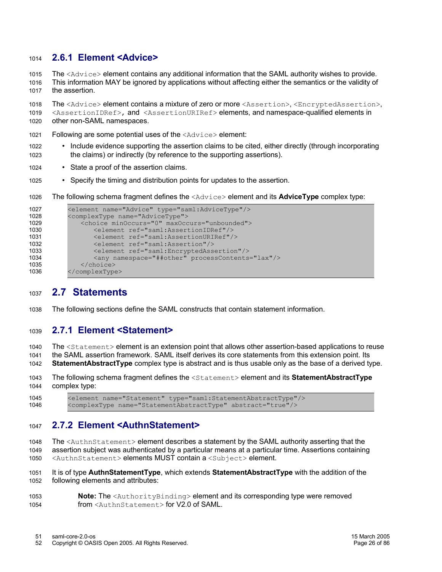#### **2.6.1 Element <Advice>** 1014

The <Advice> element contains any additional information that the SAML authority wishes to provide. This information MAY be ignored by applications without affecting either the semantics or the validity of the assertion. 1015 1016 1017

The <Advice> element contains a mixture of zero or more <Assertion>, <EncryptedAssertion>, <AssertionIDRef>, and <AssertionURIRef> elements, and namespace-qualified elements in other non-SAML namespaces. 1018 1019 1020

- Following are some potential uses of the  $\langle \text{Advice} \rangle$  element: 1021
- Include evidence supporting the assertion claims to be cited, either directly (through incorporating the claims) or indirectly (by reference to the supporting assertions). 1022 1023
- State a proof of the assertion claims. 1024
- Specify the timing and distribution points for updates to the assertion. 1025
- The following schema fragment defines the <Advice> element and its **AdviceType** complex type: 1026

| 1027 | <element name="Advice" type="saml:AdviceType"></element> |
|------|----------------------------------------------------------|
| 1028 | <complextype name="AdviceType"></complextype>            |
| 1029 | <choice maxoccurs="unbounded" minoccurs="0"></choice>    |
| 1030 | <element ref="saml:AssertionIDRef"></element>            |
| 1031 | <element ref="saml:AssertionURIRef"></element>           |
| 1032 | <element ref="saml:Assertion"></element>                 |
| 1033 | <element ref="saml:EncryptedAssertion"></element>        |
| 1034 | <any namespace="##other" processcontents="lax"></any>    |
| 1035 | $\langle$ /choice>                                       |
| 1036 |                                                          |

#### **2.7 Statements** 1037

The following sections define the SAML constructs that contain statement information. 1038

#### **2.7.1 Element <Statement>** 1039

The <Statement> element is an extension point that allows other assertion-based applications to reuse the SAML assertion framework. SAML itself derives its core statements from this extension point. Its **StatementAbstractType** complex type is abstract and is thus usable only as the base of a derived type. 1040 1041 1042

The following schema fragment defines the <Statement> element and its **StatementAbstractType** complex type: 1043 1044

<element name="Statement" type="saml:StatementAbstractType"/> <complexType name="StatementAbstractType" abstract="true"/> 1045 1046

#### **2.7.2 Element <AuthnStatement>** 1047

The <AuthnStatement> element describes a statement by the SAML authority asserting that the assertion subject was authenticated by a particular means at a particular time. Assertions containing <AuthnStatement> elements MUST contain a <Subject> element. 1048 1049 1050

It is of type **AuthnStatementType**, which extends **StatementAbstractType** with the addition of the following elements and attributes: 1051 1052

**Note:** The <AuthorityBinding> element and its corresponding type were removed from <AuthnStatement> for V2.0 of SAML. 1053 1054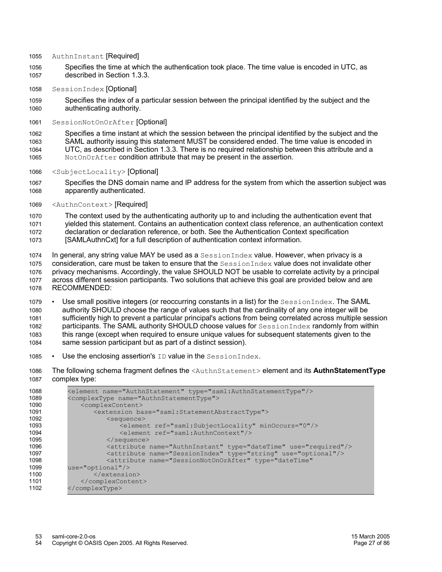- AuthnInstant [Required] 1055
- Specifies the time at which the authentication took place. The time value is encoded in UTC, as described in Section 1.3.3. 1056 1057
- SessionIndex [Optional] 1058

Specifies the index of a particular session between the principal identified by the subject and the authenticating authority. 1059 1060

SessionNotOnOrAfter [Optional] 1061

Specifies a time instant at which the session between the principal identified by the subject and the SAML authority issuing this statement MUST be considered ended. The time value is encoded in UTC, as described in Section 1.3.3. There is no required relationship between this attribute and a NotOnOrAfter condition attribute that may be present in the assertion. 1062 1063  $1064$ 1065

<SubjectLocality> [Optional] 1066

Specifies the DNS domain name and IP address for the system from which the assertion subject was apparently authenticated. 1067 1068

<AuthnContext> [Required] 1069

The context used by the authenticating authority up to and including the authentication event that yielded this statement. Contains an authentication context class reference, an authentication context declaration or declaration reference, or both. See the Authentication Context specification [SAMLAuthnCxt] for a full description of authentication context information. 1070 1071 1072 1073

In general, any string value MAY be used as a  $SessionIndex$  value. However, when privacy is a consideration, care must be taken to ensure that the SessionIndex value does not invalidate other privacy mechanisms. Accordingly, the value SHOULD NOT be usable to correlate activity by a principal across different session participants. Two solutions that achieve this goal are provided below and are 1074 1075 1076 1077

RECOMMENDED: 1078

 $\cdot$  Use small positive integers (or reoccurring constants in a list) for the SessionIndex. The SAML authority SHOULD choose the range of values such that the cardinality of any one integer will be sufficiently high to prevent a particular principal's actions from being correlated across multiple session participants. The SAML authority SHOULD choose values for SessionIndex randomly from within this range (except when required to ensure unique values for subsequent statements given to the same session participant but as part of a distinct session). 1079 1080 1081 1082 1083 1084

- Use the enclosing assertion's ID value in the SessionIndex. 1085
- The following schema fragment defines the <AuthnStatement> element and its **AuthnStatementType** complex type: 1086 1087

| 1088<br>1089 | <element name="AuthnStatement" type="saml:AuthnStatementType"></element><br><complextype name="AuthnStatementType"></complextype> |
|--------------|-----------------------------------------------------------------------------------------------------------------------------------|
| 1090         | <complexcontent></complexcontent>                                                                                                 |
| 1091         | <extension base="saml:StatementAbstractType"></extension>                                                                         |
| 1092         | $\leq$ sequence $>$                                                                                                               |
| 1093         | <element minoccurs="0" ref="saml:SubjectLocality"></element>                                                                      |
| 1094         | <element ref="saml:AuthnContext"></element>                                                                                       |
| 1095         | $\langle$ /sequence>                                                                                                              |
| 1096         | <attribute name="AuthnInstant" type="dateTime" use="required"></attribute>                                                        |
| 1097         | <attribute name="SessionIndex" type="string" use="optional"></attribute>                                                          |
| 1098         | <attribute <="" name="SessionNotOnOrAfter" th="" type="dateTime"></attribute>                                                     |
| 1099         | $use="optional"$                                                                                                                  |
| 1100         | $\langle$ /extension>                                                                                                             |
| 1101         |                                                                                                                                   |
| 1102         |                                                                                                                                   |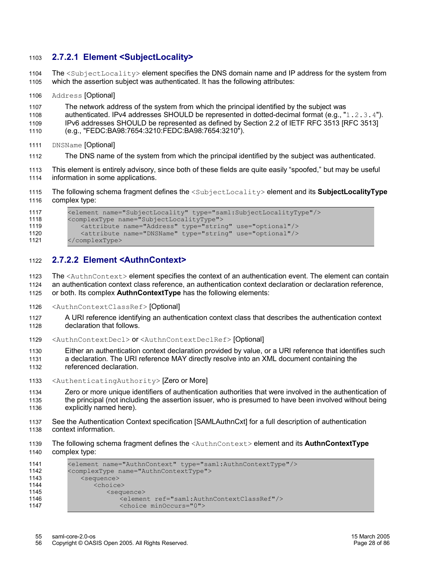#### **2.7.2.1 Element <SubjectLocality>** 1103

The <SubjectLocality> element specifies the DNS domain name and IP address for the system from which the assertion subject was authenticated. It has the following attributes: 1104 1105

- Address [Optional] 1106
- The network address of the system from which the principal identified by the subject was 1107
- authenticated. IPv4 addresses SHOULD be represented in dotted-decimal format (e.g., "1.2.3.4"). 1108

IPv6 addresses SHOULD be represented as defined by Section 2.2 of IETF RFC 3513 [RFC 3513] 1109

- (e.g., "FEDC:BA98:7654:3210:FEDC:BA98:7654:3210"). 1110
- DNSName [Optional] 1111
- The DNS name of the system from which the principal identified by the subject was authenticated. 1112

This element is entirely advisory, since both of these fields are quite easily "spoofed," but may be useful information in some applications. 1113 1114

The following schema fragment defines the <SubjectLocality> element and its **SubjectLocalityType** complex type: 1115 1116

| 1117 | <element name="SubjectLocality" type="saml:SubjectLocalityType"></element> |
|------|----------------------------------------------------------------------------|
| 1118 | <complextype name="SubjectLocalityType"></complextype>                     |
| 1119 | <attribute name="Address" type="string" use="optional"></attribute>        |
| 1120 | <attribute name="DNSName" type="string" use="optional"></attribute>        |
| 1121 | $\langle$ /complexType>                                                    |

#### **2.7.2.2 Element <AuthnContext>** 1122

The <AuthnContext> element specifies the context of an authentication event. The element can contain an authentication context class reference, an authentication context declaration or declaration reference, or both. Its complex **AuthnContextType** has the following elements: 1123 1124 1125

- <AuthnContextClassRef> [Optional] 1126
- A URI reference identifying an authentication context class that describes the authentication context declaration that follows. 1127 1128
- <AuthnContextDecl> or <AuthnContextDeclRef> [Optional] 1129
- Either an authentication context declaration provided by value, or a URI reference that identifies such a declaration. The URI reference MAY directly resolve into an XML document containing the referenced declaration. 1130 1131 1132
- <AuthenticatingAuthority> [Zero or More] 1133
- Zero or more unique identifiers of authentication authorities that were involved in the authentication of the principal (not including the assertion issuer, who is presumed to have been involved without being explicitly named here). 1134 1135 1136
- See the Authentication Context specification [SAMLAuthnCxt] for a full description of authentication context information. 1137 1138
- The following schema fragment defines the <AuthnContext> element and its **AuthnContextType** complex type: 1139 1140

| 1141 | <element name="AuthnContext" type="saml:AuthnContextType"></element> |
|------|----------------------------------------------------------------------|
| 1142 | <complextype name="AuthnContextType"></complextype>                  |
| 1143 | $<$ sequence $>$                                                     |
| 1144 | <choice></choice>                                                    |
| 1145 | $<$ sequence $>$                                                     |
| 1146 | <element ref="saml:AuthnContextClassRef"></element>                  |
| 1147 | <choice minoccurs="0"></choice>                                      |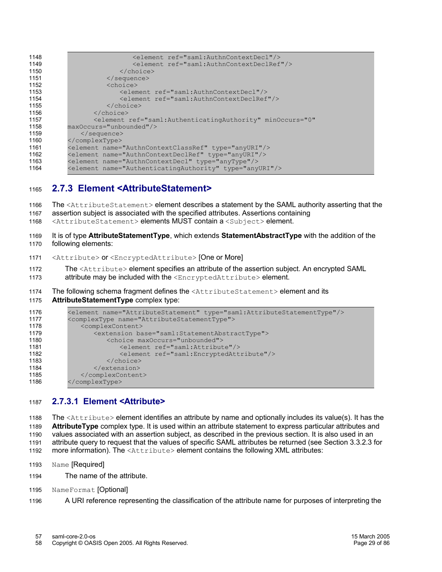| 1148 | <element ref="saml:AuthnContextDecl"></element>                                 |
|------|---------------------------------------------------------------------------------|
| 1149 | <element ref="saml:AuthnContextDeclRef"></element>                              |
| 1150 | $\langle$ /choice>                                                              |
| 1151 | $\langle$ /sequence>                                                            |
| 1152 | <choice></choice>                                                               |
| 1153 | <element ref="saml:AuthnContextDecl"></element>                                 |
| 1154 | <element ref="saml:AuthnContextDeclRef"></element>                              |
| 1155 | $\langle$ /choice>                                                              |
| 1156 | $\langle$ /choice>                                                              |
| 1157 | <element <="" minoccurs="0" ref="saml:AuthenticatingAuthority" th=""></element> |
| 1158 | maxOccurs="unbounded"/>                                                         |
| 1159 | $\langle$ /sequence>                                                            |
| 1160 |                                                                                 |
| 1161 | <element name="AuthnContextClassRef" type="anyURI"></element>                   |
| 1162 | <element name="AuthnContextDeclRef" type="anyURI"></element>                    |
| 1163 | <element name="AuthnContextDecl" type="anyType"></element>                      |
| 1164 | <element name="AuthenticatingAuthority" type="anyURI"></element>                |
|      |                                                                                 |

#### **2.7.3 Element <AttributeStatement>** 1165

The <AttributeStatement> element describes a statement by the SAML authority asserting that the assertion subject is associated with the specified attributes. Assertions containing 1166 1167

<AttributeStatement> elements MUST contain a <Subject> element. 1168

It is of type **AttributeStatementType**, which extends **StatementAbstractType** with the addition of the following elements: 1169 1170

- <Attribute> or <EncryptedAttribute> [One or More] 1171
- The <Attribute> element specifies an attribute of the assertion subject. An encrypted SAML attribute may be included with the <EncryptedAttribute> element. 1172 1173
- The following schema fragment defines the <AttributeStatement> element and its 1174
- **AttributeStatementType** complex type: 1175

| 1176 | <element name="AttributeStatement" type="saml:AttributeStatementType"></element> |  |
|------|----------------------------------------------------------------------------------|--|
| 1177 | <complextype name="AttributeStatementType"></complextype>                        |  |
| 1178 | <complexcontent></complexcontent>                                                |  |
| 1179 | <extension base="saml:StatementAbstractType"></extension>                        |  |
| 1180 | <choice maxoccurs="unbounded"></choice>                                          |  |
| 1181 | <element ref="saml:Attribute"></element>                                         |  |
| 1182 | <element ref="saml:EncryptedAttribute"></element>                                |  |
| 1183 | $\langle$ /choice>                                                               |  |
| 1184 | $\langle$ /extension>                                                            |  |
| 1185 |                                                                                  |  |
| 1186 |                                                                                  |  |

#### **2.7.3.1 Element <Attribute>** 1187

The <Attribute> element identifies an attribute by name and optionally includes its value(s). It has the **AttributeType** complex type. It is used within an attribute statement to express particular attributes and values associated with an assertion subject, as described in the previous section. It is also used in an attribute query to request that the values of specific SAML attributes be returned (see Section 3.3.2.3 for more information). The <Attribute> element contains the following XML attributes: 1188 1189 1190 1191 1192

- Name [Required] 1193
- The name of the attribute. 1194
- NameFormat [Optional] 1195
- A URI reference representing the classification of the attribute name for purposes of interpreting the 1196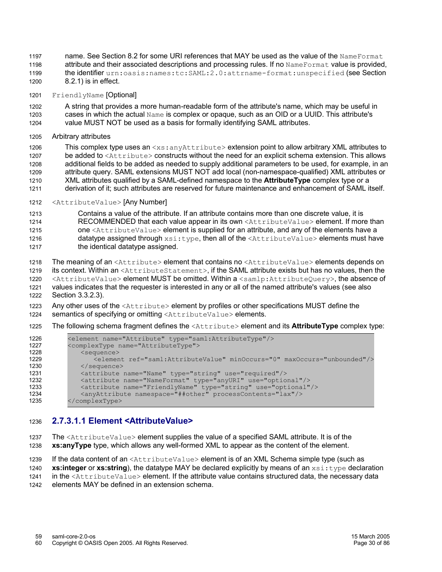name. See Section 8.2 for some URI references that MAY be used as the value of the NameFormat attribute and their associated descriptions and processing rules. If no Name Format value is provided, 1197 1198

- the identifier urn:oasis:names:tc:SAML:2.0:attrname-format:unspecified (see Section 1199
- 8.2.1) is in effect. 1200
- FriendlyName [Optional] 1201

A string that provides a more human-readable form of the attribute's name, which may be useful in cases in which the actual Name is complex or opaque, such as an OID or a UUID. This attribute's value MUST NOT be used as a basis for formally identifying SAML attributes. 1202 1203 1204

Arbitrary attributes 1205

This complex type uses an  $\langle x \rangle$  any Attribute > extension point to allow arbitrary XML attributes to be added to <Attribute> constructs without the need for an explicit schema extension. This allows additional fields to be added as needed to supply additional parameters to be used, for example, in an attribute query. SAML extensions MUST NOT add local (non-namespace-qualified) XML attributes or XML attributes qualified by a SAML-defined namespace to the **AttributeType** complex type or a derivation of it; such attributes are reserved for future maintenance and enhancement of SAML itself. 1206 1207 1208 1209 1210 1211

<AttributeValue> [Any Number] 1212

Contains a value of the attribute. If an attribute contains more than one discrete value, it is RECOMMENDED that each value appear in its own <AttributeValue> element. If more than one <AttributeValue> element is supplied for an attribute, and any of the elements have a datatype assigned through  $xsi:type$ , then all of the  $\forall$ attributeValue> elements must have the identical datatype assigned. 1213 1214 1215 1216 1217

The meaning of an <Attribute> element that contains no <AttributeValue> elements depends on 1218

its context. Within an <AttributeStatement>, if the SAML attribute exists but has no values, then the <AttributeValue> element MUST be omitted. Within a <samlp:AttributeQuery>, the absence of values indicates that the requester is interested in any or all of the named attribute's values (see also Section 3.3.2.3). 1219 1220 1221 1222

- Any other uses of the <Attribute> element by profiles or other specifications MUST define the 1223
- semantics of specifying or omitting <AttributeValue> elements. 1224
- The following schema fragment defines the <Attribute> element and its **AttributeType** complex type: 1225

| 1226 | <element name="Attribute" type="saml:AttributeType"></element>                    |
|------|-----------------------------------------------------------------------------------|
| 1227 | <complextype name="AttributeType"></complextype>                                  |
| 1228 | $\leq$ sequence $>$                                                               |
| 1229 | <element maxoccurs="unbounded" minoccurs="0" ref="saml:AttributeValue"></element> |
| 1230 | $\langle$ /sequence>                                                              |
| 1231 | <attribute name="Name" type="string" use="required"></attribute>                  |
| 1232 | <attribute name="NameFormat" type="anyURI" use="optional"></attribute>            |
| 1233 | <attribute name="FriendlyName" type="string" use="optional"></attribute>          |
| 1234 | <anyattribute namespace="##other" processcontents="lax"></anyattribute>           |
| 1235 |                                                                                   |
|      |                                                                                   |

#### **2.7.3.1.1 Element <AttributeValue>** 1236

The <AttributeValue> element supplies the value of a specified SAML attribute. It is of the **xs:anyType** type, which allows any well-formed XML to appear as the content of the element. 1237 1238

If the data content of an  $\leq$ AttributeValue> element is of an XML Schema simple type (such as **xs:integer** or **xs:string**), the datatype MAY be declared explicitly by means of an xsi:type declaration 1239 1240

in the <AttributeValue> element. If the attribute value contains structured data, the necessary data 1241

elements MAY be defined in an extension schema. 1242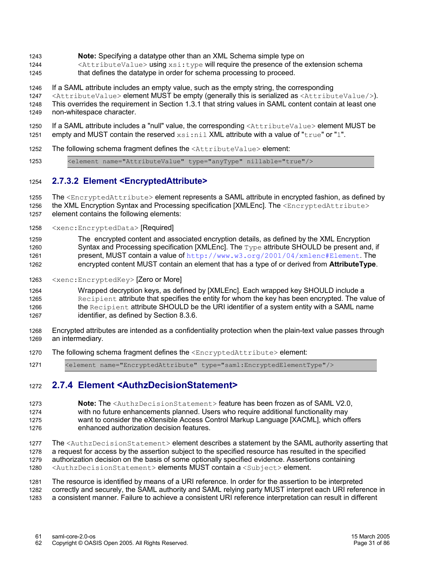- **Note:** Specifying a datatype other than an XML Schema simple type on  $1243$
- $\forall$ AttributeValue> using  $xsi:type$  will require the presence of the extension schema that defines the datatype in order for schema processing to proceed. 1244 1245
- 
- If a SAML attribute includes an empty value, such as the empty string, the corresponding 1246
- <AttributeValue> element MUST be empty (generally this is serialized as <AttributeValue/>). This overrides the requirement in Section 1.3.1 that string values in SAML content contain at least one 1247 1248
- non-whitespace character. 1249
- If a SAML attribute includes a "null" value, the corresponding <AttributeValue> element MUST be empty and MUST contain the reserved xsi:nil XML attribute with a value of "true" or "1". 1250 1251
- The following schema fragment defines the <AttributeValue> element: 1252

<element name="AttributeValue" type="anyType" nillable="true"/> 1253

#### **2.7.3.2 Element <EncryptedAttribute>** 1254

- The  $\epsilon$ EncryptedAttribute> element represents a SAML attribute in encrypted fashion, as defined by 1255
- the XML Encryption Syntax and Processing specification [XMLEnc]. The <EncryptedAttribute> element contains the following elements: 1256 1257
- <xenc:EncryptedData> [Required] 1258
- The encrypted content and associated encryption details, as defined by the XML Encryption Syntax and Processing specification  $[XMLEnc]$ . The  $Type$  attribute SHOULD be present and, if present, MUST contain a value of http://www.w3.org/2001/04/xmlenc#Element. The encrypted content MUST contain an element that has a type of or derived from **AttributeType**. 1259 1260 1261 1262
- <xenc:EncryptedKey> [Zero or More] 1263

Wrapped decryption keys, as defined by [XMLEnc]. Each wrapped key SHOULD include a Recipient attribute that specifies the entity for whom the key has been encrypted. The value of the Recipient attribute SHOULD be the URI identifier of a system entity with a SAML name identifier, as defined by Section 8.3.6. 1264 1265 1266 1267

- Encrypted attributes are intended as a confidentiality protection when the plain-text value passes through an intermediary. 1268 1269
- The following schema fragment defines the <EncryptedAttribute> element: 1270
- <element name="EncryptedAttribute" type="saml:EncryptedElementType"/> 1271

#### **2.7.4 Element <AuthzDecisionStatement>** 1272

- **Note:** The <AuthzDecisionStatement> feature has been frozen as of SAML V2.0, with no future enhancements planned. Users who require additional functionality may want to consider the eXtensible Access Control Markup Language [XACML], which offers enhanced authorization decision features. 1273 1274 1275 1276
- The <AuthzDecisionStatement> element describes a statement by the SAML authority asserting that a request for access by the assertion subject to the specified resource has resulted in the specified authorization decision on the basis of some optionally specified evidence. Assertions containing <AuthzDecisionStatement> elements MUST contain a <Subject> element. 1277 1278 1279 1280
- The resource is identified by means of a URI reference. In order for the assertion to be interpreted correctly and securely, the SAML authority and SAML relying party MUST interpret each URI reference in a consistent manner. Failure to achieve a consistent URI reference interpretation can result in different 1281 1282 1283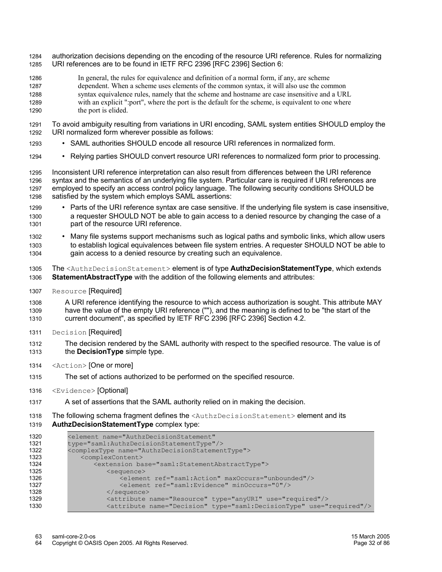- authorization decisions depending on the encoding of the resource URI reference. Rules for normalizing URI references are to be found in IETF RFC 2396 [RFC 2396] Section 6: 1284 1285
- In general, the rules for equivalence and definition of a normal form, if any, are scheme dependent. When a scheme uses elements of the common syntax, it will also use the common syntax equivalence rules, namely that the scheme and hostname are case insensitive and a URL with an explicit ":port", where the port is the default for the scheme, is equivalent to one where the port is elided. 1286 1287 1288 1289 1290
- To avoid ambiguity resulting from variations in URI encoding, SAML system entities SHOULD employ the URI normalized form wherever possible as follows: 1291 1292
- SAML authorities SHOULD encode all resource URI references in normalized form. 1293
- Relying parties SHOULD convert resource URI references to normalized form prior to processing. 1294

Inconsistent URI reference interpretation can also result from differences between the URI reference syntax and the semantics of an underlying file system. Particular care is required if URI references are employed to specify an access control policy language. The following security conditions SHOULD be satisfied by the system which employs SAML assertions: 1295 1296 1297 1298

- Parts of the URI reference syntax are case sensitive. If the underlying file system is case insensitive, a requester SHOULD NOT be able to gain access to a denied resource by changing the case of a part of the resource URI reference. 1299 1300 1301
- Many file systems support mechanisms such as logical paths and symbolic links, which allow users to establish logical equivalences between file system entries. A requester SHOULD NOT be able to gain access to a denied resource by creating such an equivalence. 1302 1303 1304
- The <AuthzDecisionStatement> element is of type **AuthzDecisionStatementType**, which extends **StatementAbstractType** with the addition of the following elements and attributes: 1305 1306
- Resource [Required] 1307

A URI reference identifying the resource to which access authorization is sought. This attribute MAY have the value of the empty URI reference (""), and the meaning is defined to be "the start of the current document", as specified by IETF RFC 2396 [RFC 2396] Section 4.2. 1308 1309 1310

- Decision [Required] 1311
- The decision rendered by the SAML authority with respect to the specified resource. The value is of the **DecisionType** simple type. 1312 1313
- <Action> [One or more] 1314
- The set of actions authorized to be performed on the specified resource. 1315
- <Evidence> [Optional] 1316
- A set of assertions that the SAML authority relied on in making the decision. 1317
- The following schema fragment defines the <AuthzDecisionStatement> element and its 1318

#### **AuthzDecisionStatementType** complex type: 1319

| 1320 | <element <="" name="AuthzDecisionStatement" th=""></element>                    |
|------|---------------------------------------------------------------------------------|
| 1321 | type="saml:AuthzDecisionStatementType"/>                                        |
| 1322 | <complextype name="AuthzDecisionStatementType"></complextype>                   |
| 1323 | <complexcontent></complexcontent>                                               |
| 1324 | <extension base="saml:StatementAbstractType"></extension>                       |
| 1325 | $<$ sequence $>$                                                                |
| 1326 | <element maxoccurs="unbounded" ref="saml:Action"></element>                     |
| 1327 | <element minoccurs="0" ref="saml:Evidence"></element>                           |
| 1328 | $\langle$ /sequence>                                                            |
| 1329 | <attribute name="Resource" type="anyURI" use="required"></attribute>            |
| 1330 | <attribute name="Decision" type="saml:DecisionType" use="required"></attribute> |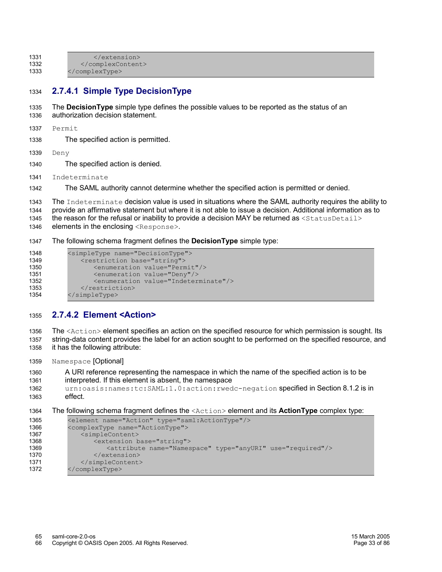| 1331 | $\langle$ /extension> |
|------|-----------------------|
| 1332 |                       |
| 1333 |                       |

#### **2.7.4.1 Simple Type DecisionType** 1334

The **DecisionType** simple type defines the possible values to be reported as the status of an 1335

- authorization decision statement. 1336
- Permit 1337
- The specified action is permitted. 1338
- Deny 1339

The specified action is denied. 1340

Indeterminate 1341

The SAML authority cannot determine whether the specified action is permitted or denied. 1342

The Indeterminate decision value is used in situations where the SAML authority requires the ability to 1343

provide an affirmative statement but where it is not able to issue a decision. Additional information as to the reason for the refusal or inability to provide a decision MAY be returned as <statusDetail> 1344 1345

elements in the enclosing <Response>. 1346

The following schema fragment defines the **DecisionType** simple type: 1347

```
<simpleType name="DecisionType">
              <restriction base="string">
                 <enumeration value="Permit"/>
                 <enumeration value="Deny"/>
                 <enumeration value="Indeterminate"/>
              </restriction>
          </simpleType>
1348
1349
1350
1351
1352
1353
1354
```
#### **2.7.4.2 Element <Action>** 1355

The <Action> element specifies an action on the specified resource for which permission is sought. Its string-data content provides the label for an action sought to be performed on the specified resource, and it has the following attribute: 1356 1357 1358

- Namespace [Optional] 1359
- A URI reference representing the namespace in which the name of the specified action is to be interpreted. If this element is absent, the namespace 1360 1361
- urn:oasis:names:tc:SAML:1.0:action:rwedc-negation specified in Section 8.1.2 is in effect. 1362 1363

```
The following schema fragment defines the <Action> element and its ActionType complex type:
          <element name="Action" type="saml:ActionType"/>
          <complexType name="ActionType">
              <simpleContent>
                  <extension base="string">
                     <attribute name="Namespace" type="anyURI" use="required"/>
                 </extension>
              </simpleContent>
          </complexType>
1364
1365
1366
1367
1368
1369
1370
1371
1372
```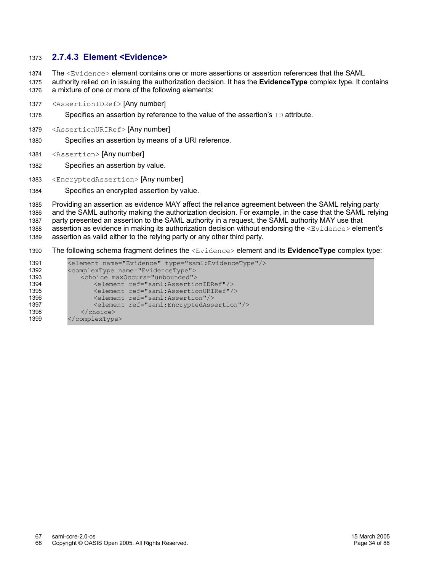#### **2.7.4.3 Element <Evidence>** 1373

The <Evidence> element contains one or more assertions or assertion references that the SAML 1374

authority relied on in issuing the authorization decision. It has the **EvidenceType** complex type. It contains a mixture of one or more of the following elements: 1375 1376

- <AssertionIDRef> [Any number] 1377
- Specifies an assertion by reference to the value of the assertion's ID attribute. 1378
- <AssertionURIRef> [Any number] 1379
- Specifies an assertion by means of a URI reference. 1380
- <Assertion> [Any number] 1381
- Specifies an assertion by value. 1382
- <EncryptedAssertion> [Any number] 1383
- Specifies an encrypted assertion by value. 1384

Providing an assertion as evidence MAY affect the reliance agreement between the SAML relying party and the SAML authority making the authorization decision. For example, in the case that the SAML relying party presented an assertion to the SAML authority in a request, the SAML authority MAY use that assertion as evidence in making its authorization decision without endorsing the  $\langle$ Evidence> element's assertion as valid either to the relying party or any other third party. 1385 1386 1387 1388 1389

The following schema fragment defines the <Evidence> element and its **EvidenceType** complex type: 1390

| 1391<br>1392 | <element name="Evidence" type="saml:EvidenceType"></element><br><complextype name="EvidenceType"></complextype> |
|--------------|-----------------------------------------------------------------------------------------------------------------|
| 1393         | <choice max0ccurs="unbounded"></choice>                                                                         |
| 1394         | <element ref="saml:AssertionIDRef"></element>                                                                   |
| 1395         | <element ref="saml:AssertionURIRef"></element>                                                                  |
| 1396         | <element ref="saml:Assertion"></element>                                                                        |
| 1397         | <element ref="saml:EncryptedAssertion"></element>                                                               |
| 1398         | $\langle$ /choice>                                                                                              |
| 1399         |                                                                                                                 |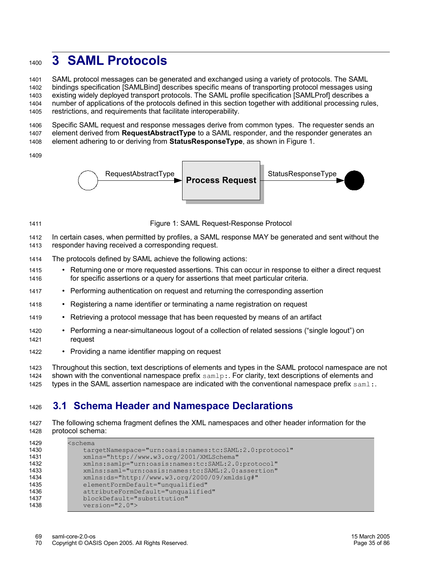## **3 SAML Protocols** 1400

SAML protocol messages can be generated and exchanged using a variety of protocols. The SAML bindings specification [SAMLBind] describes specific means of transporting protocol messages using existing widely deployed transport protocols. The SAML profile specification [SAMLProf] describes a number of applications of the protocols defined in this section together with additional processing rules, restrictions, and requirements that facilitate interoperability. 1401 1402 1403 1404 1405

Specific SAML request and response messages derive from common types. The requester sends an element derived from **RequestAbstractType** to a SAML responder, and the responder generates an element adhering to or deriving from **StatusResponseType**, as shown in Figure 1. 1406 1407 1408

1409



1411

Figure 1: SAML Request-Response Protocol

In certain cases, when permitted by profiles, a SAML response MAY be generated and sent without the responder having received a corresponding request. 1412 1413

- The protocols defined by SAML achieve the following actions: 1414
- Returning one or more requested assertions. This can occur in response to either a direct request for specific assertions or a query for assertions that meet particular criteria. 1415 1416
- Performing authentication on request and returning the corresponding assertion 1417
- Registering a name identifier or terminating a name registration on request 1418
- Retrieving a protocol message that has been requested by means of an artifact 1419
- Performing a near-simultaneous logout of a collection of related sessions ("single logout") on request 1420 1421
- Providing a name identifier mapping on request 1422

Throughout this section, text descriptions of elements and types in the SAML protocol namespace are not shown with the conventional namespace prefix samlp:. For clarity, text descriptions of elements and 1423 1424

types in the SAML assertion namespace are indicated with the conventional namespace prefix  $\text{saml}:$ 1425

#### **3.1 Schema Header and Namespace Declarations** 1426

The following schema fragment defines the XML namespaces and other header information for the protocol schema: 1427 1428

| <schema< th=""></schema<>                              |
|--------------------------------------------------------|
| targetNamespace="urn:oasis:names:tc:SAML:2.0:protocol" |
| xmlns="http://www.w3.org/2001/XMLSchema"               |
| xmlns:samlp="urn:oasis:names:tc:SAML:2.0:protocol"     |
| xmlns:saml="urn:oasis:names:tc:SAML:2.0:assertion"     |
| xmlns:ds="http://www.w3.org/2000/09/xmldsig#"          |
| elementFormDefault="unqualified"                       |
| attributeFormDefault="unqualified"                     |
| blockDefault="substitution"                            |
| $version="2.0"$                                        |
|                                                        |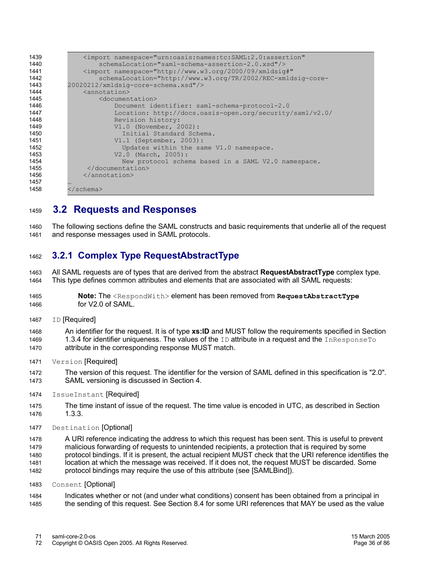| 1439 | <import <="" namespace="urn:oasis:names:tc:SAML:2.0:assertion" th=""></import> |
|------|--------------------------------------------------------------------------------|
| 1440 | schemaLocation="saml-schema-assertion-2.0.xsd"/>                               |
| 1441 | <import <="" namespace="http://www.w3.org/2000/09/xmldsig#" th=""></import>    |
| 1442 | schemaLocation="http://www.w3.org/TR/2002/REC-xmldsig-core-                    |
| 1443 | 20020212/xmldsig-core-schema.xsd"/>                                            |
| 1444 | <annotation></annotation>                                                      |
| 1445 | <documentation></documentation>                                                |
| 1446 | Document identifier: saml-schema-protocol-2.0                                  |
| 1447 | Location: http://docs.oasis-open.org/security/saml/v2.0/                       |
| 1448 | Revision history:                                                              |
| 1449 | V1.0 (November, 2002):                                                         |
| 1450 | Initial Standard Schema.                                                       |
| 1451 | $V1.1$ (September, 2003):                                                      |
| 1452 | Updates within the same V1.0 namespace.                                        |
| 1453 | V2.0 (March, 2005):                                                            |
| 1454 | New protocol schema based in a SAML V2.0 namespace.                            |
| 1455 |                                                                                |
| 1456 | $\langle$ annotation>                                                          |
| 1457 |                                                                                |
| 1458 | $\langle$ /schema>                                                             |
|      |                                                                                |

#### **3.2 Requests and Responses** 1459

The following sections define the SAML constructs and basic requirements that underlie all of the request and response messages used in SAML protocols. 1460 1461

#### **3.2.1 Complex Type RequestAbstractType** 1462

All SAML requests are of types that are derived from the abstract **RequestAbstractType** complex type. This type defines common attributes and elements that are associated with all SAML requests: 1463 1464

- **Note:** The <RespondWith> element has been removed from **RequestAbstractType** for V2.0 of SAML. 1465 1466
- ID [Required] 1467

An identifier for the request. It is of type **xs:ID** and MUST follow the requirements specified in Section 1.3.4 for identifier uniqueness. The values of the  $ID$  attribute in a request and the  $InResponseTo$ attribute in the corresponding response MUST match. 1468 1469 1470

Version [Required] 1471

The version of this request. The identifier for the version of SAML defined in this specification is "2.0". SAML versioning is discussed in Section 4. 1472 1473

- IssueInstant [Required] 1474
- The time instant of issue of the request. The time value is encoded in UTC, as described in Section 1.3.3. 1475 1476
- Destination [Optional] 1477

A URI reference indicating the address to which this request has been sent. This is useful to prevent malicious forwarding of requests to unintended recipients, a protection that is required by some protocol bindings. If it is present, the actual recipient MUST check that the URI reference identifies the location at which the message was received. If it does not, the request MUST be discarded. Some protocol bindings may require the use of this attribute (see [SAMLBind]). 1478 1479 1480 1481 1482

- Consent [Optional] 1483
- Indicates whether or not (and under what conditions) consent has been obtained from a principal in the sending of this request. See Section 8.4 for some URI references that MAY be used as the value 1484 1485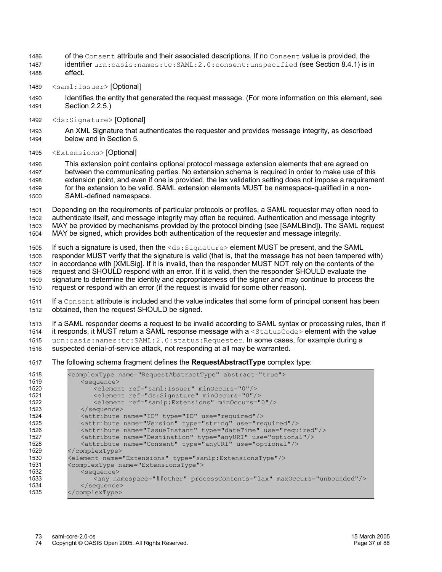- of the Consent attribute and their associated descriptions. If no Consent value is provided, the identifier urn:oasis:names:tc:SAML:2.0:consent:unspecified (see Section 8.4.1) is in effect. 1486 1487 1488
- <saml:Issuer> [Optional] 1489
- Identifies the entity that generated the request message. (For more information on this element, see Section 2.2.5.) 1490 1491
- <ds:Signature> [Optional] 1492
- An XML Signature that authenticates the requester and provides message integrity, as described below and in Section 5. 1493 1494
- <Extensions> [Optional] 1495

This extension point contains optional protocol message extension elements that are agreed on between the communicating parties. No extension schema is required in order to make use of this extension point, and even if one is provided, the lax validation setting does not impose a requirement for the extension to be valid. SAML extension elements MUST be namespace-qualified in a non-SAML-defined namespace. 1496 1497 1498 1499 1500

Depending on the requirements of particular protocols or profiles, a SAML requester may often need to authenticate itself, and message integrity may often be required. Authentication and message integrity MAY be provided by mechanisms provided by the protocol binding (see [SAMLBind]). The SAML request MAY be signed, which provides both authentication of the requester and message integrity. 1501 1502 1503 1504

If such a signature is used, then the <ds: Signature> element MUST be present, and the SAML responder MUST verify that the signature is valid (that is, that the message has not been tampered with) in accordance with [XMLSig]. If it is invalid, then the responder MUST NOT rely on the contents of the request and SHOULD respond with an error. If it is valid, then the responder SHOULD evaluate the signature to determine the identity and appropriateness of the signer and may continue to process the request or respond with an error (if the request is invalid for some other reason). 1505 1506 1507 1508 1509 1510

If a Consent attribute is included and the value indicates that some form of principal consent has been obtained, then the request SHOULD be signed. 1511 1512

If a SAML responder deems a request to be invalid according to SAML syntax or processing rules, then if it responds, it MUST return a SAML response message with a  $\leq$ tatusCode> element with the value urn:oasis:names:tc:SAML:2.0:status:Requester. In some cases, for example during a suspected denial-of-service attack, not responding at all may be warranted. 1513 1514 1515 1516

The following schema fragment defines the **RequestAbstractType** complex type: 1517

| 1518 | <complextype abstract="true" name="RequestAbstractType"></complextype>      |
|------|-----------------------------------------------------------------------------|
| 1519 | $<$ sequence $>$                                                            |
| 1520 | <element minoccurs="0" ref="saml:Issuer"></element>                         |
| 1521 | <element minoccurs="0" ref="ds:Signature"></element>                        |
| 1522 | <element minoccurs="0" ref="samlp:Extensions"></element>                    |
| 1523 | $\langle$ /sequence>                                                        |
| 1524 | <attribute name="ID" type="ID" use="required"></attribute>                  |
| 1525 | <attribute name="Version" type="string" use="required"></attribute>         |
| 1526 | <attribute name="IssueInstant" type="dateTime" use="required"></attribute>  |
| 1527 | <attribute name="Destination" type="anyURI" use="optional"></attribute>     |
| 1528 | <attribute name="Consent" type="anyURI" use="optional"></attribute>         |
| 1529 |                                                                             |
| 1530 | <element name="Extensions" type="samlp:ExtensionsType"></element>           |
| 1531 | <complextype name="ExtensionsType"></complextype>                           |
| 1532 | <sequence></sequence>                                                       |
| 1533 | <any maxoccurs="unbounded" namespace="##other" processcontents="lax"></any> |
| 1534 | $\langle$ /sequence>                                                        |
| 1535 |                                                                             |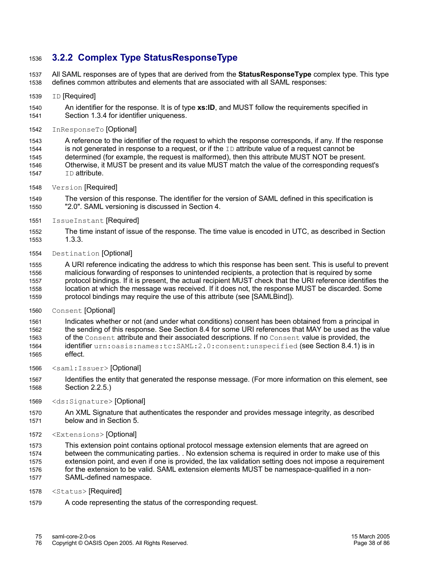## **3.2.2 Complex Type StatusResponseType** 1536

All SAML responses are of types that are derived from the **StatusResponseType** complex type. This type defines common attributes and elements that are associated with all SAML responses: 1537 1538

ID [Required] 1539

An identifier for the response. It is of type **xs:ID**, and MUST follow the requirements specified in Section 1.3.4 for identifier uniqueness. 1540 1541

InResponseTo [Optional] 1542

A reference to the identifier of the request to which the response corresponds, if any. If the response is not generated in response to a request, or if the  $ID$  attribute value of a request cannot be determined (for example, the request is malformed), then this attribute MUST NOT be present. Otherwise, it MUST be present and its value MUST match the value of the corresponding request's ID attribute. 1543 1544 1545 1546 1547

Version [Required] 1548

The version of this response. The identifier for the version of SAML defined in this specification is "2.0". SAML versioning is discussed in Section 4. 1549 1550

IssueInstant [Required] 1551

The time instant of issue of the response. The time value is encoded in UTC, as described in Section 1.3.3. 1552 1553

Destination [Optional] 1554

A URI reference indicating the address to which this response has been sent. This is useful to prevent malicious forwarding of responses to unintended recipients, a protection that is required by some protocol bindings. If it is present, the actual recipient MUST check that the URI reference identifies the location at which the message was received. If it does not, the response MUST be discarded. Some protocol bindings may require the use of this attribute (see [SAMLBind]). 1555 1556 1557 1558 1559

Consent [Optional] 1560

Indicates whether or not (and under what conditions) consent has been obtained from a principal in the sending of this response. See Section 8.4 for some URI references that MAY be used as the value of the Consent attribute and their associated descriptions. If no Consent value is provided, the identifier urn:oasis:names:tc:SAML:2.0:consent:unspecified (see Section 8.4.1) is in effect. 1561 1562 1563 1564 1565

- <saml:Issuer> [Optional] 1566
- Identifies the entity that generated the response message. (For more information on this element, see Section 2.2.5.) 1567 1568
- <ds:Signature> [Optional] 1569

An XML Signature that authenticates the responder and provides message integrity, as described below and in Section 5. 1570 1571

<Extensions> [Optional] 1572

This extension point contains optional protocol message extension elements that are agreed on between the communicating parties. . No extension schema is required in order to make use of this 1573 1574

- extension point, and even if one is provided, the lax validation setting does not impose a requirement for the extension to be valid. SAML extension elements MUST be namespace-qualified in a non-1575 1576
- SAML-defined namespace. 1577
- <Status> [Required] 1578
- A code representing the status of the corresponding request. 1579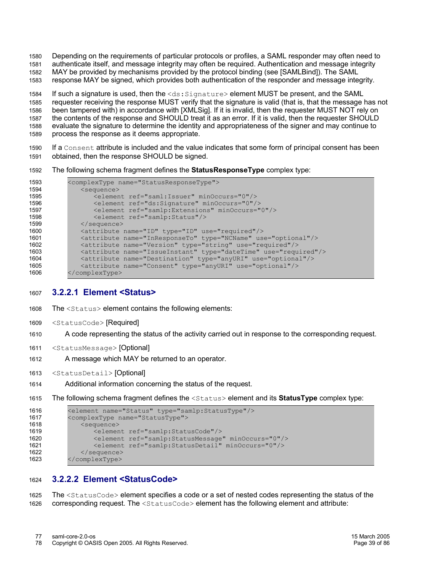Depending on the requirements of particular protocols or profiles, a SAML responder may often need to authenticate itself, and message integrity may often be required. Authentication and message integrity 1580 1581

MAY be provided by mechanisms provided by the protocol binding (see [SAMLBind]). The SAML 1582

response MAY be signed, which provides both authentication of the responder and message integrity. 1583

If such a signature is used, then the  $\langle ds : S \rangle$  ignature  $>$  element MUST be present, and the SAML requester receiving the response MUST verify that the signature is valid (that is, that the message has not been tampered with) in accordance with [XMLSig]. If it is invalid, then the requester MUST NOT rely on the contents of the response and SHOULD treat it as an error. If it is valid, then the requester SHOULD evaluate the signature to determine the identity and appropriateness of the signer and may continue to process the response as it deems appropriate. 1584 1585 1586 1587 1588 1589

If a Consent attribute is included and the value indicates that some form of principal consent has been obtained, then the response SHOULD be signed. 1590 1591

The following schema fragment defines the **StatusResponseType** complex type: 1592

| 1593 | <complextype name="StatusResponseType"></complextype>                      |
|------|----------------------------------------------------------------------------|
| 1594 | <sequence></sequence>                                                      |
| 1595 | <element minoccurs="0" ref="saml: Issuer"></element>                       |
| 1596 | <element minoccurs="0" ref="ds:Signature"></element>                       |
| 1597 | <element minoccurs="0" ref="samlp:Extensions"></element>                   |
| 1598 | <element ref="samlp:Status"></element>                                     |
| 1599 | $\langle$ /sequence>                                                       |
| 1600 | <attribute name="ID" type="ID" use="required"></attribute>                 |
| 1601 | <attribute name="InResponseTo" type="NCName" use="optional"></attribute>   |
| 1602 | <attribute name="Version" type="string" use="required"></attribute>        |
| 1603 | <attribute name="IssueInstant" type="dateTime" use="required"></attribute> |
| 1604 | <attribute name="Destination" type="anyURI" use="optional"></attribute>    |
| 1605 | <attribute name="Consent" type="anyURI" use="optional"></attribute>        |
| 1606 |                                                                            |

#### **3.2.2.1 Element <Status>** 1607

The <Status> element contains the following elements: 1608

- <StatusCode> [Required] 1609
- A code representing the status of the activity carried out in response to the corresponding request. 1610
- <StatusMessage> [Optional] 1611
- A message which MAY be returned to an operator. 1612
- <StatusDetail> [Optional] 1613
- Additional information concerning the status of the request. 1614
- The following schema fragment defines the <Status> element and its **StatusType** complex type: 1615

```
<element name="Status" type="samlp:StatusType"/>
          <complexType name="StatusType">
              <sequence>
                 <element ref="samlp:StatusCode"/>
                 <element ref="samlp:StatusMessage" minOccurs="0"/>
                 <element ref="samlp:StatusDetail" minOccurs="0"/>
              </sequence>
          </complexType>
1616
1617
1618
1619
1620
1621
1622
1623
```
#### **3.2.2.2 Element <StatusCode>** 1624

The <StatusCode> element specifies a code or a set of nested codes representing the status of the corresponding request. The <StatusCode> element has the following element and attribute: 1625 1626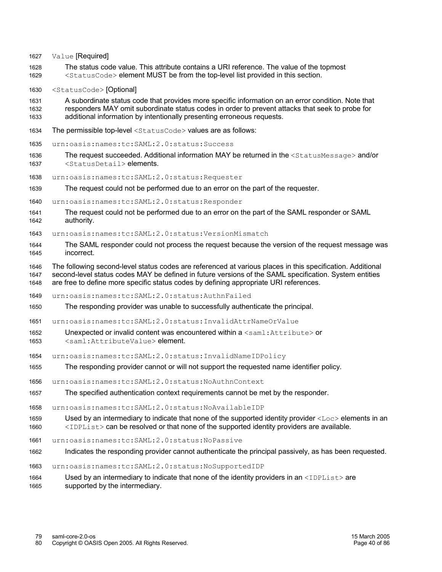Value [Required] 1627

- The status code value. This attribute contains a URI reference. The value of the topmost <StatusCode> element MUST be from the top-level list provided in this section. 1628 1629
- <StatusCode> [Optional] 1630

A subordinate status code that provides more specific information on an error condition. Note that responders MAY omit subordinate status codes in order to prevent attacks that seek to probe for additional information by intentionally presenting erroneous requests. 1631 1632 1633

- The permissible top-level <StatusCode> values are as follows: 1634
- urn:oasis:names:tc:SAML:2.0:status:Success 1635
- The request succeeded. Additional information MAY be returned in the <StatusMessage> and/or <StatusDetail> elements. 1636 1637
- urn:oasis:names:tc:SAML:2.0:status:Requester 1638
- The request could not be performed due to an error on the part of the requester. 1639
- urn:oasis:names:tc:SAML:2.0:status:Responder 1640
- The request could not be performed due to an error on the part of the SAML responder or SAML authority. 1641 1642
- urn:oasis:names:tc:SAML:2.0:status:VersionMismatch 1643
- The SAML responder could not process the request because the version of the request message was incorrect. 1644 1645

The following second-level status codes are referenced at various places in this specification. Additional second-level status codes MAY be defined in future versions of the SAML specification. System entities are free to define more specific status codes by defining appropriate URI references. 1646 1647 1648

- urn:oasis:names:tc:SAML:2.0:status:AuthnFailed 1649
- The responding provider was unable to successfully authenticate the principal. 1650
- urn:oasis:names:tc:SAML:2.0:status:InvalidAttrNameOrValue 1651
- Unexpected or invalid content was encountered within  $a \leq \text{saml}:$ Attribute> or <saml:AttributeValue> element. 1652 1653
- urn:oasis:names:tc:SAML:2.0:status:InvalidNameIDPolicy 1654
- The responding provider cannot or will not support the requested name identifier policy. 1655
- urn:oasis:names:tc:SAML:2.0:status:NoAuthnContext 1656
- The specified authentication context requirements cannot be met by the responder. 1657
- urn:oasis:names:tc:SAML:2.0:status:NoAvailableIDP 1658
- Used by an intermediary to indicate that none of the supported identity provider  $\langle$ Loc $\rangle$  elements in an <IDPList> can be resolved or that none of the supported identity providers are available. 1659 1660
- urn:oasis:names:tc:SAML:2.0:status:NoPassive 1661
- Indicates the responding provider cannot authenticate the principal passively, as has been requested. 1662
- urn:oasis:names:tc:SAML:2.0:status:NoSupportedIDP 1663
- Used by an intermediary to indicate that none of the identity providers in an  $\langle\text{IDPList}\rangle$  are supported by the intermediary. 1664 1665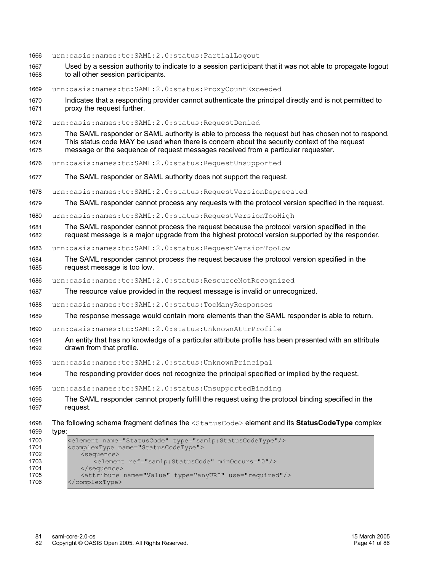|  | 1666 urn:oasis:names:tc:SAML:2.0:status:PartialLogout |  |  |  |
|--|-------------------------------------------------------|--|--|--|
|--|-------------------------------------------------------|--|--|--|

- Used by a session authority to indicate to a session participant that it was not able to propagate logout to all other session participants. 1667 1668
- urn:oasis:names:tc:SAML:2.0:status:ProxyCountExceeded 1669
- Indicates that a responding provider cannot authenticate the principal directly and is not permitted to proxy the request further. 1670 1671
- urn:oasis:names:tc:SAML:2.0:status:RequestDenied 1672
- The SAML responder or SAML authority is able to process the request but has chosen not to respond. This status code MAY be used when there is concern about the security context of the request message or the sequence of request messages received from a particular requester. 1673 1674 1675
- urn:oasis:names:tc:SAML:2.0:status:RequestUnsupported 1676
- The SAML responder or SAML authority does not support the request. 1677
- urn:oasis:names:tc:SAML:2.0:status:RequestVersionDeprecated 1678
- The SAML responder cannot process any requests with the protocol version specified in the request. 1679
- urn:oasis:names:tc:SAML:2.0:status:RequestVersionTooHigh 1680
- The SAML responder cannot process the request because the protocol version specified in the request message is a major upgrade from the highest protocol version supported by the responder. 1681 1682
- urn:oasis:names:tc:SAML:2.0:status:RequestVersionTooLow 1683
- The SAML responder cannot process the request because the protocol version specified in the request message is too low. 1684 1685
- urn:oasis:names:tc:SAML:2.0:status:ResourceNotRecognized 1686
- The resource value provided in the request message is invalid or unrecognized. 1687
- urn:oasis:names:tc:SAML:2.0:status:TooManyResponses 1688
- The response message would contain more elements than the SAML responder is able to return. 1689
- urn:oasis:names:tc:SAML:2.0:status:UnknownAttrProfile  $1690$
- An entity that has no knowledge of a particular attribute profile has been presented with an attribute drawn from that profile. 1691 1692
- urn:oasis:names:tc:SAML:2.0:status:UnknownPrincipal 1693
- The responding provider does not recognize the principal specified or implied by the request. 1694
- urn:oasis:names:tc:SAML:2.0:status:UnsupportedBinding 1695
- The SAML responder cannot properly fulfill the request using the protocol binding specified in the request. 1696 1697
- The following schema fragment defines the <StatusCode> element and its **StatusCodeType** complex type: 1698 1699

| 1700 | <element name="StatusCode" type="samlp:StatusCodeType"></element> |
|------|-------------------------------------------------------------------|
| 1701 | <complextype name="StatusCodeType"></complextype>                 |
| 1702 | $<$ sequence $>$                                                  |
| 1703 | <element minoccurs="0" ref="samlp:StatusCode"></element>          |
| 1704 | $\langle$ /sequence>                                              |
| 1705 | <attribute name="Value" type="anyURI" use="required"></attribute> |
| 1706 | $\langle$ /complexType>                                           |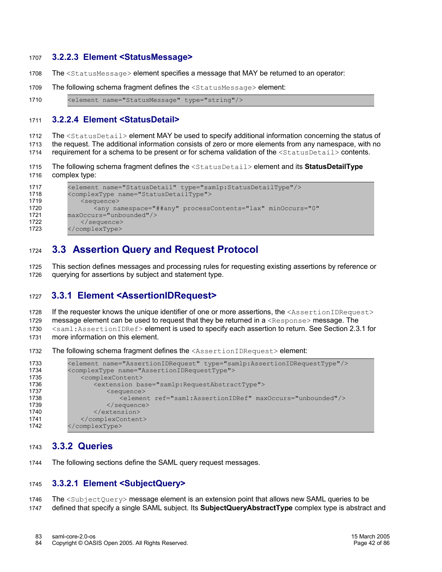### **3.2.2.3 Element <StatusMessage>** 1707

- The <StatusMessage> element specifies a message that MAY be returned to an operator: 1708
- The following schema fragment defines the <StatusMessage> element: 1709

```
<element name="StatusMessage" type="string"/>
1710
```
#### **3.2.2.4 Element <StatusDetail>** 1711

The <StatusDetail> element MAY be used to specify additional information concerning the status of 1712

the request. The additional information consists of zero or more elements from any namespace, with no 1713

requirement for a schema to be present or for schema validation of the <StatusDetail> contents. 1714

The following schema fragment defines the <StatusDetail> element and its **StatusDetailType** complex type: 1715 1716

| 1717 | <element name="StatusDetail" type="samlp:StatusDetailType"></element>        |  |
|------|------------------------------------------------------------------------------|--|
| 1718 | <complextype name="StatusDetailType"></complextype>                          |  |
| 1719 | $<$ sequence $>$                                                             |  |
| 1720 | <any <="" minoccurs="0" namespace="##any" processcontents="lax" th=""></any> |  |
| 1721 | maxOccurs="unbounded"/>                                                      |  |
| 1722 | $\langle$ /sequence>                                                         |  |
| 1723 |                                                                              |  |

## **3.3 Assertion Query and Request Protocol** 1724

This section defines messages and processing rules for requesting existing assertions by reference or querying for assertions by subject and statement type. 1725 1726

## **3.3.1 Element <AssertionIDRequest>** 1727

If the requester knows the unique identifier of one or more assertions, the <AssertionIDRequest> message element can be used to request that they be returned in a  $\leq$ Response $\geq$  message. The <saml:AssertionIDRef> element is used to specify each assertion to return. See Section 2.3.1 for more information on this element. 1728 1729 1730 1731

The following schema fragment defines the <AssertionIDRequest> element: 1732

```
<element name="AssertionIDRequest" type="samlp:AssertionIDRequestType"/>
          <complexType name="AssertionIDRequestType">
              <complexContent>
                 <extension base="samlp:RequestAbstractType">
                     <sequence>
                        <element ref="saml:AssertionIDRef" maxOccurs="unbounded"/>
                     </sequence>
                 </extension>
              </complexContent>
          </complexType>
1733
1734
1735
1736
1737
1738
1739
1740
1741
1742
```
#### **3.3.2 Queries** 1743

The following sections define the SAML query request messages. 1744

#### **3.3.2.1 Element <SubjectQuery>** 1745

The <SubjectOuery> message element is an extension point that allows new SAML queries to be defined that specify a single SAML subject. Its **SubjectQueryAbstractType** complex type is abstract and 1746 1747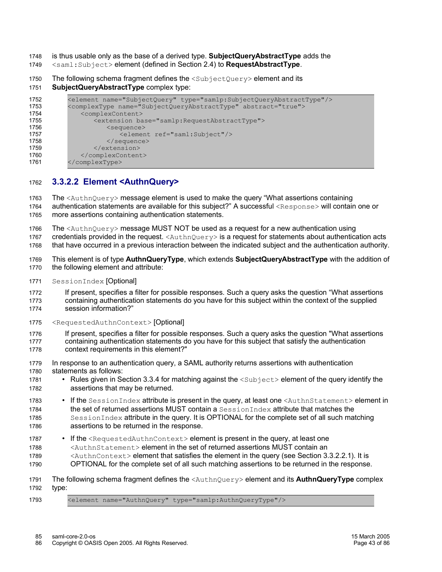- is thus usable only as the base of a derived type. **SubjectQueryAbstractType** adds the 1748
- <saml:Subject> element (defined in Section 2.4) to **RequestAbstractType**. 1749
- The following schema fragment defines the <SubjectQuery> element and its **SubjectQueryAbstractType** complex type: 1750 1751

| 1752<br>1753 | <element name="SubjectQuery" type="samlp:SubjectQueryAbstractType"></element><br><complextype abstract="true" name="SubjectQueryAbstractType"></complextype> |
|--------------|--------------------------------------------------------------------------------------------------------------------------------------------------------------|
| 1754         | <complexcontent></complexcontent>                                                                                                                            |
| 1755         | <extension base="samlp:RequestAbstractType"></extension>                                                                                                     |
| 1756         | $<$ sequence $>$                                                                                                                                             |
| 1757         | <element ref="saml:Subject"></element>                                                                                                                       |
| 1758         | $\langle$ /sequence>                                                                                                                                         |
| 1759         |                                                                                                                                                              |
| 1760         |                                                                                                                                                              |
| 1761         |                                                                                                                                                              |

## **3.3.2.2 Element <AuthnQuery>** 1762

The  $\langle \text{AuthnQuery} \rangle$  message element is used to make the query "What assertions containing authentication statements are available for this subject?" A successful <Response> will contain one or more assertions containing authentication statements. 1763 1764 1765

The  $\langle$ AuthnQuery> message MUST NOT be used as a request for a new authentication using 1766

credentials provided in the request. <AuthnQuery> is a request for statements about authentication acts 1767

- that have occurred in a previous interaction between the indicated subject and the authentication authority. 1768
- This element is of type **AuthnQueryType**, which extends **SubjectQueryAbstractType** with the addition of the following element and attribute: 1769 1770
- SessionIndex [Optional] 1771

If present, specifies a filter for possible responses. Such a query asks the question "What assertions containing authentication statements do you have for this subject within the context of the supplied session information?" 1772 1773 1774

- <RequestedAuthnContext> [Optional] 1775
- If present, specifies a filter for possible responses. Such a query asks the question "What assertions containing authentication statements do you have for this subject that satisfy the authentication context requirements in this element?" 1776 1777 1778
- In response to an authentication query, a SAML authority returns assertions with authentication statements as follows: 1779 1780
- Rules given in Section 3.3.4 for matching against the  $\langle$ Subject> element of the query identify the assertions that may be returned. 1781 1782
- If the SessionIndex attribute is present in the query, at least one <AuthnStatement> element in the set of returned assertions MUST contain a SessionIndex attribute that matches the SessionIndex attribute in the query. It is OPTIONAL for the complete set of all such matching assertions to be returned in the response. 1783 1784 1785 1786
- If the  $\leq$ RequestedAuthnContext> element is present in the query, at least one 1787
- <AuthnStatement> element in the set of returned assertions MUST contain an 1788
- $\langle$ AuthnContext $\rangle$  element that satisfies the element in the query (see Section 3.3.2.2.1). It is 1789
- OPTIONAL for the complete set of all such matching assertions to be returned in the response. 1790
- The following schema fragment defines the <AuthnQuery> element and its **AuthnQueryType** complex type: 1791 1792
- <element name="AuthnQuery" type="samlp:AuthnQueryType"/> 1793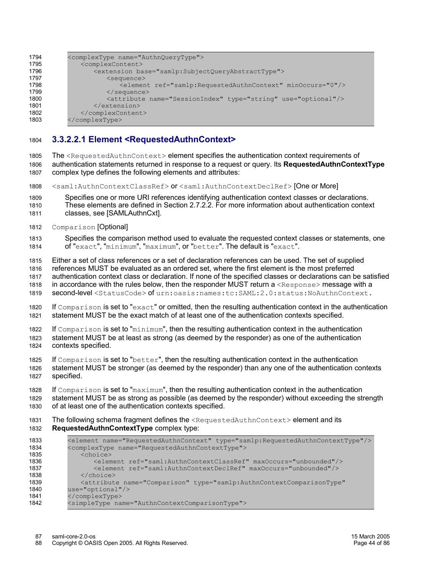| 1794 | <complextype name="AuthnQueryType"></complextype>                        |
|------|--------------------------------------------------------------------------|
| 1795 | <complexcontent></complexcontent>                                        |
| 1796 | <extension base="samlp:SubjectQueryAbstractType"></extension>            |
| 1797 | $<$ sequence $>$                                                         |
| 1798 | <element minoccurs="0" ref="samlp:RequestedAuthnContext"></element>      |
| 1799 | $\langle$ /sequence>                                                     |
| 1800 | <attribute name="SessionIndex" type="string" use="optional"></attribute> |
| 1801 | $\langle$ /extension>                                                    |
| 1802 |                                                                          |
| 1803 |                                                                          |

### **3.3.2.2.1 Element <RequestedAuthnContext>** 1804

- The <RequestedAuthnContext> element specifies the authentication context requirements of authentication statements returned in response to a request or query. Its **RequestedAuthnContextType** complex type defines the following elements and attributes: 1805 1806 1807
- <saml:AuthnContextClassRef> or <saml:AuthnContextDeclRef> [One or More] 1808

Specifies one or more URI references identifying authentication context classes or declarations. These elements are defined in Section 2.7.2.2. For more information about authentication context classes, see [SAMLAuthnCxt]. 1809 1810 1811

- Comparison [Optional] 1812
- Specifies the comparison method used to evaluate the requested context classes or statements, one of "exact", "minimum", "maximum", or "better". The default is "exact". 1813 1814
- Either a set of class references or a set of declaration references can be used. The set of supplied 1815
- references MUST be evaluated as an ordered set, where the first element is the most preferred authentication context class or declaration. If none of the specified classes or declarations can be satisfied 1816 1817
- in accordance with the rules below, then the responder MUST return  $a$  <Response> message with a second-level <StatusCode> of urn:oasis:names:tc:SAML:2.0:status:NoAuthnContext. 1818 1819
- If Comparison is set to "exact" or omitted, then the resulting authentication context in the authentication 1820
- statement MUST be the exact match of at least one of the authentication contexts specified. 1821
- If Comparison is set to "minimum", then the resulting authentication context in the authentication statement MUST be at least as strong (as deemed by the responder) as one of the authentication contexts specified. 1822 1823 1824
- If Comparison is set to "better", then the resulting authentication context in the authentication statement MUST be stronger (as deemed by the responder) than any one of the authentication contexts specified. 1825 1826 1827

If Comparison is set to "maximum", then the resulting authentication context in the authentication statement MUST be as strong as possible (as deemed by the responder) without exceeding the strength of at least one of the authentication contexts specified. 1828 1829 1830

The following schema fragment defines the <RequestedAuthnContext> element and its **RequestedAuthnContextType** complex type: 1831 1832

| 1833<br>1834 | <element name="RequestedAuthnContext" type="samlp:RequestedAuthnContextType"></element><br><complextype name="RequestedAuthnContextType"></complextype> |
|--------------|---------------------------------------------------------------------------------------------------------------------------------------------------------|
| 1835         | <choice></choice>                                                                                                                                       |
| 1836         | <element maxoccurs="unbounded" ref="saml:AuthnContextClassRef"></element>                                                                               |
| 1837         | <element maxoccurs="unbounded" ref="saml:AuthnContextDeclRef"></element>                                                                                |
| 1838         | $\langle$ /choice>                                                                                                                                      |
| 1839         | <attribute <="" name="Comparison" th="" type="samlp:AuthnContextComparisonType"></attribute>                                                            |
| 1840         | $use="optional"/>$                                                                                                                                      |
| 1841         |                                                                                                                                                         |
| 1842         | <simpletype name="AuthnContextComparisonType"></simpletype>                                                                                             |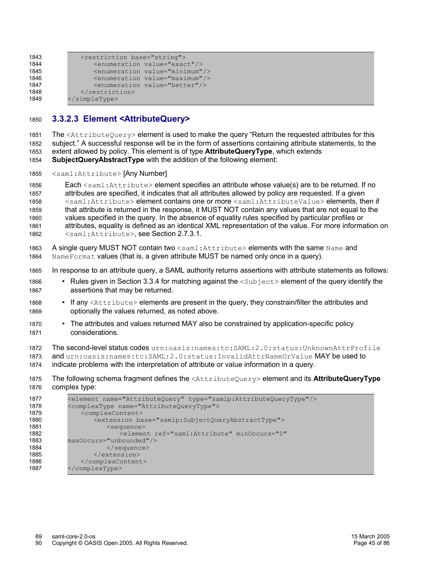| 1843<br>1844<br>1845<br>1846<br>1847 | <restriction base="string"><br/><enumeration value="exact"></enumeration><br/><math>\epsilon</math> <enumeration value="minimum"></enumeration><br/><enumeration value="maximum"></enumeration><br/><enumeration value="better"></enumeration></restriction> |
|--------------------------------------|--------------------------------------------------------------------------------------------------------------------------------------------------------------------------------------------------------------------------------------------------------------|
|                                      |                                                                                                                                                                                                                                                              |
| 1848                                 | $\langle$ /restriction>                                                                                                                                                                                                                                      |
| 1849                                 | $\langle$ /simpleType>                                                                                                                                                                                                                                       |

## **3.3.2.3 Element <AttributeQuery>** 1850

The <AttributeQuery> element is used to make the query "Return the requested attributes for this subject." A successful response will be in the form of assertions containing attribute statements, to the extent allowed by policy. This element is of type **AttributeQueryType**, which extends **SubjectQueryAbstractType** with the addition of the following element: 1851 1852 1853 1854

<saml:Attribute> [Any Number] 1855

Each <saml:Attribute> element specifies an attribute whose value(s) are to be returned. If no attributes are specified, it indicates that all attributes allowed by policy are requested. If a given <saml:Attribute> element contains one or more <saml:AttributeValue> elements, then if that attribute is returned in the response, it MUST NOT contain any values that are not equal to the values specified in the query. In the absence of equality rules specified by particular profiles or attributes, equality is defined as an identical XML representation of the value. For more information on <saml:Attribute>, see Section 2.7.3.1. 1856 1857 1858 1859 1860 1861 1862

- A single query MUST NOT contain two  $\leq$ saml:Attribute> elements with the same Name and NameFormat values (that is, a given attribute MUST be named only once in a query). 1863 1864
- In response to an attribute query, a SAML authority returns assertions with attribute statements as follows: 1865
- Rules given in Section 3.3.4 for matching against the  $\langle$ Subject> element of the query identify the assertions that may be returned. 1866 1867
- If any <Attribute> elements are present in the query, they constrain/filter the attributes and optionally the values returned, as noted above. 1868 1869
- The attributes and values returned MAY also be constrained by application-specific policy considerations. 1870 1871

The second-level status codes urn:oasis:names:tc:SAML:2.0:status:UnknownAttrProfile and urn:oasis:names:tc:SAML:2.0:status:InvalidAttrNameOrValue MAY be used to indicate problems with the interpretation of attribute or value information in a query. 1872 1873 1874

The following schema fragment defines the <AttributeQuery> element and its **AttributeQueryType** complex type: 1875 1876

| 1877 | <element name="AttributeQuery" type="samlp:AttributeQueryType"></element> |
|------|---------------------------------------------------------------------------|
| 1878 | <complextype name="AttributeQueryType"></complextype>                     |
| 1879 | <complexcontent></complexcontent>                                         |
| 1880 | <extension base="samlp:SubjectQueryAbstractType"></extension>             |
| 1881 | $\leq$ sequence $>$                                                       |
| 1882 | <element <="" minoccurs="0" ref="saml:Attribute" th=""></element>         |
| 1883 | maxOccurs="unbounded"/>                                                   |
| 1884 | $\langle$ /sequence>                                                      |
| 1885 |                                                                           |
| 1886 |                                                                           |
| 1887 |                                                                           |
|      |                                                                           |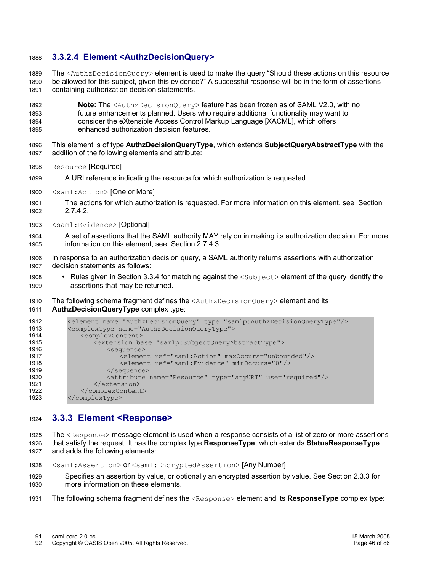## **3.3.2.4 Element <AuthzDecisionQuery>** 1888

The <AuthzDecisionQuery> element is used to make the query "Should these actions on this resource be allowed for this subject, given this evidence?" A successful response will be in the form of assertions containing authorization decision statements. 1889 1890 1891

- **Note:** The <AuthzDecisionOuery> feature has been frozen as of SAML V2.0, with no future enhancements planned. Users who require additional functionality may want to consider the eXtensible Access Control Markup Language [XACML], which offers enhanced authorization decision features. 1892 1893 1894 1895
- This element is of type **AuthzDecisionQueryType**, which extends **SubjectQueryAbstractType** with the addition of the following elements and attribute: 1896 1897
- Resource [Required] 1898
- A URI reference indicating the resource for which authorization is requested. 1899
- <saml:Action> [One or More] 1900
- The actions for which authorization is requested. For more information on this element, see Section 2.7.4.2. 1901 1902
- <saml:Evidence> [Optional] 1903
- A set of assertions that the SAML authority MAY rely on in making its authorization decision. For more information on this element, see Section 2.7.4.3. 1904 1905
- In response to an authorization decision query, a SAML authority returns assertions with authorization decision statements as follows: 1906 1907
- Rules given in Section 3.3.4 for matching against the  $\langle \text{Subject} \rangle$  element of the query identify the assertions that may be returned. 1908 1909
- The following schema fragment defines the <AuthzDecisionQuery> element and its 1910

#### **AuthzDecisionQueryType** complex type: 1911

| 1912 | <element name="AuthzDecisionQuery" type="samlp:AuthzDecisionQueryType"></element> |
|------|-----------------------------------------------------------------------------------|
| 1913 | <complextype name="AuthzDecisionQueryType"></complextype>                         |
| 1914 | <complexcontent></complexcontent>                                                 |
| 1915 | <extension base="samlp:SubjectQueryAbstractType"></extension>                     |
| 1916 | $\leq$ sequence $>$                                                               |
| 1917 | <element maxoccurs="unbounded" ref="saml:Action"></element>                       |
| 1918 | <element minoccurs="0" ref="saml:Evidence"></element>                             |
| 1919 | $\langle$ /sequence>                                                              |
| 1920 | <attribute name="Resource" type="anyURI" use="required"></attribute>              |
| 1921 | $\langle$ /extension>                                                             |
| 1922 |                                                                                   |
| 1923 |                                                                                   |

## **3.3.3 Element <Response>** 1924

- The <Response> message element is used when a response consists of a list of zero or more assertions that satisfy the request. It has the complex type **ResponseType**, which extends **StatusResponseType** and adds the following elements: 1925 1926 1927
- <saml:Assertion> or <saml:EncryptedAssertion> [Any Number] 1928
- Specifies an assertion by value, or optionally an encrypted assertion by value. See Section 2.3.3 for more information on these elements. 1929 1930
- The following schema fragment defines the <Response> element and its **ResponseType** complex type: 1931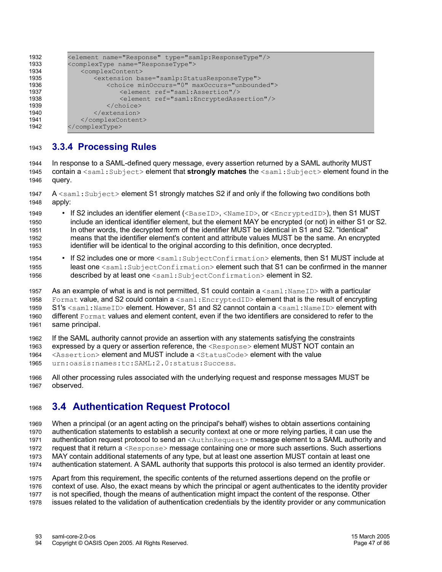| 1932 | <element name="Response" type="samlp:ResponseType"></element> |
|------|---------------------------------------------------------------|
| 1933 | <complextype name="ResponseType"></complextype>               |
| 1934 | <complexcontent></complexcontent>                             |
| 1935 | <extension base="samlp:StatusResponseType"></extension>       |
| 1936 | <choice maxoccurs="unbounded" minoccurs="0"></choice>         |
| 1937 | <element ref="saml:Assertion"></element>                      |
| 1938 | <element ref="saml:EncryptedAssertion"></element>             |
| 1939 | $\langle$ /choice>                                            |
| 1940 | $\langle$ /extension>                                         |
| 1941 |                                                               |
| 1942 |                                                               |
|      |                                                               |

## **3.3.4 Processing Rules** 1943

In response to a SAML-defined query message, every assertion returned by a SAML authority MUST contain a <saml:Subject> element that **strongly matches** the <saml:Subject> element found in the query. 1944 1945 1946

A <saml:Subject> element S1 strongly matches S2 if and only if the following two conditions both apply: 1947 1948

- If S2 includes an identifier element  $(\langle BaseID \rangle, \langle NameID \rangle, or \langle EncyclopediaID \rangle)$ , then S1 MUST include an identical identifier element, but the element MAY be encrypted (or not) in either S1 or S2. In other words, the decrypted form of the identifier MUST be identical in S1 and S2. "Identical" means that the identifier element's content and attribute values MUST be the same. An encrypted identifier will be identical to the original according to this definition, once decrypted. 1949 1950 1951 1952 1953
- If S2 includes one or more <saml:SubjectConfirmation> elements, then S1 MUST include at least one <saml:SubjectConfirmation> element such that S1 can be confirmed in the manner described by at least one <saml:SubjectConfirmation> element in S2. 1954 1955 1956

As an example of what is and is not permitted, S1 could contain  $a \leq s$  and : NameID> with a particular Format value, and S2 could contain a  $\leq$ saml: EncryptedID> element that is the result of encrypting S1's <saml:NameID> element. However, S1 and S2 cannot contain a <saml:NameID> element with different Format values and element content, even if the two identifiers are considered to refer to the same principal. 1957 1958 1959 1960 1961

If the SAML authority cannot provide an assertion with any statements satisfying the constraints expressed by a query or assertion reference, the <Response> element MUST NOT contain an <Assertion> element and MUST include a <StatusCode> element with the value urn:oasis:names:tc:SAML:2.0:status:Success. 1962 1963 1964 1965

All other processing rules associated with the underlying request and response messages MUST be observed. 1966 1967

## **3.4 Authentication Request Protocol** 1968

When a principal (or an agent acting on the principal's behalf) wishes to obtain assertions containing authentication statements to establish a security context at one or more relying parties, it can use the authentication request protocol to send an <AuthnRequest> message element to a SAML authority and request that it return a <Response> message containing one or more such assertions. Such assertions MAY contain additional statements of any type, but at least one assertion MUST contain at least one authentication statement. A SAML authority that supports this protocol is also termed an identity provider. 1969 1970 1971 1972 1973 1974

Apart from this requirement, the specific contents of the returned assertions depend on the profile or context of use. Also, the exact means by which the principal or agent authenticates to the identity provider is not specified, though the means of authentication might impact the content of the response. Other issues related to the validation of authentication credentials by the identity provider or any communication 1975 1976 1977 1978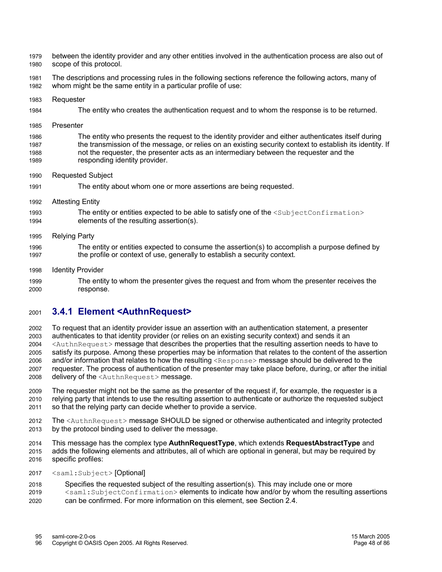- between the identity provider and any other entities involved in the authentication process are also out of scope of this protocol. 1979 1980
- The descriptions and processing rules in the following sections reference the following actors, many of whom might be the same entity in a particular profile of use: 1981 1982
- **Requester** 1983

1984

- The entity who creates the authentication request and to whom the response is to be returned.
- Presenter 1985
- The entity who presents the request to the identity provider and either authenticates itself during the transmission of the message, or relies on an existing security context to establish its identity. If not the requester, the presenter acts as an intermediary between the requester and the responding identity provider. 1986 1987 1988 1989
- Requested Subject 1990
- The entity about whom one or more assertions are being requested. 1991
- Attesting Entity 1992
- The entity or entities expected to be able to satisfy one of the  $\leq$ subjectConfirmation> elements of the resulting assertion(s). 1993 1994
- Relying Party 1995
- The entity or entities expected to consume the assertion(s) to accomplish a purpose defined by the profile or context of use, generally to establish a security context. 1996 1997
- Identity Provider 1998
- The entity to whom the presenter gives the request and from whom the presenter receives the response. 1999 2000

## **3.4.1 Element <AuthnRequest>** 2001

- To request that an identity provider issue an assertion with an authentication statement, a presenter authenticates to that identity provider (or relies on an existing security context) and sends it an <AuthnRequest> message that describes the properties that the resulting assertion needs to have to satisfy its purpose. Among these properties may be information that relates to the content of the assertion and/or information that relates to how the resulting <Response> message should be delivered to the requester. The process of authentication of the presenter may take place before, during, or after the initial delivery of the <AuthnRequest> message. 2002 2003 2004 2005 2006 2007 2008
- The requester might not be the same as the presenter of the request if, for example, the requester is a relying party that intends to use the resulting assertion to authenticate or authorize the requested subject so that the relying party can decide whether to provide a service. 2009 2010 2011
- The <AuthnRequest> message SHOULD be signed or otherwise authenticated and integrity protected by the protocol binding used to deliver the message. 2012 2013
- This message has the complex type **AuthnRequestType**, which extends **RequestAbstractType** and adds the following elements and attributes, all of which are optional in general, but may be required by specific profiles: 2014 2015 2016
- <saml:Subject> [Optional] 2017
- Specifies the requested subject of the resulting assertion(s). This may include one or more 2018
- <saml:SubjectConfirmation> elements to indicate how and/or by whom the resulting assertions can be confirmed. For more information on this element, see Section 2.4. 2019 2020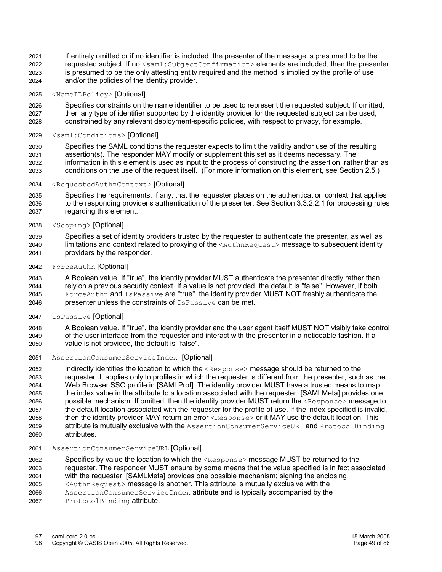If entirely omitted or if no identifier is included, the presenter of the message is presumed to be the requested subject. If no <saml:SubjectConfirmation> elements are included, then the presenter is presumed to be the only attesting entity required and the method is implied by the profile of use and/or the policies of the identity provider. 2021 2022 2023 2024

#### <NameIDPolicy> [Optional] 2025

Specifies constraints on the name identifier to be used to represent the requested subject. If omitted, then any type of identifier supported by the identity provider for the requested subject can be used, constrained by any relevant deployment-specific policies, with respect to privacy, for example. 2026 2027 2028

#### <saml:Conditions> [Optional] 2029

Specifies the SAML conditions the requester expects to limit the validity and/or use of the resulting assertion(s). The responder MAY modify or supplement this set as it deems necessary. The information in this element is used as input to the process of constructing the assertion, rather than as conditions on the use of the request itself. (For more information on this element, see Section 2.5.) 2030 2031 2032 2033

#### <RequestedAuthnContext> [Optional] 2034

Specifies the requirements, if any, that the requester places on the authentication context that applies to the responding provider's authentication of the presenter. See Section 3.3.2.2.1 for processing rules regarding this element. 2035 2036 2037

<Scoping> [Optional] 2038

Specifies a set of identity providers trusted by the requester to authenticate the presenter, as well as limitations and context related to proxying of the <AuthnRequest> message to subsequent identity providers by the responder. 2039 2040 2041

ForceAuthn [Optional] 2042

A Boolean value. If "true", the identity provider MUST authenticate the presenter directly rather than rely on a previous security context. If a value is not provided, the default is "false". However, if both ForceAuthn and IsPassive are "true", the identity provider MUST NOT freshly authenticate the presenter unless the constraints of IsPassive can be met. 2043 2044 2045 2046

IsPassive [Optional] 2047

A Boolean value. If "true", the identity provider and the user agent itself MUST NOT visibly take control of the user interface from the requester and interact with the presenter in a noticeable fashion. If a value is not provided, the default is "false". 2048 2049 2050

AssertionConsumerServiceIndex [Optional] 2051

Indirectly identifies the location to which the <Response> message should be returned to the requester. It applies only to profiles in which the requester is different from the presenter, such as the Web Browser SSO profile in [SAMLProf]. The identity provider MUST have a trusted means to map the index value in the attribute to a location associated with the requester. [SAMLMeta] provides one possible mechanism. If omitted, then the identity provider MUST return the <Response> message to the default location associated with the requester for the profile of use. If the index specified is invalid, then the identity provider MAY return an error <Response> or it MAY use the default location. This attribute is mutually exclusive with the AssertionConsumerServiceURL and ProtocolBinding attributes. 2052 2053 2054 2055 2056 2057 2058 2059 2060

#### AssertionConsumerServiceURL [Optional] 2061

Specifies by value the location to which the <Response> message MUST be returned to the requester. The responder MUST ensure by some means that the value specified is in fact associated with the requester. [SAMLMeta] provides one possible mechanism; signing the enclosing 2062 2063 2064

- <AuthnRequest> message is another. This attribute is mutually exclusive with the 2065
- AssertionConsumerServiceIndex attribute and is typically accompanied by the 2066
- ProtocolBinding attribute. 2067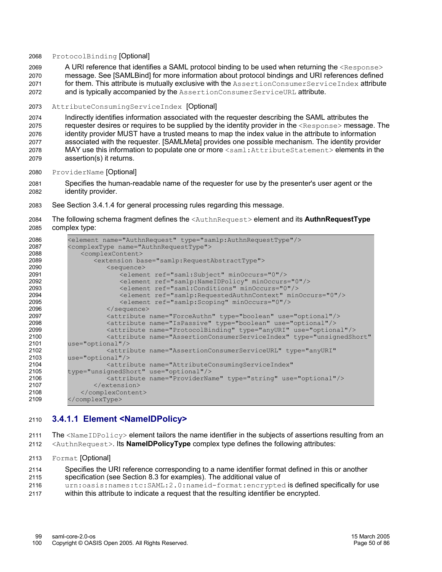#### ProtocolBinding [Optional] 2068

A URI reference that identifies a SAML protocol binding to be used when returning the <Response> message. See [SAMLBind] for more information about protocol bindings and URI references defined for them. This attribute is mutually exclusive with the AssertionConsumerServiceIndex attribute 2069 2070 2071

- and is typically accompanied by the AssertionConsumerServiceURL attribute. 2072
- AttributeConsumingServiceIndex [Optional] 2073

Indirectly identifies information associated with the requester describing the SAML attributes the requester desires or requires to be supplied by the identity provider in the <Response> message. The identity provider MUST have a trusted means to map the index value in the attribute to information associated with the requester. [SAMLMeta] provides one possible mechanism. The identity provider MAY use this information to populate one or more <saml:AttributeStatement> elements in the assertion(s) it returns. 2074 2075 2076 2077 2078 2079

- ProviderName [Optional] 2080
- Specifies the human-readable name of the requester for use by the presenter's user agent or the identity provider. 2081 2082
- See Section 3.4.1.4 for general processing rules regarding this message. 2083

The following schema fragment defines the <AuthnRequest> element and its **AuthnRequestType** complex type: 2084 2085

| 2086 | <element name="AuthnRequest" type="samlp:AuthnRequestType"></element>                        |
|------|----------------------------------------------------------------------------------------------|
| 2087 | <complextype name="AuthnRequestType"></complextype>                                          |
| 2088 | <complexcontent></complexcontent>                                                            |
| 2089 | <extension base="samlp:RequestAbstractType"></extension>                                     |
| 2090 | <sequence></sequence>                                                                        |
| 2091 | <element minoccurs="0" ref="saml:Subject"></element>                                         |
| 2092 | <element minoccurs="0" ref="samlp:NameIDPolicy"></element>                                   |
| 2093 | <element minoccurs="0" ref="saml:Conditions"></element>                                      |
| 2094 | <element minoccurs="0" ref="samlp:RequestedAuthnContext"></element>                          |
| 2095 | <element minoccurs="0" ref="samlp:Scoping"></element>                                        |
| 2096 | $\langle$ /sequence>                                                                         |
| 2097 | <attribute name="ForceAuthn" type="boolean" use="optional"></attribute>                      |
| 2098 | <attribute name="IsPassive" type="boolean" use="optional"></attribute>                       |
| 2099 | <attribute name="ProtocolBinding" type="anyURI" use="optional"></attribute>                  |
| 2100 | <attribute <="" name="AssertionConsumerServiceIndex" th="" type="unsignedShort"></attribute> |
| 2101 | $use="optional"/>$                                                                           |
| 2102 | <attribute <="" name="AssertionConsumerServiceURL" th="" type="anyURI"></attribute>          |
| 2103 | $use="optional"/>$                                                                           |
| 2104 | <attribute <="" name="AttributeConsumingServiceIndex" th=""></attribute>                     |
| 2105 | type="unsignedShort" use="optional"/>                                                        |
| 2106 | <attribute name="ProviderName" type="string" use="optional"></attribute>                     |
| 2107 | $\langle$ /extension>                                                                        |
| 2108 |                                                                                              |
| 2109 |                                                                                              |
|      |                                                                                              |

#### **3.4.1.1 Element <NameIDPolicy>** 2110

The  $\triangle$ NameIDPolicy> element tailors the name identifier in the subjects of assertions resulting from an <AuthnRequest>. Its **NameIDPolicyType** complex type defines the following attributes: 2111 2112

Format [Optional] 2113

| 2114 | Specifies the URI reference corresponding to a name identifier format defined in this or another |  |  |  |  |  |
|------|--------------------------------------------------------------------------------------------------|--|--|--|--|--|
| 2115 | specification (see Section 8.3 for examples). The additional value of                            |  |  |  |  |  |
|      |                                                                                                  |  |  |  |  |  |

- urn:oasis:names:tc:SAML:2.0:nameid-format:encrypted is defined specifically for use 2116
- within this attribute to indicate a request that the resulting identifier be encrypted. 2117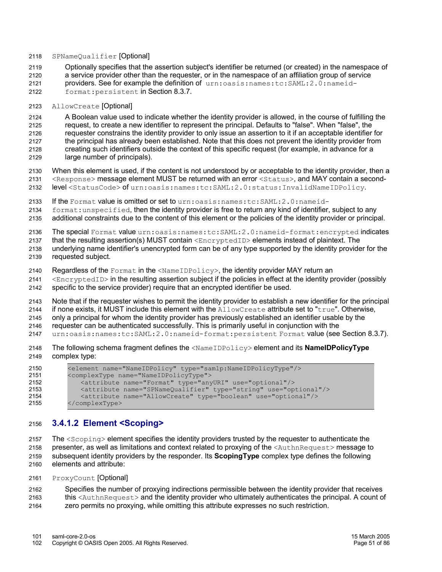SPNameQualifier [Optional] 2118

Optionally specifies that the assertion subject's identifier be returned (or created) in the namespace of a service provider other than the requester, or in the namespace of an affiliation group of service providers. See for example the definition of urn:oasis:names:tc:SAML:2.0:nameidformat:persistent in Section 8.3.7. 2119 2120 2121 2122

#### AllowCreate [Optional] 2123

A Boolean value used to indicate whether the identity provider is allowed, in the course of fulfilling the request, to create a new identifier to represent the principal. Defaults to "false". When "false", the requester constrains the identity provider to only issue an assertion to it if an acceptable identifier for the principal has already been established. Note that this does not prevent the identity provider from creating such identifiers outside the context of this specific request (for example, in advance for a large number of principals). 2124 2125 2126 2127 2128 2129

When this element is used, if the content is not understood by or acceptable to the identity provider, then a <Response> message element MUST be returned with an error <Status>, and MAY contain a secondlevel <StatusCode> of urn:oasis:names:tc:SAML:2.0:status:InvalidNameIDPolicy. 2130 2131 2132

If the Format value is omitted or set to urn:oasis:names:tc:SAML:2.0:nameid-2133

format:unspecified, then the identity provider is free to return any kind of identifier, subject to any additional constraints due to the content of this element or the policies of the identity provider or principal. 2134 2135

The special Format value urn:oasis:names:tc:SAML:2.0:nameid-format:encrypted indicates 2136

that the resulting assertion(s) MUST contain <EncryptedID> elements instead of plaintext. The 2137

underlying name identifier's unencrypted form can be of any type supported by the identity provider for the requested subject. 2138 2139

Regardless of the Format in the <NameIDPolicy>, the identity provider MAY return an 2140

<EncryptedID> in the resulting assertion subject if the policies in effect at the identity provider (possibly specific to the service provider) require that an encrypted identifier be used. 2141 2142

Note that if the requester wishes to permit the identity provider to establish a new identifier for the principal if none exists, it MUST include this element with the AllowCreate attribute set to "true". Otherwise, only a principal for whom the identity provider has previously established an identifier usable by the 2143 2144 2145

requester can be authenticated successfully. This is primarily useful in conjunction with the urn:oasis:names:tc:SAML:2.0:nameid-format:persistent Format value (see Section 8.3.7). 2146 2147

The following schema fragment defines the <NameIDPolicy> element and its **NameIDPolicyType** complex type: 2148 2149

```
<element name="NameIDPolicy" type="samlp:NameIDPolicyType"/>
          <complexType name="NameIDPolicyType">
             <attribute name="Format" type="anyURI" use="optional"/>
              <attribute name="SPNameQualifier" type="string" use="optional"/>
              <attribute name="AllowCreate" type="boolean" use="optional"/>
          </complexType>
2150
2151
2152
2153
2154
2155
```
## **3.4.1.2 Element <Scoping>** 2156

The <Scoping> element specifies the identity providers trusted by the requester to authenticate the presenter, as well as limitations and context related to proxying of the <AuthnRequest> message to subsequent identity providers by the responder. Its **ScopingType** complex type defines the following elements and attribute: 2157 2158 2159 2160

ProxyCount [Optional] 2161

- Specifies the number of proxying indirections permissible between the identity provider that receives this <AuthnRequest> and the identity provider who ultimately authenticates the principal. A count of 2162 2163
- zero permits no proxying, while omitting this attribute expresses no such restriction. 2164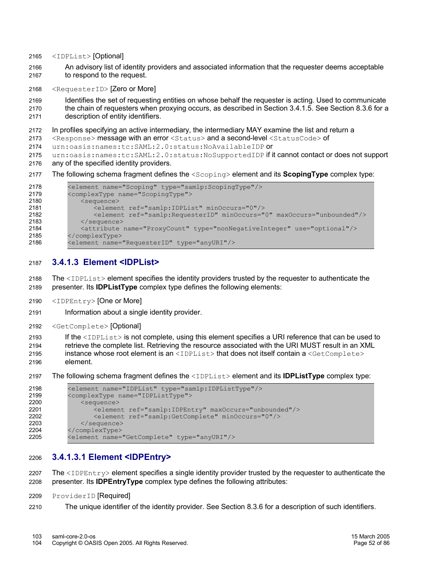<IDPList> [Optional] 2165

An advisory list of identity providers and associated information that the requester deems acceptable to respond to the request. 2166 2167

<RequesterID> [Zero or More] 2168

Identifies the set of requesting entities on whose behalf the requester is acting. Used to communicate the chain of requesters when proxying occurs, as described in Section 3.4.1.5. See Section 8.3.6 for a description of entity identifiers. 2169 2170 2171

In profiles specifying an active intermediary, the intermediary MAY examine the list and return a 2172

<Response> message with an error <Status> and a second-level <StatusCode> of 2173

urn:oasis:names:tc:SAML:2.0:status:NoAvailableIDP or 2174

urn:oasis:names:tc:SAML:2.0:status:NoSupportedIDP if it cannot contact or does not support 2175

any of the specified identity providers. 2176

The following schema fragment defines the <Scoping> element and its **ScopingType** complex type: 2177

```
<element name="Scoping" type="samlp:ScopingType"/>
          <complexType name="ScopingType">
              <sequence>
                 <element ref="samlp:IDPList" minOccurs="0"/>
                 <element ref="samlp:RequesterID" minOccurs="0" maxOccurs="unbounded"/>
             </sequence>
             <attribute name="ProxyCount" type="nonNegativeInteger" use="optional"/>
          </complexType>
          <element name="RequesterID" type="anyURI"/>
2178
2179
2180
2181
2182
2183
2184
2185
2186
```
#### **3.4.1.3 Element <IDPList>** 2187

The  $\langle$ IDPList> element specifies the identity providers trusted by the requester to authenticate the presenter. Its **IDPListType** complex type defines the following elements: 2188 2189

<IDPEntry> [One or More] 2190

Information about a single identity provider. 2191

<GetComplete> [Optional] 2192

If the  $\langle$ IDPList> is not complete, using this element specifies a URI reference that can be used to retrieve the complete list. Retrieving the resource associated with the URI MUST result in an XML instance whose root element is an  $\overline{lt}$ DPList> that does not itself contain a  $\overline{lt}$   $\overline{lt}$   $\overline{lt}$ element. 2193 2194 2195 2196

The following schema fragment defines the  $\langle\text{IDPList}\rangle$  element and its **IDPListType** complex type: 2197

```
<element name="IDPList" type="samlp:IDPListType"/>
          <complexType name="IDPListType">
              <sequence>
                 <element ref="samlp:IDPEntry" maxOccurs="unbounded"/>
                 <element ref="samlp:GetComplete" minOccurs="0"/>
              </sequence>
          </complexType>
          <element name="GetComplete" type="anyURI"/>
2198
2199
2200
2201
2202
2203
2204
2205
```
#### **3.4.1.3.1 Element <IDPEntry>** 2206

The <IDPEntry> element specifies a single identity provider trusted by the requester to authenticate the presenter. Its **IDPEntryType** complex type defines the following attributes: 2207 2208

- ProviderID [Required] 2209
- The unique identifier of the identity provider. See Section 8.3.6 for a description of such identifiers. 2210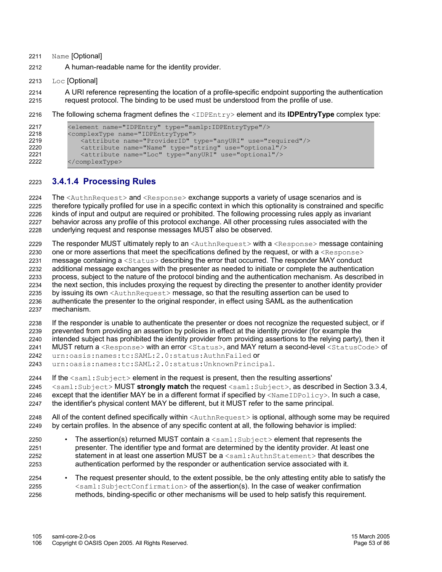- Name [Optional] 2211
- A human-readable name for the identity provider. 2212
- Loc [Optional] 2213
- A URI reference representing the location of a profile-specific endpoint supporting the authentication request protocol. The binding to be used must be understood from the profile of use. 2214 2215
- The following schema fragment defines the <IDPEntry> element and its **IDPEntryType** complex type: 2216

```
<element name="IDPEntry" type="samlp:IDPEntryType"/>
          <complexType name="IDPEntryType">
              <attribute name="ProviderID" type="anyURI" use="required"/>
              <attribute name="Name" type="string" use="optional"/>
              <attribute name="Loc" type="anyURI" use="optional"/>
          </complexType>
2217
2218
2219
2220
2221
2222
```
## **3.4.1.4 Processing Rules** 2223

The <AuthnRequest> and <Response> exchange supports a variety of usage scenarios and is therefore typically profiled for use in a specific context in which this optionality is constrained and specific kinds of input and output are required or prohibited. The following processing rules apply as invariant behavior across any profile of this protocol exchange. All other processing rules associated with the underlying request and response messages MUST also be observed. 2224 2225 2226 2227 2228

The responder MUST ultimately reply to an <AuthnRequest> with a <Response> message containing one or more assertions that meet the specifications defined by the request, or with a  $\leq$ Response $\geq$ message containing a <Status> describing the error that occurred. The responder MAY conduct additional message exchanges with the presenter as needed to initiate or complete the authentication process, subject to the nature of the protocol binding and the authentication mechanism. As described in the next section, this includes proxying the request by directing the presenter to another identity provider by issuing its own <AuthnRequest> message, so that the resulting assertion can be used to authenticate the presenter to the original responder, in effect using SAML as the authentication mechanism. 2229 2230 2231 2232 2233 2234 2235 2236 2237

If the responder is unable to authenticate the presenter or does not recognize the requested subject, or if prevented from providing an assertion by policies in effect at the identity provider (for example the intended subject has prohibited the identity provider from providing assertions to the relying party), then it MUST return a <Response> with an error <Status>, and MAY return a second-level <StatusCode> of 2238 2239 2240 2241

urn:oasis:names:tc:SAML:2.0:status:AuthnFailed or 2242

urn:oasis:names:tc:SAML:2.0:status:UnknownPrincipal. 2243

- If the  $\leq$ saml: Subject> element in the request is present, then the resulting assertions' 2244
- <saml:Subject> MUST **strongly match** the request <saml:Subject>, as described in Section 3.3.4, except that the identifier MAY be in a different format if specified by  $\langle$ NameIDPolicy>. In such a case, the identifier's physical content MAY be different, but it MUST refer to the same principal. 2245 2246 2247
- All of the content defined specifically within <AuthnRequest> is optional, although some may be required by certain profiles. In the absence of any specific content at all, the following behavior is implied: 2248 2249
- The assertion(s) returned MUST contain  $a \leq \text{saml}: \text{Subject}>$  element that represents the presenter. The identifier type and format are determined by the identity provider. At least one statement in at least one assertion MUST be  $a <$ saml:AuthnStatement> that describes the authentication performed by the responder or authentication service associated with it. 2250 2251 2252 2253
- The request presenter should, to the extent possible, be the only attesting entity able to satisfy the  $\leq$ saml:SubjectConfirmation $>$  of the assertion(s). In the case of weaker confirmation methods, binding-specific or other mechanisms will be used to help satisfy this requirement. 2254 2255 2256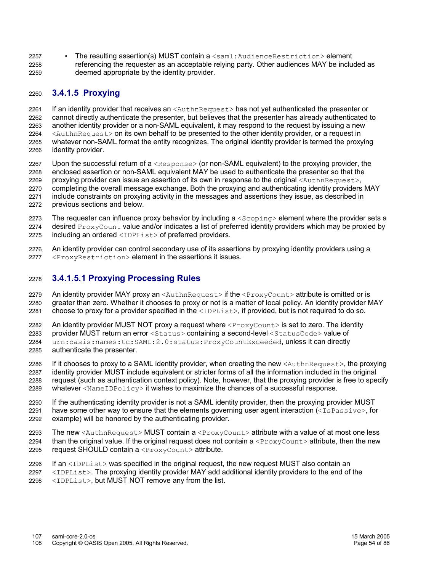The resulting assertion(s) MUST contain a <saml:AudienceRestriction> element referencing the requester as an acceptable relying party. Other audiences MAY be included as deemed appropriate by the identity provider. 2257 2258 2259

## **3.4.1.5 Proxying** 2260

If an identity provider that receives an <AuthnRequest> has not yet authenticated the presenter or cannot directly authenticate the presenter, but believes that the presenter has already authenticated to another identity provider or a non-SAML equivalent, it may respond to the request by issuing a new  $\leq$ AuthnRequest  $>$  on its own behalf to be presented to the other identity provider, or a request in whatever non-SAML format the entity recognizes. The original identity provider is termed the proxying identity provider. 2261 2262 2263 2264 2265 2266

Upon the successful return of a <Response> (or non-SAML equivalent) to the proxying provider, the enclosed assertion or non-SAML equivalent MAY be used to authenticate the presenter so that the proxying provider can issue an assertion of its own in response to the original  $\langle \text{AuthnRequest} \rangle$ , completing the overall message exchange. Both the proxying and authenticating identity providers MAY include constraints on proxying activity in the messages and assertions they issue, as described in previous sections and below. 2267 2268 2269 2270 2271 2272

The requester can influence proxy behavior by including a <scoping> element where the provider sets a desired ProxyCount value and/or indicates a list of preferred identity providers which may be proxied by including an ordered <IDPList> of preferred providers. 2273 2274 2275

An identity provider can control secondary use of its assertions by proxying identity providers using a <ProxyRestriction> element in the assertions it issues. 2276 2277

## **3.4.1.5.1 Proxying Processing Rules** 2278

An identity provider MAY proxy an <AuthnRequest> if the <ProxyCount> attribute is omitted or is greater than zero. Whether it chooses to proxy or not is a matter of local policy. An identity provider MAY choose to proxy for a provider specified in the  $\langle\text{IDPList}\rangle$ , if provided, but is not required to do so. 2279 2280 2281

An identity provider MUST NOT proxy a request where <ProxyCount> is set to zero. The identity provider MUST return an error <Status> containing a second-level <StatusCode> value of urn:oasis:names:tc:SAML:2.0:status:ProxyCountExceeded, unless it can directly authenticate the presenter. 2282 2283 2284 2285

If it chooses to proxy to a SAML identity provider, when creating the new  $\langle$ AuthnRequest $\rangle$ , the proxying identity provider MUST include equivalent or stricter forms of all the information included in the original request (such as authentication context policy). Note, however, that the proxying provider is free to specify whatever  $\leq$ NameIDPolicy> it wishes to maximize the chances of a successful response. 2286 2287 2288 2289

If the authenticating identity provider is not a SAML identity provider, then the proxying provider MUST have some other way to ensure that the elements governing user agent interaction ( $\leq$ IsPassive>, for example) will be honored by the authenticating provider. 2290 2291 2292

The new  $\langle$ AuthnRequest> MUST contain a  $\langle$ ProxyCount> attribute with a value of at most one less than the original value. If the original request does not contain a  $\langle$ ProxyCount> attribute, then the new request SHOULD contain a <ProxyCount> attribute. 2293 2294 2295

If an  $\langle$ IDPList> was specified in the original request, the new request MUST also contain an 2296

<IDPList>. The proxying identity provider MAY add additional identity providers to the end of the <IDPList>, but MUST NOT remove any from the list. 2297 2298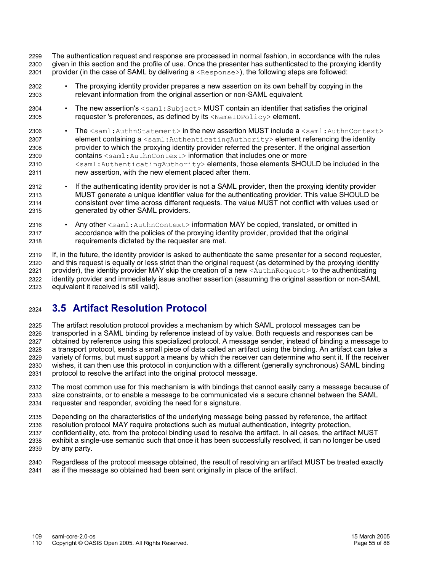- The authentication request and response are processed in normal fashion, in accordance with the rules given in this section and the profile of use. Once the presenter has authenticated to the proxying identity provider (in the case of SAML by delivering a <Response>), the following steps are followed: 2299 2300 2301
- The proxying identity provider prepares a new assertion on its own behalf by copying in the relevant information from the original assertion or non-SAML equivalent. 2302 2303
- The new assertion's  $\langle \text{saml:Subject}\rangle$  MUST contain an identifier that satisfies the original requester 's preferences, as defined by its  $\langle$ NameIDPolicy> element. 2304 2305
- The  $\leq$ saml:AuthnStatement> in the new assertion MUST include a  $\leq$ saml:AuthnContext> element containing a <saml: AuthenticatingAuthority> element referencing the identity provider to which the proxying identity provider referred the presenter. If the original assertion contains <saml:AuthnContext> information that includes one or more  $\leq$ saml: Authenticating Authority> elements, those elements SHOULD be included in the new assertion, with the new element placed after them. 2306 2307 2308 2309 2310 2311
- If the authenticating identity provider is not a SAML provider, then the proxying identity provider MUST generate a unique identifier value for the authenticating provider. This value SHOULD be consistent over time across different requests. The value MUST not conflict with values used or generated by other SAML providers. 2312 2313 2314 2315
- Any other  $\leq$ saml:AuthnContext> information MAY be copied, translated, or omitted in accordance with the policies of the proxying identity provider, provided that the original requirements dictated by the requester are met. 2316 2317 2318

If, in the future, the identity provider is asked to authenticate the same presenter for a second requester, and this request is equally or less strict than the original request (as determined by the proxying identity provider), the identity provider MAY skip the creation of a new <AuthnRequest> to the authenticating identity provider and immediately issue another assertion (assuming the original assertion or non-SAML equivalent it received is still valid). 2319 2320 2321 2322 2323

## **3.5 Artifact Resolution Protocol** 2324

The artifact resolution protocol provides a mechanism by which SAML protocol messages can be transported in a SAML binding by reference instead of by value. Both requests and responses can be obtained by reference using this specialized protocol. A message sender, instead of binding a message to a transport protocol, sends a small piece of data called an artifact using the binding. An artifact can take a variety of forms, but must support a means by which the receiver can determine who sent it. If the receiver wishes, it can then use this protocol in conjunction with a different (generally synchronous) SAML binding protocol to resolve the artifact into the original protocol message. 2325 2326 2327 2328 2329 2330 2331

The most common use for this mechanism is with bindings that cannot easily carry a message because of size constraints, or to enable a message to be communicated via a secure channel between the SAML requester and responder, avoiding the need for a signature. 2332 2333 2334

Depending on the characteristics of the underlying message being passed by reference, the artifact 2335

- resolution protocol MAY require protections such as mutual authentication, integrity protection, 2336
- confidentiality, etc. from the protocol binding used to resolve the artifact. In all cases, the artifact MUST exhibit a single-use semantic such that once it has been successfully resolved, it can no longer be used 2337 2338
- by any party. 2339
- Regardless of the protocol message obtained, the result of resolving an artifact MUST be treated exactly as if the message so obtained had been sent originally in place of the artifact. 2340 2341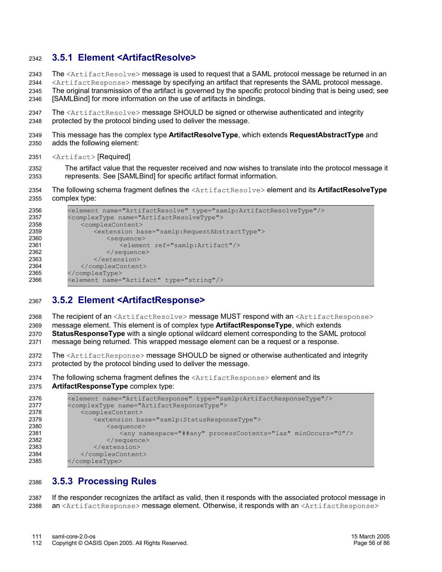## **3.5.1 Element <ArtifactResolve>** 2342

The <ArtifactResolve> message is used to request that a SAML protocol message be returned in an <ArtifactResponse> message by specifying an artifact that represents the SAML protocol message. 2343 2344

The original transmission of the artifact is governed by the specific protocol binding that is being used; see [SAMLBind] for more information on the use of artifacts in bindings. 2345 2346

The <ArtifactResolve> message SHOULD be signed or otherwise authenticated and integrity protected by the protocol binding used to deliver the message. 2347 2348

This message has the complex type **ArtifactResolveType**, which extends **RequestAbstractType** and adds the following element: 2349 2350

<Artifact> [Required] 2351

The artifact value that the requester received and now wishes to translate into the protocol message it represents. See [SAMLBind] for specific artifact format information. 2352 2353

The following schema fragment defines the <ArtifactResolve> element and its **ArtifactResolveType** complex type:  $2354$ 2355

| 2356 | <element name="ArtifactResolve" type="samlp:ArtifactResolveType"></element> |
|------|-----------------------------------------------------------------------------|
| 2357 | <complextype name="ArtifactResolveType"></complextype>                      |
| 2358 | <complexcontent></complexcontent>                                           |
| 2359 | <extension base="samlp:RequestAbstractType"></extension>                    |
| 2360 | $\leq$ sequence $>$                                                         |
| 2361 | <element ref="samlp:Artifact"></element>                                    |
| 2362 | $\langle$ /sequence>                                                        |
| 2363 |                                                                             |
| 2364 |                                                                             |
| 2365 |                                                                             |
| 2366 | <element name="Artifact" type="string"></element>                           |
|      |                                                                             |

## **3.5.2 Element <ArtifactResponse>** 2367

The recipient of an <ArtifactResolve> message MUST respond with an <ArtifactResponse> message element. This element is of complex type **ArtifactResponseType**, which extends **StatusResponseType** with a single optional wildcard element corresponding to the SAML protocol 2368 2369 2370

message being returned. This wrapped message element can be a request or a response. 2371

- The <ArtifactResponse> message SHOULD be signed or otherwise authenticated and integrity protected by the protocol binding used to deliver the message. 2372 2373
- The following schema fragment defines the <ArtifactResponse> element and its 2374
- **ArtifactResponseType** complex type: 2375

| 2376 | <element name="ArtifactResponse" type="samlp:ArtifactResponseType"></element> |
|------|-------------------------------------------------------------------------------|
| 2377 | <complextype name="ArtifactResponseType"></complextype>                       |
| 2378 | <complexcontent></complexcontent>                                             |
| 2379 | <extension base="samlp:StatusResponseType"></extension>                       |
| 2380 | $<$ sequence $>$                                                              |
| 2381 | <any minoccurs="0" namespace="##any" processcontents="lax"></any>             |
| 2382 | $\langle$ /sequence>                                                          |
| 2383 | $\langle$ /extension>                                                         |
| 2384 |                                                                               |
| 2385 | $\langle$ /complexType>                                                       |
|      |                                                                               |

## **3.5.3 Processing Rules** 2386

If the responder recognizes the artifact as valid, then it responds with the associated protocol message in an <ArtifactResponse> message element. Otherwise, it responds with an <ArtifactResponse> 2387 2388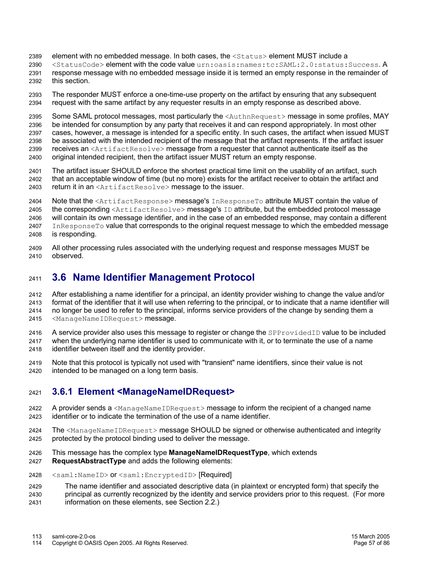- element with no embedded message. In both cases, the <Status> element MUST include a 2389
- <StatusCode> element with the code value urn:oasis:names:tc:SAML:2.0:status:Success. A response message with no embedded message inside it is termed an empty response in the remainder of this section. 2390 2391 2392
- The responder MUST enforce a one-time-use property on the artifact by ensuring that any subsequent request with the same artifact by any requester results in an empty response as described above. 2393 2394

Some SAML protocol messages, most particularly the <AuthnRequest> message in some profiles, MAY be intended for consumption by any party that receives it and can respond appropriately. In most other cases, however, a message is intended for a specific entity. In such cases, the artifact when issued MUST be associated with the intended recipient of the message that the artifact represents. If the artifact issuer receives an <ArtifactResolve> message from a requester that cannot authenticate itself as the original intended recipient, then the artifact issuer MUST return an empty response. 2395 2396 2397 2398 2399 2400

The artifact issuer SHOULD enforce the shortest practical time limit on the usability of an artifact, such that an acceptable window of time (but no more) exists for the artifact receiver to obtain the artifact and return it in an <ArtifactResolve> message to the issuer. 2401 2402 2403

Note that the <ArtifactResponse> message's InResponseTo attribute MUST contain the value of the corresponding <ArtifactResolve> message's ID attribute, but the embedded protocol message will contain its own message identifier, and in the case of an embedded response, may contain a different InResponseTo value that corresponds to the original request message to which the embedded message is responding. 2404 2405 2406 2407 2408

All other processing rules associated with the underlying request and response messages MUST be observed. 2409 2410

## **3.6 Name Identifier Management Protocol** 2411

After establishing a name identifier for a principal, an identity provider wishing to change the value and/or format of the identifier that it will use when referring to the principal, or to indicate that a name identifier will no longer be used to refer to the principal, informs service providers of the change by sending them a <ManageNameIDRequest> message. 2412 2413 2414 2415

A service provider also uses this message to register or change the SPProvidedID value to be included 2416

- when the underlying name identifier is used to communicate with it, or to terminate the use of a name identifier between itself and the identity provider. 2417 2418
- Note that this protocol is typically not used with "transient" name identifiers, since their value is not intended to be managed on a long term basis. 2419 2420

## **3.6.1 Element <ManageNameIDRequest>** 2421

- A provider sends a <ManageNameIDRequest> message to inform the recipient of a changed name identifier or to indicate the termination of the use of a name identifier. 2422 2423
- The <ManageNameIDRequest> message SHOULD be signed or otherwise authenticated and integrity protected by the protocol binding used to deliver the message. 2424 2425
- This message has the complex type **ManageNameIDRequestType**, which extends 2426
- **RequestAbstractType** and adds the following elements: 2427
- <saml:NameID> or <saml:EncryptedID> [Required] 2428
- The name identifier and associated descriptive data (in plaintext or encrypted form) that specify the principal as currently recognized by the identity and service providers prior to this request. (For more 2429 2430
- information on these elements, see Section 2.2.) 2431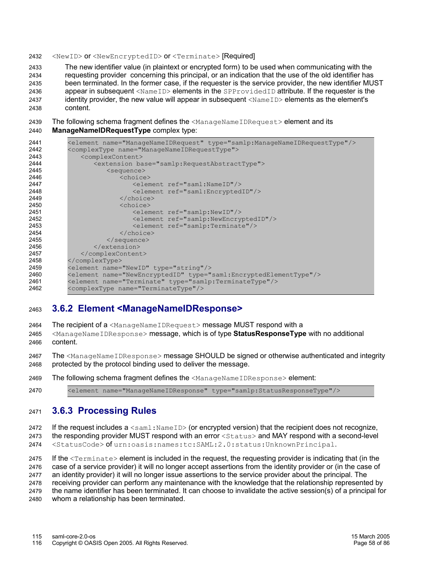#### <NewID> or <NewEncryptedID> or <Terminate> [Required] 2432

The new identifier value (in plaintext or encrypted form) to be used when communicating with the requesting provider concerning this principal, or an indication that the use of the old identifier has been terminated. In the former case, if the requester is the service provider, the new identifier MUST appear in subsequent  $\langle$ NameID $\rangle$  elements in the SPProvidedID attribute. If the requester is the identity provider, the new value will appear in subsequent  $\langle$ NameID $\rangle$  elements as the element's content. 2433 2434 2435 2436 2437 2438

The following schema fragment defines the <ManageNameIDRequest> element and its **ManageNameIDRequestType** complex type: 2439 2440

| 2441 | <element name="ManageNameIDRequest" type="samlp:ManageNameIDRequestType"></element> |
|------|-------------------------------------------------------------------------------------|
| 2442 | <complextype name="ManageNameIDRequestType"></complextype>                          |
| 2443 | <complexcontent></complexcontent>                                                   |
| 2444 | <extension base="samlp:RequestAbstractType"></extension>                            |
| 2445 | <sequence></sequence>                                                               |
| 2446 | <choice></choice>                                                                   |
| 2447 | <element ref="saml:NameID"></element>                                               |
| 2448 | <element ref="saml:EncryptedID"></element>                                          |
| 2449 | $\langle$ /choice>                                                                  |
| 2450 | <choice></choice>                                                                   |
| 2451 | <element ref="samlp:NewID"></element>                                               |
| 2452 | <element ref="samlp:NewEncryptedID"></element>                                      |
| 2453 | <element ref="samlp:Terminate"></element>                                           |
| 2454 | $\langle$ /choice>                                                                  |
| 2455 | $\langle$ /sequence>                                                                |
| 2456 | $\langle$ /extension>                                                               |
| 2457 |                                                                                     |
| 2458 |                                                                                     |
| 2459 | <element name="NewID" type="string"></element>                                      |
| 2460 | <element name="NewEncryptedID" type="saml:EncryptedElementType"></element>          |
| 2461 | <element name="Terminate" type="samlp:TerminateType"></element>                     |
| 2462 | <complextype name="TerminateType"></complextype>                                    |

#### **3.6.2 Element <ManageNameIDResponse>** 2463

The recipient of a <ManageNameIDRequest> message MUST respond with a 2464

<ManageNameIDResponse> message, which is of type **StatusResponseType** with no additional content. 2465 2466

The <ManageNameIDResponse> message SHOULD be signed or otherwise authenticated and integrity protected by the protocol binding used to deliver the message. 2467 2468

The following schema fragment defines the <ManageNameIDResponse> element: 2469

<element name="ManageNameIDResponse" type="samlp:StatusResponseType"/> 2470

## **3.6.3 Processing Rules** 2471

If the request includes  $a \leq \text{saml}$ : Name ID> (or encrypted version) that the recipient does not recognize, the responding provider MUST respond with an error <Status> and MAY respond with a second-level <StatusCode> of urn:oasis:names:tc:SAML:2.0:status:UnknownPrincipal. 2472 2473 2474

If the <Terminate> element is included in the request, the requesting provider is indicating that (in the case of a service provider) it will no longer accept assertions from the identity provider or (in the case of an identity provider) it will no longer issue assertions to the service provider about the principal. The receiving provider can perform any maintenance with the knowledge that the relationship represented by the name identifier has been terminated. It can choose to invalidate the active session(s) of a principal for 2475 2476 2477 2478 2479

whom a relationship has been terminated. 2480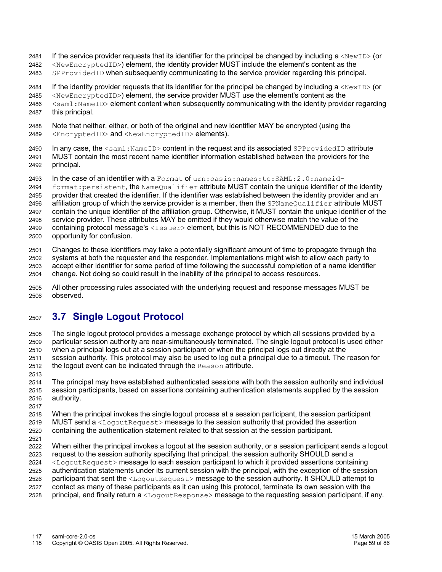- If the service provider requests that its identifier for the principal be changed by including a  $\langle NewID \rangle$  (or <NewEncryptedID>) element, the identity provider MUST include the element's content as the 2481 2482
- SPProvidedID when subsequently communicating to the service provider regarding this principal. 2483

If the identity provider requests that its identifier for the principal be changed by including a  $\langle NewID \rangle$  (or  $\leq$ NewEncryptedID>) element, the service provider MUST use the element's content as the <saml:NameID> element content when subsequently communicating with the identity provider regarding this principal. 2484 2485 2486 2487

Note that neither, either, or both of the original and new identifier MAY be encrypted (using the <EncryptedID> and <NewEncryptedID> elements). 2488 2489

In any case, the  $\leq$ saml:NameID> content in the request and its associated SPProvidedID attribute MUST contain the most recent name identifier information established between the providers for the principal. 2490 2491 2492

In the case of an identifier with a Format of urn:oasis:names:tc:SAML:2.0:nameid-2493

format:persistent, the NameQualifier attribute MUST contain the unique identifier of the identity provider that created the identifier. If the identifier was established between the identity provider and an affiliation group of which the service provider is a member, then the SPNameQualifier attribute MUST contain the unique identifier of the affiliation group. Otherwise, it MUST contain the unique identifier of the service provider. These attributes MAY be omitted if they would otherwise match the value of the containing protocol message's  $\langle$ Issuer> element, but this is NOT RECOMMENDED due to the opportunity for confusion. 2494 2495 2496 2497 2498 2499 2500

Changes to these identifiers may take a potentially significant amount of time to propagate through the systems at both the requester and the responder. Implementations might wish to allow each party to accept either identifier for some period of time following the successful completion of a name identifier change. Not doing so could result in the inability of the principal to access resources. 2501 2502 2503 2504

All other processing rules associated with the underlying request and response messages MUST be observed. 2505 2506

## **3.7 Single Logout Protocol** 2507

The single logout protocol provides a message exchange protocol by which all sessions provided by a particular session authority are near-simultaneously terminated. The single logout protocol is used either when a principal logs out at a session participant or when the principal logs out directly at the session authority. This protocol may also be used to log out a principal due to a timeout. The reason for the logout event can be indicated through the Reason attribute. 2508 2509 2510 2511 2512

2513

The principal may have established authenticated sessions with both the session authority and individual session participants, based on assertions containing authentication statements supplied by the session authority. 2514 2515 2516 2517

When the principal invokes the single logout process at a session participant, the session participant MUST send a <LogoutRequest> message to the session authority that provided the assertion 2518 2519

- containing the authentication statement related to that session at the session participant. 2520
- 2521

When either the principal invokes a logout at the session authority, or a session participant sends a logout request to the session authority specifying that principal, the session authority SHOULD send a <LogoutRequest> message to each session participant to which it provided assertions containing authentication statements under its current session with the principal, with the exception of the session participant that sent the <LogoutRequest> message to the session authority. It SHOULD attempt to contact as many of these participants as it can using this protocol, terminate its own session with the principal, and finally return a <LogoutResponse> message to the requesting session participant, if any. 2522 2523 2524 2525 2526 2527 2528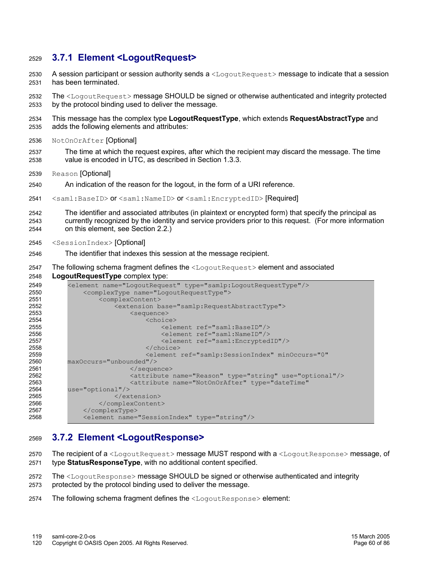## **3.7.1 Element <LogoutRequest>** 2529

A session participant or session authority sends a <LogoutRequest> message to indicate that a session has been terminated. 2530 2531

The <LogoutRequest> message SHOULD be signed or otherwise authenticated and integrity protected by the protocol binding used to deliver the message. 2532 2533

- This message has the complex type **LogoutRequestType**, which extends **RequestAbstractType** and adds the following elements and attributes: 2534 2535
- NotOnOrAfter [Optional] 2536
- The time at which the request expires, after which the recipient may discard the message. The time value is encoded in UTC, as described in Section 1.3.3. 2537 2538
- Reason [Optional] 2539
- An indication of the reason for the logout, in the form of a URI reference. 2540
- <saml:BaseID> or <saml:NameID> or <saml:EncryptedID> [Required] 2541

The identifier and associated attributes (in plaintext or encrypted form) that specify the principal as currently recognized by the identity and service providers prior to this request. (For more information on this element, see Section 2.2.) 2542 2543 2544

- <SessionIndex> [Optional] 2545
- The identifier that indexes this session at the message recipient. 2546

The following schema fragment defines the <LogoutRequest> element and associated **LogoutRequestType** complex type: 2547 2548

| 2549 | <element name="LoqoutRequest" type="samlp:LoqoutRequestType"></element> |
|------|-------------------------------------------------------------------------|
| 2550 | <complextype name="LogoutRequestType"></complextype>                    |
| 2551 | <complexcontent></complexcontent>                                       |
| 2552 | <extension base="samlp:RequestAbstractType"></extension>                |
| 2553 | <sequence></sequence>                                                   |
| 2554 | <choice></choice>                                                       |
| 2555 | <element ref="saml:BaseID"></element>                                   |
| 2556 | <element ref="saml:NameID"></element>                                   |
| 2557 | <element ref="saml:EncryptedID"></element>                              |
| 2558 | $\langle$ /choice>                                                      |
| 2559 | <element <="" minoccurs="0" ref="samlp:SessionIndex" th=""></element>   |
| 2560 | maxOccurs="unbounded"/>                                                 |
| 2561 | $\langle$ /sequence>                                                    |
| 2562 | <attribute name="Reason" type="string" use="optional"></attribute>      |
| 2563 | <attribute <="" name="NotOnOrAfter" th="" type="dateTime"></attribute>  |
| 2564 | $use="optional"$                                                        |
| 2565 | $\langle$ /extension>                                                   |
| 2566 |                                                                         |
| 2567 |                                                                         |
| 2568 | <element name="SessionIndex" type="string"></element>                   |

## **3.7.2 Element <LogoutResponse>** 2569

- The recipient of a <LogoutRequest> message MUST respond with a <LogoutResponse> message, of type **StatusResponseType**, with no additional content specified. 2570 2571
- The <LogoutResponse> message SHOULD be signed or otherwise authenticated and integrity 2572
- protected by the protocol binding used to deliver the message. 2573
- The following schema fragment defines the <LogoutResponse> element: 2574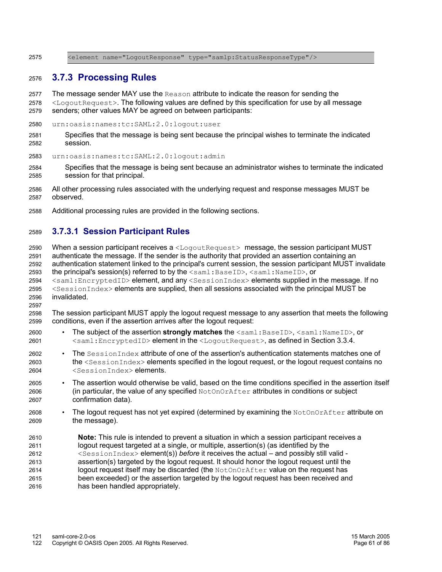2575

2597

<element name="LogoutResponse" type="samlp:StatusResponseType"/>

## **3.7.3 Processing Rules** 2576

The message sender MAY use the Reason attribute to indicate the reason for sending the <LogoutRequest>. The following values are defined by this specification for use by all message senders; other values MAY be agreed on between participants: 2577 2578 2579

- urn:oasis:names:tc:SAML:2.0:logout:user 2580
- Specifies that the message is being sent because the principal wishes to terminate the indicated session. 2581 2582
- urn:oasis:names:tc:SAML:2.0:logout:admin 2583
- Specifies that the message is being sent because an administrator wishes to terminate the indicated session for that principal. 2584 2585
- All other processing rules associated with the underlying request and response messages MUST be observed. 2586 2587
- Additional processing rules are provided in the following sections. 2588

## **3.7.3.1 Session Participant Rules** 2589

When a session participant receives  $a \leq$  Logout Request > message, the session participant MUST authenticate the message. If the sender is the authority that provided an assertion containing an authentication statement linked to the principal's current session, the session participant MUST invalidate the principal's session(s) referred to by the  $\leq$ saml:BaseID>,  $\leq$ saml:NameID>, or 2590 2591 2592 2593

<saml:EncryptedID> element, and any <SessionIndex> elements supplied in the message. If no <SessionIndex> elements are supplied, then all sessions associated with the principal MUST be invalidated. 2594 2595 2596

The session participant MUST apply the logout request message to any assertion that meets the following conditions, even if the assertion arrives after the logout request: 2598 2599

- The subject of the assertion **strongly matches** the <saml:BaseID>, <saml:NameID>, or <saml:EncryptedID> element in the <LogoutRequest>, as defined in Section 3.3.4. 2600 2601
- The SessionIndex attribute of one of the assertion's authentication statements matches one of the <SessionIndex> elements specified in the logout request, or the logout request contains no <SessionIndex> elements. 2602 2603 2604
- The assertion would otherwise be valid, based on the time conditions specified in the assertion itself (in particular, the value of any specified  $NotOnOrder$  attributes in conditions or subject confirmation data). 2605 2606 2607
- The logout request has not yet expired (determined by examining the  $NotOnOrAfter$ ) attribute on the message). 2608 2609
- **Note:** This rule is intended to prevent a situation in which a session participant receives a logout request targeted at a single, or multiple, assertion(s) (as identified by the <SessionIndex> element(s)) *before* it receives the actual – and possibly still valid assertion(s) targeted by the logout request. It should honor the logout request until the logout request itself may be discarded (the NotOnOrAfter value on the request has been exceeded) or the assertion targeted by the logout request has been received and has been handled appropriately. 2610 2611 2612 2613 2614 2615 2616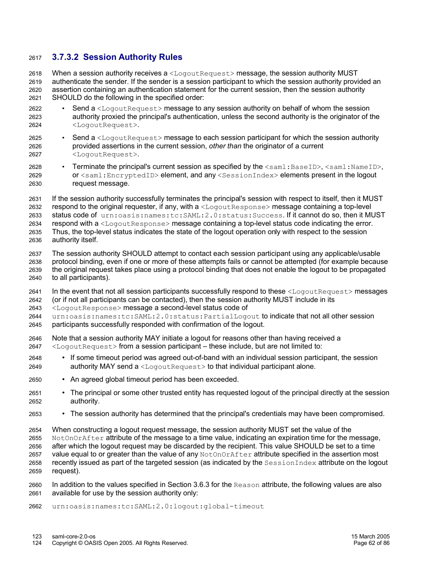## **3.7.3.2 Session Authority Rules** 2617

When a session authority receives a  $\leq$  Logout Request > message, the session authority MUST authenticate the sender. If the sender is a session participant to which the session authority provided an assertion containing an authentication statement for the current session, then the session authority SHOULD do the following in the specified order: 2618 2619 2620 2621

- Send a  $\leq$  Logout Request  $>$  message to any session authority on behalf of whom the session authority proxied the principal's authentication, unless the second authority is the originator of the <LogoutRequest>. 2622 2623 2624
- Send a  $\lt$ LogoutRequest> message to each session participant for which the session authority provided assertions in the current session, *other than* the originator of a current <LogoutRequest>. 2625 2626 2627
- Terminate the principal's current session as specified by the  $\langle \text{saml:BaseID}\rangle$ ,  $\langle \text{saml:NameID}\rangle$ , or <saml:EncryptedID> element, and any <SessionIndex> elements present in the logout request message. 2628 2629 2630

If the session authority successfully terminates the principal's session with respect to itself, then it MUST respond to the original requester, if any, with a <LogoutResponse> message containing a top-level status code of urn:oasis:names:tc:SAML:2.0:status:Success. If it cannot do so, then it MUST respond with a <LogoutResponse> message containing a top-level status code indicating the error. Thus, the top-level status indicates the state of the logout operation only with respect to the session authority itself. 2631 2632 2633 2634 2635 2636

- The session authority SHOULD attempt to contact each session participant using any applicable/usable protocol binding, even if one or more of these attempts fails or cannot be attempted (for example because the original request takes place using a protocol binding that does not enable the logout to be propagated to all participants). 2637 2638 2639 2640
- In the event that not all session participants successfully respond to these  $\leq$ LogoutRequest> messages (or if not all participants can be contacted), then the session authority MUST include in its 2641 2642
- <LogoutResponse> message a second-level status code of 2643
- urn:oasis:names:tc:SAML:2.0:status:PartialLogout to indicate that not all other session participants successfully responded with confirmation of the logout. 2644 2645
- Note that a session authority MAY initiate a logout for reasons other than having received a 2646
- $\leq$ LogoutRequest> from a session participant these include, but are not limited to: 2647
- If some timeout period was agreed out-of-band with an individual session participant, the session authority MAY send a  $\langle$ LogoutRequest> to that individual participant alone. 2648 2649
- An agreed global timeout period has been exceeded. 2650
- The principal or some other trusted entity has requested logout of the principal directly at the session authority. 2651 2652
- The session authority has determined that the principal's credentials may have been compromised. 2653
- When constructing a logout request message, the session authority MUST set the value of the NotOnOrAfter attribute of the message to a time value, indicating an expiration time for the message, after which the logout request may be discarded by the recipient. This value SHOULD be set to a time value equal to or greater than the value of any NotOnOrAfter attribute specified in the assertion most recently issued as part of the targeted session (as indicated by the SessionIndex attribute on the logout request). 2654 2655 2656 2657 2658 2659
- In addition to the values specified in Section 3.6.3 for the Reason attribute, the following values are also available for use by the session authority only: 2660 2661
- urn:oasis:names:tc:SAML:2.0:logout:global-timeout 2662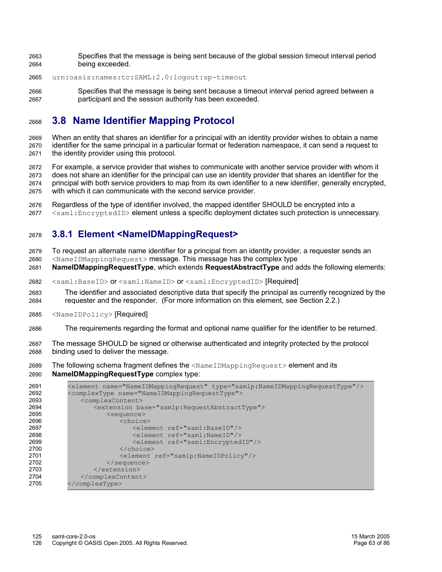Specifies that the message is being sent because of the global session timeout interval period being exceeded. 2663 2664

urn:oasis:names:tc:SAML:2.0:logout:sp-timeout 2665

Specifies that the message is being sent because a timeout interval period agreed between a participant and the session authority has been exceeded. 2666 2667

## **3.8 Name Identifier Mapping Protocol** 2668

When an entity that shares an identifier for a principal with an identity provider wishes to obtain a name identifier for the same principal in a particular format or federation namespace, it can send a request to the identity provider using this protocol. 2669 2670 2671

For example, a service provider that wishes to communicate with another service provider with whom it does not share an identifier for the principal can use an identity provider that shares an identifier for the principal with both service providers to map from its own identifier to a new identifier, generally encrypted, with which it can communicate with the second service provider. 2672 2673 2674 2675

Regardless of the type of identifier involved, the mapped identifier SHOULD be encrypted into a <saml:EncryptedID> element unless a specific deployment dictates such protection is unnecessary. 2676 2677

## **3.8.1 Element <NameIDMappingRequest>** 2678

To request an alternate name identifier for a principal from an identity provider, a requester sends an <NameIDMappingRequest> message. This message has the complex type 2679 2680

**NameIDMappingRequestType**, which extends **RequestAbstractType** and adds the following elements: 2681

- <saml:BaseID> or <saml:NameID> or <saml:EncryptedID> [Required] 2682
- The identifier and associated descriptive data that specify the principal as currently recognized by the requester and the responder. (For more information on this element, see Section 2.2.) 2683 2684
- <NameIDPolicy> [Required] 2685
- The requirements regarding the format and optional name qualifier for the identifier to be returned. 2686
- The message SHOULD be signed or otherwise authenticated and integrity protected by the protocol binding used to deliver the message. 2687 2688
- The following schema fragment defines the <NameIDMappingRequest> element and its **NameIDMappingRequestType** complex type: 2689 2690

| 2691 | <element name="NameIDMappingRequest" type="samlp:NameIDMappingRequestType"></element> |
|------|---------------------------------------------------------------------------------------|
| 2692 | <complextype name="NameIDMappingRequestType"></complextype>                           |
| 2693 | <complexcontent></complexcontent>                                                     |
| 2694 | <extension base="samlp:RequestAbstractType"></extension>                              |
| 2695 | $<$ sequence $>$                                                                      |
| 2696 | $<$ choice $>$                                                                        |
| 2697 | <element ref="saml:BaseID"></element>                                                 |
| 2698 | <element ref="saml:NameID"></element>                                                 |
| 2699 | <element ref="saml:EncryptedID"></element>                                            |
| 2700 | $\langle$ /choice>                                                                    |
| 2701 | <element ref="samlp:NameIDPolicy"></element>                                          |
| 2702 | $\langle$ /sequence>                                                                  |
| 2703 | $\langle$ /extension>                                                                 |
| 2704 |                                                                                       |
| 2705 |                                                                                       |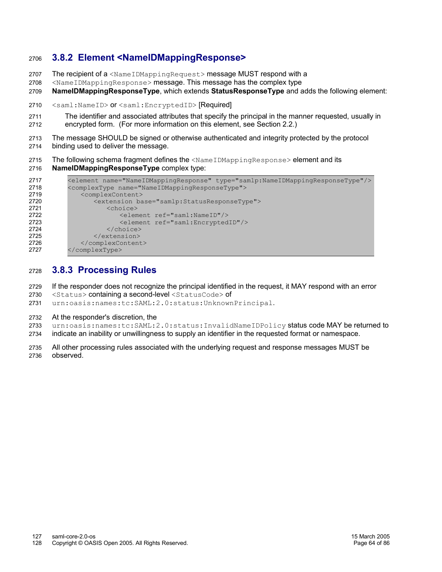## **3.8.2 Element <NameIDMappingResponse>** 2706

- The recipient of a <NameIDMappingRequest> message MUST respond with a 2707
- <NameIDMappingResponse> message. This message has the complex type 2708
- **NameIDMappingResponseType**, which extends **StatusResponseType** and adds the following element: 2709
- <saml:NameID> or <saml:EncryptedID> [Required] 2710
- The identifier and associated attributes that specify the principal in the manner requested, usually in encrypted form. (For more information on this element, see Section 2.2.) 2711 2712
- The message SHOULD be signed or otherwise authenticated and integrity protected by the protocol binding used to deliver the message. 2713 2714
- The following schema fragment defines the <NameIDMappingResponse> element and its **NameIDMappingResponseType** complex type: 2715 2716

```
<element name="NameIDMappingResponse" type="samlp:NameIDMappingResponseType"/>
          <complexType name="NameIDMappingResponseType">
              <complexContent>
                 <extension base="samlp:StatusResponseType">
                     <choice>
                        <element ref="saml:NameID"/>
                        <element ref="saml:EncryptedID"/>
                    </choice>
                 </extension>
             </complexContent>
          </complexType>
2717
2718
2719
2720
2721
2722
2723
2724
2725
2726
2727
```
## **3.8.3 Processing Rules** 2728

- If the responder does not recognize the principal identified in the request, it MAY respond with an error <Status> containing a second-level <StatusCode> of 2729 2730
- urn:oasis:names:tc:SAML:2.0:status:UnknownPrincipal. 2731
- At the responder's discretion, the 2732
- urn:oasis:names:tc:SAML:2.0:status:InvalidNameIDPolicy status code MAY be returned to indicate an inability or unwillingness to supply an identifier in the requested format or namespace. 2733 2734
- All other processing rules associated with the underlying request and response messages MUST be observed. 2735 2736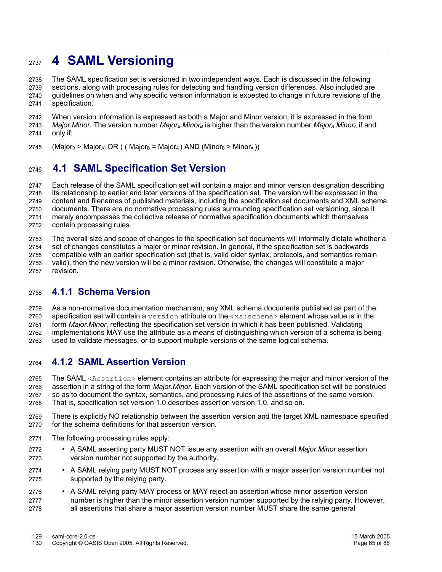# **4 SAML Versioning** 2737

The SAML specification set is versioned in two independent ways. Each is discussed in the following sections, along with processing rules for detecting and handling version differences. Also included are guidelines on when and why specific version information is expected to change in future revisions of the specification. 2738 2739 2740 2741

When version information is expressed as both a Major and Minor version, it is expressed in the form *Major.Minor*. The version number *MajorB*.*MinorB* is higher than the version number *MajorA*.*MinorA* if and only if: 2742 2743 2744

 $(Major_B > Major_A OR$  (  $(Major_B = Major_A)$  AND  $(Minor_B > Minor_A)$ ) 2745

## **4.1 SAML Specification Set Version** 2746

Each release of the SAML specification set will contain a major and minor version designation describing its relationship to earlier and later versions of the specification set. The version will be expressed in the content and filenames of published materials, including the specification set documents and XML schema documents. There are no normative processing rules surrounding specification set versioning, since it merely encompasses the collective release of normative specification documents which themselves contain processing rules. 2747 2748 2749 2750 2751 2752

The overall size and scope of changes to the specification set documents will informally dictate whether a set of changes constitutes a major or minor revision. In general, if the specification set is backwards compatible with an earlier specification set (that is, valid older syntax, protocols, and semantics remain valid), then the new version will be a minor revision. Otherwise, the changes will constitute a major revision. 2753 2754 2755 2756 2757

## **4.1.1 Schema Version** 2758

As a non-normative documentation mechanism, any XML schema documents published as part of the specification set will contain a version attribute on the  $\langle x \rangle$ s: schema > element whose value is in the form *Major.Minor*, reflecting the specification set version in which it has been published. Validating implementations MAY use the attribute as a means of distinguishing which version of a schema is being used to validate messages, or to support multiple versions of the same logical schema. 2759 2760 2761 2762 2763

## **4.1.2 SAML Assertion Version** 2764

The SAML <Assertion> element contains an attribute for expressing the major and minor version of the assertion in a string of the form *Major.Minor*. Each version of the SAML specification set will be construed so as to document the syntax, semantics, and processing rules of the assertions of the same version. That is, specification set version 1.0 describes assertion version 1.0, and so on. 2765 2766 2767 2768

- There is explicitly NO relationship between the assertion version and the target XML namespace specified for the schema definitions for that assertion version. 2769 2770
- The following processing rules apply: 2771
- A SAML asserting party MUST NOT issue any assertion with an overall *Major.Minor* assertion version number not supported by the authority. 2772 2773
- A SAML relying party MUST NOT process any assertion with a major assertion version number not supported by the relying party. 2774 2775
- A SAML relying party MAY process or MAY reject an assertion whose minor assertion version number is higher than the minor assertion version number supported by the relying party. However, all assertions that share a major assertion version number MUST share the same general 2776 2777 2778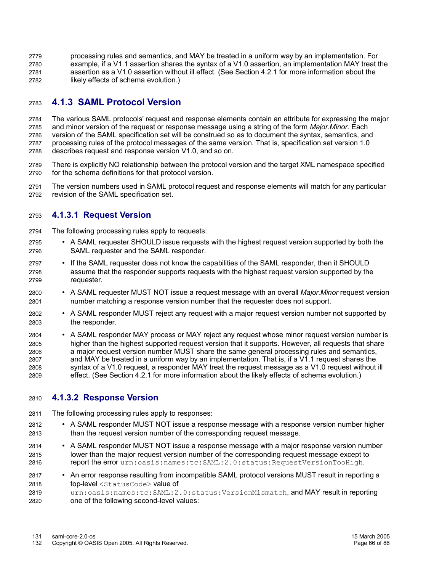processing rules and semantics, and MAY be treated in a uniform way by an implementation. For example, if a V1.1 assertion shares the syntax of a V1.0 assertion, an implementation MAY treat the assertion as a V1.0 assertion without ill effect. (See Section 4.2.1 for more information about the likely effects of schema evolution.) 2779 2780 2781 2782

## **4.1.3 SAML Protocol Version** 2783

The various SAML protocols' request and response elements contain an attribute for expressing the major and minor version of the request or response message using a string of the form *Major.Minor*. Each version of the SAML specification set will be construed so as to document the syntax, semantics, and processing rules of the protocol messages of the same version. That is, specification set version 1.0 describes request and response version V1.0, and so on. 2784 2785 2786 2787 2788

- There is explicitly NO relationship between the protocol version and the target XML namespace specified for the schema definitions for that protocol version. 2789 2790
- The version numbers used in SAML protocol request and response elements will match for any particular revision of the SAML specification set. 2791 2792

## **4.1.3.1 Request Version** 2793

- The following processing rules apply to requests: 2794
- A SAML requester SHOULD issue requests with the highest request version supported by both the SAML requester and the SAML responder. 2795 2796
- If the SAML requester does not know the capabilities of the SAML responder, then it SHOULD assume that the responder supports requests with the highest request version supported by the requester. 2797 2798 2799
- A SAML requester MUST NOT issue a request message with an overall *Major.Minor* request version number matching a response version number that the requester does not support. 2800 2801
- A SAML responder MUST reject any request with a major request version number not supported by the responder. 2802 2803
- A SAML responder MAY process or MAY reject any request whose minor request version number is higher than the highest supported request version that it supports. However, all requests that share a major request version number MUST share the same general processing rules and semantics, and MAY be treated in a uniform way by an implementation. That is, if a V1.1 request shares the syntax of a V1.0 request, a responder MAY treat the request message as a V1.0 request without ill effect. (See Section 4.2.1 for more information about the likely effects of schema evolution.) 2804 2805 2806 2807 2808 2809

## **4.1.3.2 Response Version** 2810

- The following processing rules apply to responses: 2811
- A SAML responder MUST NOT issue a response message with a response version number higher than the request version number of the corresponding request message. 2812 2813
- A SAML responder MUST NOT issue a response message with a major response version number lower than the major request version number of the corresponding request message except to report the error urn:oasis:names:tc:SAML:2.0:status:RequestVersionTooHigh. 2814 2815 2816
- An error response resulting from incompatible SAML protocol versions MUST result in reporting a top-level <StatusCode> value of 2817 2818
- urn:oasis:names:tc:SAML:2.0:status:VersionMismatch, and MAY result in reporting one of the following second-level values: 2819 2820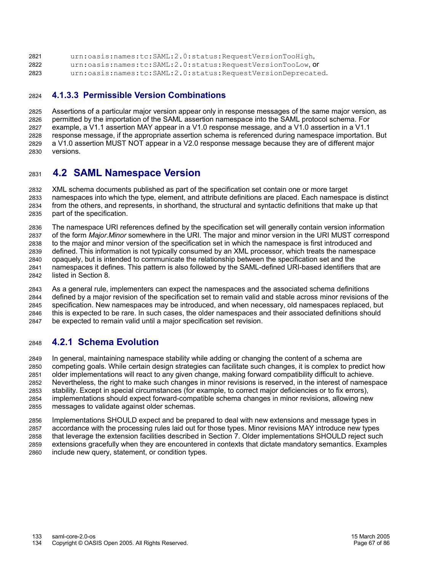| 2821 | urn:oasis:names:tc:SAML:2.0:status:RequestVersionTooHigh,    |
|------|--------------------------------------------------------------|
| 2822 | urn:oasis:names:tc:SAML:2.0:status:RequestVersionTooLow.Or   |
| 2823 | urn:oasis:names:tc:SAML:2.0:status:RequestVersionDeprecated. |

#### **4.1.3.3 Permissible Version Combinations** 2824

Assertions of a particular major version appear only in response messages of the same major version, as permitted by the importation of the SAML assertion namespace into the SAML protocol schema. For example, a V1.1 assertion MAY appear in a V1.0 response message, and a V1.0 assertion in a V1.1 response message, if the appropriate assertion schema is referenced during namespace importation. But a V1.0 assertion MUST NOT appear in a V2.0 response message because they are of different major versions. 2825 2826 2827 2828 2829 2830

## **4.2 SAML Namespace Version** 2831

XML schema documents published as part of the specification set contain one or more target namespaces into which the type, element, and attribute definitions are placed. Each namespace is distinct from the others, and represents, in shorthand, the structural and syntactic definitions that make up that part of the specification. 2832 2833 2834 2835

The namespace URI references defined by the specification set will generally contain version information of the form *Major.Minor* somewhere in the URI. The major and minor version in the URI MUST correspond to the major and minor version of the specification set in which the namespace is first introduced and defined. This information is not typically consumed by an XML processor, which treats the namespace opaquely, but is intended to communicate the relationship between the specification set and the namespaces it defines. This pattern is also followed by the SAML-defined URI-based identifiers that are listed in Section 8. 2836 2837 2838 2839 2840 2841 2842

As a general rule, implementers can expect the namespaces and the associated schema definitions defined by a major revision of the specification set to remain valid and stable across minor revisions of the specification. New namespaces may be introduced, and when necessary, old namespaces replaced, but this is expected to be rare. In such cases, the older namespaces and their associated definitions should be expected to remain valid until a major specification set revision. 2843 2844 2845 2846 2847

## **4.2.1 Schema Evolution** 2848

In general, maintaining namespace stability while adding or changing the content of a schema are competing goals. While certain design strategies can facilitate such changes, it is complex to predict how older implementations will react to any given change, making forward compatibility difficult to achieve. Nevertheless, the right to make such changes in minor revisions is reserved, in the interest of namespace stability. Except in special circumstances (for example, to correct major deficiencies or to fix errors), implementations should expect forward-compatible schema changes in minor revisions, allowing new messages to validate against older schemas. 2849 2850 2851 2852 2853 2854 2855

Implementations SHOULD expect and be prepared to deal with new extensions and message types in accordance with the processing rules laid out for those types. Minor revisions MAY introduce new types that leverage the extension facilities described in Section 7. Older implementations SHOULD reject such extensions gracefully when they are encountered in contexts that dictate mandatory semantics. Examples include new query, statement, or condition types. 2856 2857 2858 2859 2860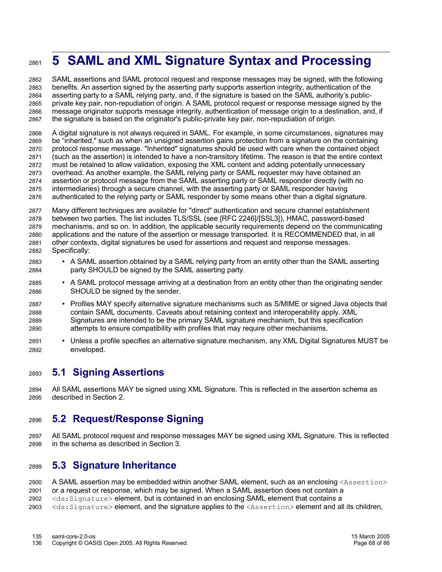# **5 SAML and XML Signature Syntax and Processing** 2861

SAML assertions and SAML protocol request and response messages may be signed, with the following benefits. An assertion signed by the asserting party supports assertion integrity, authentication of the asserting party to a SAML relying party, and, if the signature is based on the SAML authority's publicprivate key pair, non-repudiation of origin. A SAML protocol request or response message signed by the message originator supports message integrity, authentication of message origin to a destination, and, if the signature is based on the originator's public-private key pair, non-repudiation of origin. 2862 2863 2864 2865 2866 2867

A digital signature is not always required in SAML. For example, in some circumstances, signatures may be "inherited," such as when an unsigned assertion gains protection from a signature on the containing protocol response message. "Inherited" signatures should be used with care when the contained object (such as the assertion) is intended to have a non-transitory lifetime. The reason is that the entire context must be retained to allow validation, exposing the XML content and adding potentially unnecessary overhead. As another example, the SAML relying party or SAML requester may have obtained an assertion or protocol message from the SAML asserting party or SAML responder directly (with no intermediaries) through a secure channel, with the asserting party or SAML responder having authenticated to the relying party or SAML responder by some means other than a digital signature. 2868 2869 2870 2871 2872 2873 2874 2875 2876

Many different techniques are available for "direct" authentication and secure channel establishment between two parties. The list includes TLS/SSL (see [RFC 2246]/[SSL3]), HMAC, password-based mechanisms, and so on. In addition, the applicable security requirements depend on the communicating applications and the nature of the assertion or message transported. It is RECOMMENDED that, in all other contexts, digital signatures be used for assertions and request and response messages. Specifically: 2877 2878 2879 2880 2881 2882

- A SAML assertion obtained by a SAML relying party from an entity other than the SAML asserting party SHOULD be signed by the SAML asserting party. 2883 2884
- A SAML protocol message arriving at a destination from an entity other than the originating sender SHOULD be signed by the sender. 2885 2886
- Profiles MAY specify alternative signature mechanisms such as S/MIME or signed Java objects that contain SAML documents. Caveats about retaining context and interoperability apply. XML Signatures are intended to be the primary SAML signature mechanism, but this specification attempts to ensure compatibility with profiles that may require other mechanisms. 2887 2888 2889 2890
- Unless a profile specifies an alternative signature mechanism, any XML Digital Signatures MUST be enveloped. 2891 2892

## **5.1 Signing Assertions** 2893

All SAML assertions MAY be signed using XML Signature. This is reflected in the assertion schema as described in Section 2. 2894 2895

## **5.2 Request/Response Signing** 2896

All SAML protocol request and response messages MAY be signed using XML Signature. This is reflected in the schema as described in Section 3. 2897 2898

## **5.3 Signature Inheritance** 2899

A SAML assertion may be embedded within another SAML element, such as an enclosing <Assertion> or a request or response, which may be signed. When a SAML assertion does not contain a <ds:Signature> element, but is contained in an enclosing SAML element that contains a <ds:Signature> element, and the signature applies to the <Assertion> element and all its children, 2900 2901 2902 2903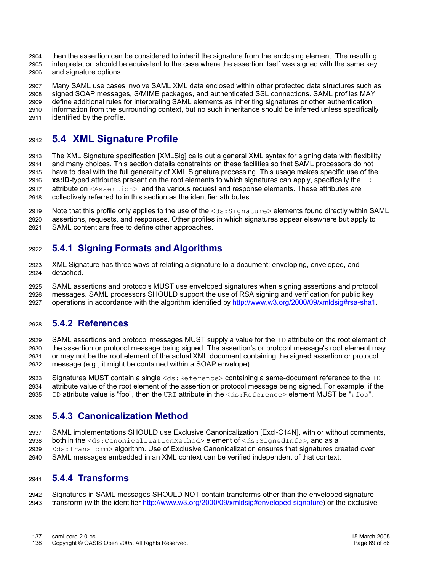then the assertion can be considered to inherit the signature from the enclosing element. The resulting interpretation should be equivalent to the case where the assertion itself was signed with the same key and signature options. 2904 2905 2906

Many SAML use cases involve SAML XML data enclosed within other protected data structures such as signed SOAP messages, S/MIME packages, and authenticated SSL connections. SAML profiles MAY define additional rules for interpreting SAML elements as inheriting signatures or other authentication information from the surrounding context, but no such inheritance should be inferred unless specifically identified by the profile. 2907 2908  $2909$ 2910 2911

## **5.4 XML Signature Profile** 2912

The XML Signature specification [XMLSig] calls out a general XML syntax for signing data with flexibility and many choices. This section details constraints on these facilities so that SAML processors do not have to deal with the full generality of XML Signature processing. This usage makes specific use of the **xs:ID**-typed attributes present on the root elements to which signatures can apply, specifically the ID attribute on <Assertion> and the various request and response elements. These attributes are collectively referred to in this section as the identifier attributes. 2913 2914 2915 2916 2917 2918

Note that this profile only applies to the use of the <ds: Signature> elements found directly within SAML assertions, requests, and responses. Other profiles in which signatures appear elsewhere but apply to SAML content are free to define other approaches. 2919 2920 2921

## **5.4.1 Signing Formats and Algorithms** 2922

XML Signature has three ways of relating a signature to a document: enveloping, enveloped, and detached. 2923 2924

SAML assertions and protocols MUST use enveloped signatures when signing assertions and protocol messages. SAML processors SHOULD support the use of RSA signing and verification for public key operations in accordance with the algorithm identified by http://www.w3.org/2000/09/xmldsig#rsa-sha1. 2925 2926 2927

## **5.4.2 References** 2928

SAML assertions and protocol messages MUST supply a value for the ID attribute on the root element of the assertion or protocol message being signed. The assertion's or protocol message's root element may or may not be the root element of the actual XML document containing the signed assertion or protocol message (e.g., it might be contained within a SOAP envelope). 2929 2930 2931 2932

Signatures MUST contain a single  $\text{ds:Reference}$  containing a same-document reference to the ID attribute value of the root element of the assertion or protocol message being signed. For example, if the ID attribute value is "foo", then the URI attribute in the <ds: Reference> element MUST be "#foo". 2933 2934 2935

## **5.4.3 Canonicalization Method** 2936

SAML implementations SHOULD use Exclusive Canonicalization [Excl-C14N], with or without comments, both in the <ds:CanonicalizationMethod> element of <ds:SignedInfo>, and as a <ds:Transform> algorithm. Use of Exclusive Canonicalization ensures that signatures created over SAML messages embedded in an XML context can be verified independent of that context. 2937 2938 2939 2940

## **5.4.4 Transforms** 2941

Signatures in SAML messages SHOULD NOT contain transforms other than the enveloped signature transform (with the identifier http://www.w3.org/2000/09/xmldsig#enveloped-signature) or the exclusive 2942 2943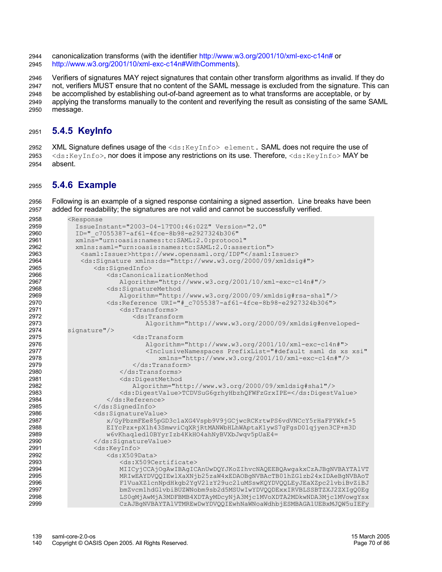canonicalization transforms (with the identifier http://www.w3.org/2001/10/xml-exc-c14n# or http://www.w3.org/2001/10/xml-exc-c14n#WithComments). 2944 2945

Verifiers of signatures MAY reject signatures that contain other transform algorithms as invalid. If they do not, verifiers MUST ensure that no content of the SAML message is excluded from the signature. This can be accomplished by establishing out-of-band agreement as to what transforms are acceptable, or by applying the transforms manually to the content and reverifying the result as consisting of the same SAML message. 2946 2947 2948 2949 2950

## **5.4.5 KeyInfo** 2951

XML Signature defines usage of the <ds: KeyInfo> element. SAML does not require the use of <ds:KeyInfo>, nor does it impose any restrictions on its use. Therefore, <ds:KeyInfo> MAY be absent. 2952 2953 2954

## **5.4.6 Example** 2955

Following is an example of a signed response containing a signed assertion. Line breaks have been added for readability; the signatures are not valid and cannot be successfully verified. 2956 2957

| 2958 | <response< th=""></response<>                                                               |
|------|---------------------------------------------------------------------------------------------|
| 2959 | IssueInstant="2003-04-17T00:46:02Z" Version="2.0"                                           |
| 2960 | ID=" c7055387-af61-4fce-8b98-e2927324b306"                                                  |
| 2961 | xmlns="urn:oasis:names:tc:SAML:2.0:protocol"                                                |
| 2962 | xmlns:saml="urn:oasis:names:tc:SAML:2.0:assertion">                                         |
| 2963 | <saml:issuer>https://www.opensaml.org/IDP"</saml:issuer>                                    |
| 2964 | <ds:signature xmlns:ds="http://www.w3.org/2000/09/xmldsig#"></ds:signature>                 |
| 2965 | <ds:signedinfo></ds:signedinfo>                                                             |
| 2966 | <ds:canonicalizationmethod< th=""></ds:canonicalizationmethod<>                             |
| 2967 | Algorithm="http://www.w3.org/2001/10/xml-exc-c14n#"/>                                       |
| 2968 | <ds:signaturemethod< th=""></ds:signaturemethod<>                                           |
| 2969 | Algorithm="http://www.w3.org/2000/09/xmldsig#rsa-sha1"/>                                    |
| 2970 | <ds:reference uri="# c7055387-af61-4fce-8b98-e2927324b306"></ds:reference>                  |
| 2971 | <ds:transforms></ds:transforms>                                                             |
| 2972 | $<$ ds:Transform                                                                            |
| 2973 | Algorithm="http://www.w3.org/2000/09/xmldsig#enveloped-                                     |
| 2974 | signature"/>                                                                                |
| 2975 | $<$ ds:Transform                                                                            |
| 2976 | Algorithm="http://www.w3.org/2001/10/xml-exc-c14n#">                                        |
| 2977 | <inclusivenamespaces <="" prefixlist="#default saml ds xs xsi" th=""></inclusivenamespaces> |
| 2978 | xmlns="http://www.w3.org/2001/10/xml-exc-c14n#"/>                                           |
| 2979 | $\langle$ /ds:Transform>                                                                    |
| 2980 | $\langle$ /ds:Transforms>                                                                   |
| 2981 | <ds:digestmethod< th=""></ds:digestmethod<>                                                 |
| 2982 | Algorithm="http://www.w3.org/2000/09/xmldsig#sha1"/>                                        |
| 2983 | <ds:digestvalue>TCDVSuG6grhyHbzhQFWFzGrxIPE=</ds:digestvalue>                               |
| 2984 | $\langle$ /ds:Reference>                                                                    |
| 2985 |                                                                                             |
| 2986 | <ds:signaturevalue></ds:signaturevalue>                                                     |
| 2987 | x/GyPbzmFEe85pGD3c1aXG4Vspb9V9jGCjwcRCKrtwPS6vdVNCcY5rHaFPYWkf+5                            |
| 2988 | EIYCPzx+pX1h43SmwviCqXRjRtMANWbHLhWAptaK1ywS7qFqsD01qjyen3CP+m3D                            |
| 2989 | w6vKhaqled10BYyrIzb4KkHO4ahNyBVXbJwqv5pUaE4=                                                |
| 2990 |                                                                                             |
| 2991 | <ds:keyinfo></ds:keyinfo>                                                                   |
| 2992 | <ds:x509data></ds:x509data>                                                                 |
| 2993 | <ds:x509certificate></ds:x509certificate>                                                   |
| 2994 | MIICyjCCAjOqAwIBAqICAnUwDQYJKoZIhvcNAQEEBQAwqakxCzAJBqNVBAYTAlVT                            |
| 2995 | MRIwEAYDVQQIEwlXaXNjb25zaW4xEDAOBqNVBAcTB01hZGlzb24xIDAeBqNVBAoT                            |
| 2996 | F1VuaXZ1cnNpdHkgb2YqV21zY29uc21uMSswKQYDVQQLEyJEaXZpc21vbiBvZiBJ                            |
| 2997 | bmZvcmlhdGlvbiBUZWNobm9sb2d5MSUwIwYDVQQDExxIRVBLSSBTZXJ2ZXIqQ0Eq                            |
| 2998 | LS0gMjAwMjA3MDFBMB4XDTAyMDcyNjA3Mjc1MVoXDTA2MDkwNDA3Mjc1MVowgYsx                            |
| 2999 | CZAJBGNVBAYTAlVTMREwDwYDVQQIEwhNaWNoaWdhbjESMBAGA1UEBxMJQW5uIEFy                            |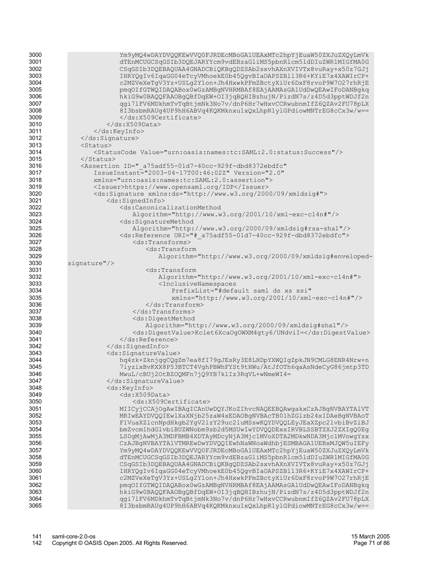| 3000 | Ym9yMQ4wDAYDVQQKEwVVQ0FJRDEcMBoGA1UEAxMTc2hpYjEuaW50ZXJuZXQyLmVk              |
|------|-------------------------------------------------------------------------------|
| 3001 |                                                                               |
|      | dTEnMCUGCSqGSIb3DQEJARYYcm9vdEBzaGliMS5pbnRlcm5ldDIuZWR1MIGfMA0G              |
| 3002 | CSqGSIb3DQEBAQUAA4GNADCBiQKBgQDZSAb2sxvhAXnXVIVTx8vuRay+x50z7GJj              |
| 3003 | IHRYQgIv6IqaGG04eTcyVMhoekE0b45QgvBIaOAPSZBl13R6+KYiE7x4XAWIrCP+              |
|      |                                                                               |
| 3004 | c2MZVeXeTgV3Yz+USLg2Y1on+Jh4HxwkPFmZBctyXiUr6DxF8rvoP9W7O27rhRjE              |
| 3005 | pmqOIfGTWQIDAQABox0wGzAMBgNVHRMBAf8EAjAAMAsGA1UdDwQEAwIFoDANBgkq              |
| 3006 |                                                                               |
|      | hkiG9w0BAQQFAAOBgQBfDqEW+OI3jqBQHIBzhujN/PizdN7s/z4D5d3pptWDJf2n              |
| 3007 | qgi71FV6MDkhmTvTqBtjmNk3No7v/dnP6Hr7wHxvCCRwubnmIfZ6QZAv2FU78pLX              |
| 3008 | 8I3bsbmRAUg4UP9hH6ABVq4KQKMknxu1xQxLhpR1y1GPdiowMNTrEG8cCx3w/w==              |
|      |                                                                               |
| 3009 |                                                                               |
| 3010 |                                                                               |
| 3011 | $\langle$ /ds:KeyInfo>                                                        |
|      |                                                                               |
| 3012 |                                                                               |
| 3013 | <status></status>                                                             |
| 3014 | <statuscode value="urn:oasis:names:tc:SAML:2.0:status:Success"></statuscode>  |
|      |                                                                               |
| 3015 |                                                                               |
| 3016 | <assertion <="" id=" a75adf55-01d7-40cc-929f-dbd8372ebdfc" th=""></assertion> |
|      |                                                                               |
| 3017 | IssueInstant="2003-04-17T00:46:02Z" Version="2.0"                             |
| 3018 | xmlns="urn:oasis:names:tc:SAML:2.0:assertion">                                |
| 3019 | <issuer>https://www.opensaml.org/IDP</issuer>                                 |
|      |                                                                               |
| 3020 | <ds:signature xmlns:ds="http://www.w3.org/2000/09/xmldsig#"></ds:signature>   |
| 3021 | <ds:signedinfo></ds:signedinfo>                                               |
| 3022 | <ds:canonicalizationmethod< th=""></ds:canonicalizationmethod<>               |
|      |                                                                               |
| 3023 | Algorithm="http://www.w3.org/2001/10/xml-exc-c14n#"/>                         |
| 3024 | <ds:signaturemethod< td=""></ds:signaturemethod<>                             |
|      |                                                                               |
| 3025 | Algorithm="http://www.w3.org/2000/09/xmldsig#rsa-sha1"/>                      |
| 3026 | <ds:reference uri="# a75adf55-01d7-40cc-929f-dbd8372ebdfc"></ds:reference>    |
| 3027 | <ds:transforms></ds:transforms>                                               |
|      |                                                                               |
| 3028 | <ds:transform< td=""></ds:transform<>                                         |
| 3029 | Algorithm="http://www.w3.org/2000/09/xmldsig#enveloped-                       |
| 3030 | square"                                                                       |
|      |                                                                               |
| 3031 | <ds:transform< td=""></ds:transform<>                                         |
| 3032 | Algorithm="http://www.w3.org/2001/10/xml-exc-c14n#">                          |
| 3033 | <inclusivenamespaces< td=""></inclusivenamespaces<>                           |
|      |                                                                               |
| 3034 | PrefixList="#default saml ds xs xsi"                                          |
| 3035 | xmlns="http://www.w3.org/2001/10/xml-exc-c14n#"/>                             |
|      |                                                                               |
| 3036 | $\langle$ /ds:Transform>                                                      |
| 3037 | $\langle$ /ds:Transforms>                                                     |
| 3038 | <ds:digestmethod< th=""></ds:digestmethod<>                                   |
|      |                                                                               |
| 3039 | Algorithm="http://www.w3.org/2000/09/xmldsig#sha1"/>                          |
| 3040 | <ds:digestvalue>Kclet6XcaOgOWXM4gty6/UNdviI=</ds:digestvalue>                 |
| 3041 |                                                                               |
|      |                                                                               |
| 3042 |                                                                               |
| 3043 | <ds:signaturevalue></ds:signaturevalue>                                       |
| 3044 | hq4zk+ZknjggCQgZm7ea8fI79gJEsRy3E8LHDpYXWQIgZpkJN9CMLG8ENR4Nrw+n              |
|      |                                                                               |
| 3045 | 7iyzixBvKXX8P53BTCT4VqhPBWhFYSt9tHWu/AtJfOTh6qaAsNdeCyG86jmtp3TD              |
| 3046 | MwuL/cBUj2OtBZOQMFn7jQ9YB7klIz3RqVL+wNmeWI4=                                  |
| 3047 |                                                                               |
|      |                                                                               |
| 3048 | <ds:keyinfo></ds:keyinfo>                                                     |
| 3049 | <ds:x509data></ds:x509data>                                                   |
| 3050 | <ds:x509certificate></ds:x509certificate>                                     |
|      |                                                                               |
| 3051 | MIICyjCCAjOgAwIBAgICAnUwDQYJKoZIhvcNAQEEBQAwgakxCzAJBgNVBAYTAlVT              |
| 3052 | MRIwEAYDVQQIEwlXaXNjb25zaW4xEDAOBgNVBAcTB01hZGlzb24xIDAeBgNVBAoT              |
| 3053 | F1VuaXZ1cnNpdHkqb2YqV21zY29uc21uMSswKQYDVQQLEyJEaXZpc21vbiBvZiBJ              |
|      |                                                                               |
| 3054 | bmZvcmlhdGlvbiBUZWNobm9sb2d5MSUwIwYDVQQDExxIRVBLSSBTZXJ2ZXIqQ0Eq              |
| 3055 | LS0qMjAwMjA3MDFBMB4XDTAyMDcyNjA3Mjc1MVoXDTA2MDkwNDA3Mjc1MVowqYsx              |
|      | CzAJBqNVBAYTAlVTMREwDwYDVOOIEwhNaWNoaWdhbjESMBAGAlUEBxMJOW5uIEFy              |
| 3056 |                                                                               |
| 3057 | Ym9yMQ4wDAYDVQQKEwVVQ0FJRDEcMBoGA1UEAxMTc2hpYjEuaW50ZXJuZXQyLmVk              |
| 3058 | dTEnMCUGCSqGSIb3DQEJARYYcm9vdEBzaGliMS5pbnRlcm5ldDIuZWR1MIGfMA0G              |
|      |                                                                               |
| 3059 | CSqGSIb3DQEBAQUAA4GNADCBiQKBgQDZSAb2sxvhAXnXVIVTx8vuRay+x50z7GJj              |
| 3060 | IHRYQgIv6IqaGG04eTcyVMhoekE0b45QgvBIaOAPSZBl13R6+KYiE7x4XAWIrCP+              |
| 3061 | c2MZVeXeTqV3Yz+USLq2Y1on+Jh4HxwkPFmZBctyXiUr6DxF8rvoP9W7027rhRjE              |
|      |                                                                               |
| 3062 | pmqOIfGTWQIDAQABox0wGzAMBgNVHRMBAf8EAjAAMAsGA1UdDwQEAwIFoDANBgkq              |
| 3063 | hkiG9w0BAQQFAAOBqQBfDqEW+OI3jqBQHIBzhujN/PizdN7s/z4D5d3pptWDJf2n              |
| 3064 | qgi71FV6MDkhmTvTqBtjmNk3No7v/dnP6Hr7wHxvCCRwubnmIfZ6QZAv2FU78pLX              |
|      |                                                                               |
| 3065 | 8I3bsbmRAUg4UP9hH6ABVq4KQKMknxu1xQxLhpR1y1GPdiowMNTrEG8cCx3w/w==              |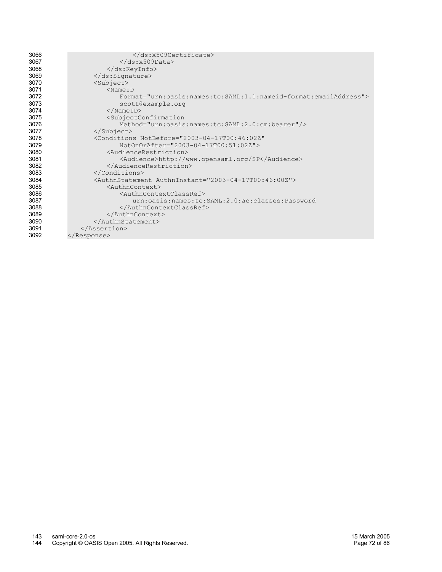| 3066 |                                                                       |
|------|-----------------------------------------------------------------------|
| 3067 | $\langle$ /ds:X509Data>                                               |
| 3068 | $\langle$ /ds:KeyInfo>                                                |
| 3069 | $\langle$ /ds:Signature>                                              |
| 3070 | <subject></subject>                                                   |
| 3071 | $<$ NameID                                                            |
| 3072 | Format="urn:oasis:names:tc:SAML:1.1:nameid-format:emailAddress">      |
| 3073 | scott@example.org                                                     |
| 3074 | $\langle$ /NameID>                                                    |
| 3075 | <subjectconfirmation< th=""></subjectconfirmation<>                   |
| 3076 | Method="urn:oasis:names:tc:SAML:2.0:cm:bearer"/>                      |
| 3077 | $\langle$ Subject>                                                    |
| 3078 | <conditions <="" notbefore="2003-04-17T00:46:02Z" th=""></conditions> |
| 3079 | NotOnOrAfter="2003-04-17T00:51:02Z">                                  |
| 3080 | <audiencerestriction></audiencerestriction>                           |
| 3081 | <audience>http://www.opensaml.org/SP</audience>                       |
| 3082 |                                                                       |
| 3083 |                                                                       |
| 3084 | $\langle$ AuthnStatement AuthnInstant="2003-04-17T00:46:00Z">         |
| 3085 | <authncontext></authncontext>                                         |
| 3086 | <authncontextclassref></authncontextclassref>                         |
| 3087 | urn: oasis: names: tc: SAML: 2.0: ac: classes: Password               |
| 3088 |                                                                       |
| 3089 |                                                                       |
| 3090 |                                                                       |
| 3091 |                                                                       |
| 3092 |                                                                       |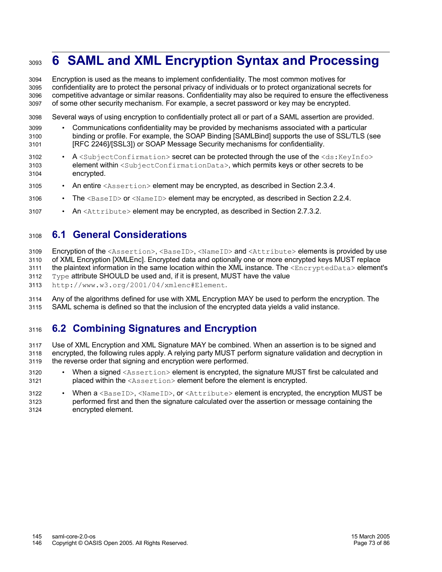# **6 SAML and XML Encryption Syntax and Processing** 3093

Encryption is used as the means to implement confidentiality. The most common motives for confidentiality are to protect the personal privacy of individuals or to protect organizational secrets for competitive advantage or similar reasons. Confidentiality may also be required to ensure the effectiveness of some other security mechanism. For example, a secret password or key may be encrypted. 3094 3095 3096 3097

Several ways of using encryption to confidentially protect all or part of a SAML assertion are provided. 3098

- Communications confidentiality may be provided by mechanisms associated with a particular binding or profile. For example, the SOAP Binding [SAMLBind] supports the use of SSL/TLS (see [RFC 2246]/[SSL3]) or SOAP Message Security mechanisms for confidentiality. 3099 3100 3101
- A  $\leq$ SubjectConfirmation> secret can be protected through the use of the  $\leq$ ds:KeyInfo> element within <SubjectConfirmationData>, which permits keys or other secrets to be encrypted. 3102 3103 3104
- An entire  $\leq$  Assertion  $>$  element may be encrypted, as described in Section 2.3.4. 3105
- The <BaseID> or <NameID> element may be encrypted, as described in Section 2.2.4. 3106
- An <Attribute> element may be encrypted, as described in Section 2.7.3.2. 3107

## **6.1 General Considerations** 3108

Encryption of the  $\triangle$ Assertion  $\geq$ ,  $\triangle$ AsseID  $\geq$ ,  $\triangle$ NameID  $\geq$  and  $\triangle$ Attribute  $\geq$  elements is provided by use of XML Encryption [XMLEnc]. Encrypted data and optionally one or more encrypted keys MUST replace the plaintext information in the same location within the XML instance. The <EncryptedData> element's  $Type$  attribute SHOULD be used and, if it is present, MUST have the value http://www.w3.org/2001/04/xmlenc#Element. 3109 3110 3111 3112 3113

Any of the algorithms defined for use with XML Encryption MAY be used to perform the encryption. The SAML schema is defined so that the inclusion of the encrypted data yields a valid instance. 3114 3115

## **6.2 Combining Signatures and Encryption** 3116

Use of XML Encryption and XML Signature MAY be combined. When an assertion is to be signed and encrypted, the following rules apply. A relying party MUST perform signature validation and decryption in the reverse order that signing and encryption were performed. 3117 3118 3119

- When a signed <Assertion> element is encrypted, the signature MUST first be calculated and placed within the <Assertion> element before the element is encrypted. 3120 3121
- When a <BaseID>, <NameID>, or <Attribute> element is encrypted, the encryption MUST be performed first and then the signature calculated over the assertion or message containing the encrypted element. 3122 3123 3124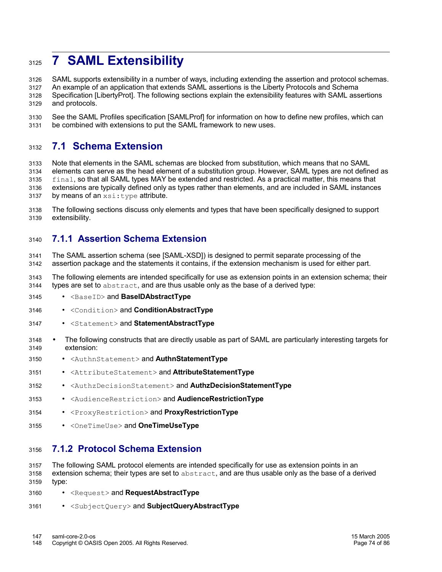## **7 SAML Extensibility** 3125

SAML supports extensibility in a number of ways, including extending the assertion and protocol schemas. An example of an application that extends SAML assertions is the Liberty Protocols and Schema Specification [LibertyProt]. The following sections explain the extensibility features with SAML assertions and protocols. 3126 3127 3128 3129

See the SAML Profiles specification [SAMLProf] for information on how to define new profiles, which can be combined with extensions to put the SAML framework to new uses. 3130 3131

## **7.1 Schema Extension** 3132

Note that elements in the SAML schemas are blocked from substitution, which means that no SAML elements can serve as the head element of a substitution group. However, SAML types are not defined as final, so that all SAML types MAY be extended and restricted. As a practical matter, this means that extensions are typically defined only as types rather than elements, and are included in SAML instances by means of an  $xsi:type$  attribute. 3133 3134 3135 3136 3137

The following sections discuss only elements and types that have been specifically designed to support extensibility. 3138 3139

### **7.1.1 Assertion Schema Extension** 3140

The SAML assertion schema (see [SAML-XSD]) is designed to permit separate processing of the assertion package and the statements it contains, if the extension mechanism is used for either part. 3141 3142

- The following elements are intended specifically for use as extension points in an extension schema; their types are set to abstract, and are thus usable only as the base of a derived type: 3143 3144
- <BaseID> and **BaseIDAbstractType** 3145
- <Condition> and **ConditionAbstractType** 3146
- <Statement> and **StatementAbstractType** 3147
- The following constructs that are directly usable as part of SAML are particularly interesting targets for extension: 3148 3149
- <AuthnStatement> and **AuthnStatementType** 3150
- <AttributeStatement> and **AttributeStatementType** 3151
- <AuthzDecisionStatement> and **AuthzDecisionStatementType** 3152
- <AudienceRestriction> and **AudienceRestrictionType** 3153
- <ProxyRestriction> and **ProxyRestrictionType** 3154
- <OneTimeUse> and **OneTimeUseType** 3155

#### **7.1.2 Protocol Schema Extension** 3156

- The following SAML protocol elements are intended specifically for use as extension points in an extension schema; their types are set to abstract, and are thus usable only as the base of a derived 3157 3158
- type: 3159
- <Request> and **RequestAbstractType** 3160
- <SubjectQuery> and **SubjectQueryAbstractType** 3161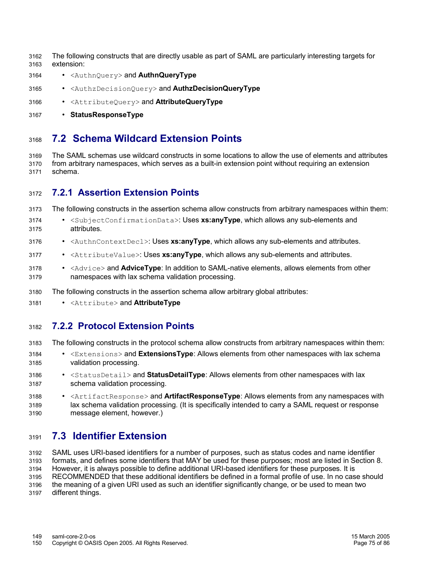- The following constructs that are directly usable as part of SAML are particularly interesting targets for extension: 3162 3163
- <AuthnQuery> and **AuthnQueryType** 3164
- <AuthzDecisionQuery> and **AuthzDecisionQueryType** 3165
- <AttributeQuery> and **AttributeQueryType** 3166
- **StatusResponseType** 3167

## **7.2 Schema Wildcard Extension Points** 3168

The SAML schemas use wildcard constructs in some locations to allow the use of elements and attributes from arbitrary namespaces, which serves as a built-in extension point without requiring an extension schema. 3169 3170 3171

### **7.2.1 Assertion Extension Points** 3172

- The following constructs in the assertion schema allow constructs from arbitrary namespaces within them: 3173
- <SubjectConfirmationData>: Uses **xs:anyType**, which allows any sub-elements and attributes. 3174 3175
- <AuthnContextDecl>: Uses **xs:anyType**, which allows any sub-elements and attributes. 3176
- <AttributeValue>: Uses **xs:anyType**, which allows any sub-elements and attributes. 3177
- <Advice> and **AdviceType**: In addition to SAML-native elements, allows elements from other namespaces with lax schema validation processing. 3178 3179
- The following constructs in the assertion schema allow arbitrary global attributes: 3180
- <Attribute> and **AttributeType** 3181

### **7.2.2 Protocol Extension Points** 3182

- The following constructs in the protocol schema allow constructs from arbitrary namespaces within them: 3183
- <Extensions> and **ExtensionsType**: Allows elements from other namespaces with lax schema validation processing. 3184 3185
- <StatusDetail> and **StatusDetailType**: Allows elements from other namespaces with lax schema validation processing. 3186 3187
- <ArtifactResponse> and **ArtifactResponseType**: Allows elements from any namespaces with lax schema validation processing. (It is specifically intended to carry a SAML request or response message element, however.) 3188 3189 3190

## **7.3 Identifier Extension** 3191

SAML uses URI-based identifiers for a number of purposes, such as status codes and name identifier formats, and defines some identifiers that MAY be used for these purposes; most are listed in Section 8. However, it is always possible to define additional URI-based identifiers for these purposes. It is RECOMMENDED that these additional identifiers be defined in a formal profile of use. In no case should the meaning of a given URI used as such an identifier significantly change, or be used to mean two different things. 3192 3193 3194 3195 3196 3197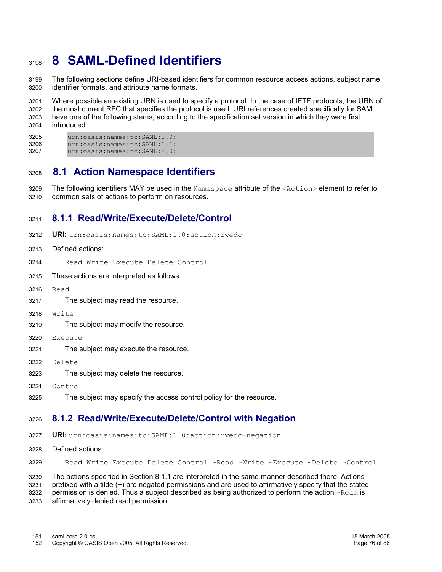## **8 SAML-Defined Identifiers** 3198

The following sections define URI-based identifiers for common resource access actions, subject name identifier formats, and attribute name formats. 3199 3200

Where possible an existing URN is used to specify a protocol. In the case of IETF protocols, the URN of the most current RFC that specifies the protocol is used. URI references created specifically for SAML have one of the following stems, according to the specification set version in which they were first introduced: 3201 3202 3203 3204

urn:oasis:names:tc:SAML:1.0: urn:oasis:names:tc:SAML:1.1: urn:oasis:names:tc:SAML:2.0: 3205 3206 3207

## **8.1 Action Namespace Identifiers** 3208

The following identifiers MAY be used in the  $N$  amespace attribute of the  $\langle$ Action $\rangle$  element to refer to common sets of actions to perform on resources. 3209 3210

### **8.1.1 Read/Write/Execute/Delete/Control** 3211

- **URI:** urn:oasis:names:tc:SAML:1.0:action:rwedc 3212
- Defined actions: 3213
- Read Write Execute Delete Control 3214
- These actions are interpreted as follows: 3215
- Read 3216
- The subject may read the resource. 3217
- Write 3218
- The subject may modify the resource. 3219
- Execute 3220
- The subject may execute the resource. 3221
- Delete 3222
- The subject may delete the resource. 3223
- Control 3224
- The subject may specify the access control policy for the resource. 3225

#### **8.1.2 Read/Write/Execute/Delete/Control with Negation** 3226

- **URI:** urn:oasis:names:tc:SAML:1.0:action:rwedc-negation 3227
- Defined actions: 3228
- Read Write Execute Delete Control ~Read ~Write ~Execute ~Delete ~Control 3229

The actions specified in Section 8.1.1 are interpreted in the same manner described there. Actions prefixed with a tilde (~) are negated permissions and are used to affirmatively specify that the stated permission is denied. Thus a subject described as being authorized to perform the action ~Read is affirmatively denied read permission. 3230 3231 3232 3233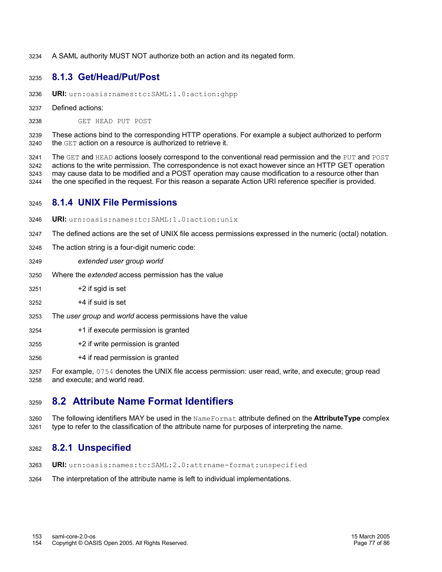A SAML authority MUST NOT authorize both an action and its negated form. 3234

#### **8.1.3 Get/Head/Put/Post** 3235

- **URI:** urn:oasis:names:tc:SAML:1.0:action:ghpp 3236
- Defined actions: 3237
- GET HEAD PUT POST 3238
- These actions bind to the corresponding HTTP operations. For example a subject authorized to perform the GET action on a resource is authorized to retrieve it. 3239 3240

The GET and HEAD actions loosely correspond to the conventional read permission and the PUT and POST actions to the write permission. The correspondence is not exact however since an HTTP GET operation may cause data to be modified and a POST operation may cause modification to a resource other than the one specified in the request. For this reason a separate Action URI reference specifier is provided. 3241 3242 3243 3244

#### **8.1.4 UNIX File Permissions** 3245

- **URI:** urn:oasis:names:tc:SAML:1.0:action:unix 3246
- The defined actions are the set of UNIX file access permissions expressed in the numeric (octal) notation. 3247
- The action string is a four-digit numeric code: 3248
- *extended user group world* 3249
- Where the *extended* access permission has the value 3250
- +2 if sgid is set 3251
- +4 if suid is set 3252
- The *user group* and *world* access permissions have the value 3253
- +1 if execute permission is granted 3254
- +2 if write permission is granted 3255
- +4 if read permission is granted 3256
- For example, 0754 denotes the UNIX file access permission: user read, write, and execute; group read and execute; and world read. 3257 3258

## **8.2 Attribute Name Format Identifiers** 3259

The following identifiers MAY be used in the NameFormat attribute defined on the **AttributeType** complex type to refer to the classification of the attribute name for purposes of interpreting the name. 3260 3261

#### **8.2.1 Unspecified** 3262

- **URI:** urn:oasis:names:tc:SAML:2.0:attrname-format:unspecified 3263
- The interpretation of the attribute name is left to individual implementations. 3264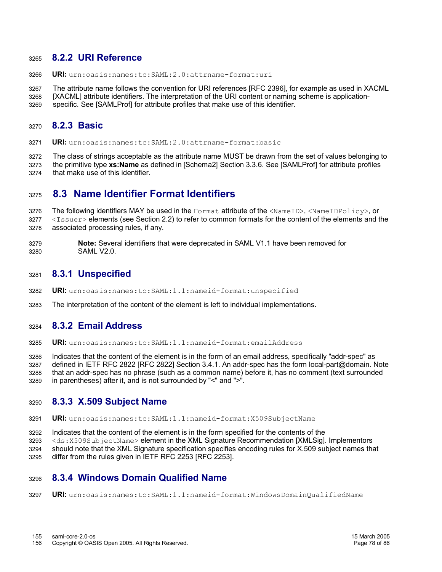#### **8.2.2 URI Reference** 3265

**URI:** urn:oasis:names:tc:SAML:2.0:attrname-format:uri 3266

The attribute name follows the convention for URI references [RFC 2396], for example as used in XACML [XACML] attribute identifiers. The interpretation of the URI content or naming scheme is applicationspecific. See [SAMLProf] for attribute profiles that make use of this identifier. 3267 3268 3269

#### **8.2.3 Basic** 3270

**URI:** urn:oasis:names:tc:SAML:2.0:attrname-format:basic 3271

The class of strings acceptable as the attribute name MUST be drawn from the set of values belonging to the primitive type **xs:Name** as defined in [Schema2] Section 3.3.6. See [SAMLProf] for attribute profiles that make use of this identifier. 3272 3273 3274

## **8.3 Name Identifier Format Identifiers** 3275

The following identifiers MAY be used in the Format attribute of the <NameID>, <NameIDPolicy>, or <Issuer> elements (see Section 2.2) to refer to common formats for the content of the elements and the associated processing rules, if any. 3276 3277 3278

**Note:** Several identifiers that were deprecated in SAML V1.1 have been removed for SAML V2.0. 3279 3280

#### **8.3.1 Unspecified** 3281

- **URI:** urn:oasis:names:tc:SAML:1.1:nameid-format:unspecified 3282
- The interpretation of the content of the element is left to individual implementations. 3283

#### **8.3.2 Email Address** 3284

**URI:** urn:oasis:names:tc:SAML:1.1:nameid-format:emailAddress 3285

Indicates that the content of the element is in the form of an email address, specifically "addr-spec" as defined in IETF RFC 2822 [RFC 2822] Section 3.4.1. An addr-spec has the form local-part@domain. Note that an addr-spec has no phrase (such as a common name) before it, has no comment (text surrounded in parentheses) after it, and is not surrounded by "<" and ">". 3286 3287 3288 3289

#### **8.3.3 X.509 Subject Name** 3290

- **URI:** urn:oasis:names:tc:SAML:1.1:nameid-format:X509SubjectName 3291
- Indicates that the content of the element is in the form specified for the contents of the 3292
- <ds:X509SubjectName> element in the XML Signature Recommendation [XMLSig]. Implementors 3293
- should note that the XML Signature specification specifies encoding rules for X.509 subject names that differ from the rules given in IETF RFC 2253 [RFC 2253]. 3294 3295

#### **8.3.4 Windows Domain Qualified Name** 3296

**URI:** urn:oasis:names:tc:SAML:1.1:nameid-format:WindowsDomainQualifiedName 3297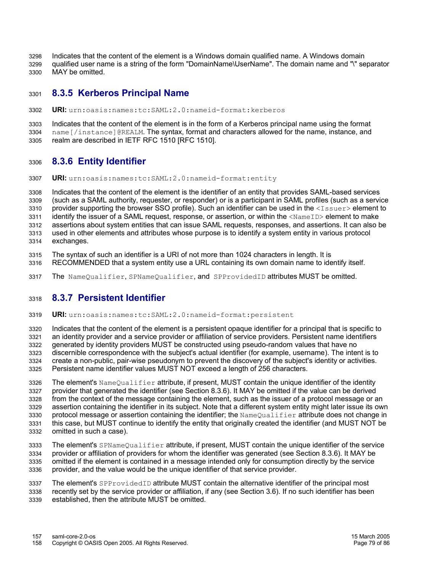Indicates that the content of the element is a Windows domain qualified name. A Windows domain qualified user name is a string of the form "DomainName\UserName". The domain name and "\" separator MAY be omitted. 3298 3299 3300

#### **8.3.5 Kerberos Principal Name** 3301

**URI:** urn:oasis:names:tc:SAML:2.0:nameid-format:kerberos 3302

Indicates that the content of the element is in the form of a Kerberos principal name using the format name [/instance]@REALM. The syntax, format and characters allowed for the name, instance, and realm are described in IETF RFC 1510 [RFC 1510]. 3303 3304 3305

### **8.3.6 Entity Identifier** 3306

**URI:** urn:oasis:names:tc:SAML:2.0:nameid-format:entity 3307

Indicates that the content of the element is the identifier of an entity that provides SAML-based services (such as a SAML authority, requester, or responder) or is a participant in SAML profiles (such as a service provider supporting the browser SSO profile). Such an identifier can be used in the <Issuer> element to identify the issuer of a SAML request, response, or assertion, or within the <NameID> element to make assertions about system entities that can issue SAML requests, responses, and assertions. It can also be used in other elements and attributes whose purpose is to identify a system entity in various protocol exchanges. 3308 3309 3310 3311 3312 3313 3314

- The syntax of such an identifier is a URI of not more than 1024 characters in length. It is 3315
- RECOMMENDED that a system entity use a URL containing its own domain name to identify itself. 3316
- The NameQualifier, SPNameQualifier, and SPProvidedID attributes MUST be omitted. 3317

#### **8.3.7 Persistent Identifier** 3318

**URI:** urn:oasis:names:tc:SAML:2.0:nameid-format:persistent 3319

Indicates that the content of the element is a persistent opaque identifier for a principal that is specific to 3320

an identity provider and a service provider or affiliation of service providers. Persistent name identifiers generated by identity providers MUST be constructed using pseudo-random values that have no 3321 3322

discernible correspondence with the subject's actual identifier (for example, username). The intent is to 3323

create a non-public, pair-wise pseudonym to prevent the discovery of the subject's identity or activities. 3324

Persistent name identifier values MUST NOT exceed a length of 256 characters. 3325

The element's NameQualifier attribute, if present, MUST contain the unique identifier of the identity provider that generated the identifier (see Section 8.3.6). It MAY be omitted if the value can be derived from the context of the message containing the element, such as the issuer of a protocol message or an assertion containing the identifier in its subject. Note that a different system entity might later issue its own protocol message or assertion containing the identifier; the NameQualifier attribute does not change in this case, but MUST continue to identify the entity that originally created the identifier (and MUST NOT be omitted in such a case). 3326 3327 3328 3329 3330 3331 3332

The element's SPNameQualifier attribute, if present, MUST contain the unique identifier of the service provider or affiliation of providers for whom the identifier was generated (see Section 8.3.6). It MAY be omitted if the element is contained in a message intended only for consumption directly by the service provider, and the value would be the unique identifier of that service provider. 3333 3334 3335 3336

The element's SPProvidedID attribute MUST contain the alternative identifier of the principal most recently set by the service provider or affiliation, if any (see Section 3.6). If no such identifier has been established, then the attribute MUST be omitted. 3337 3338 3339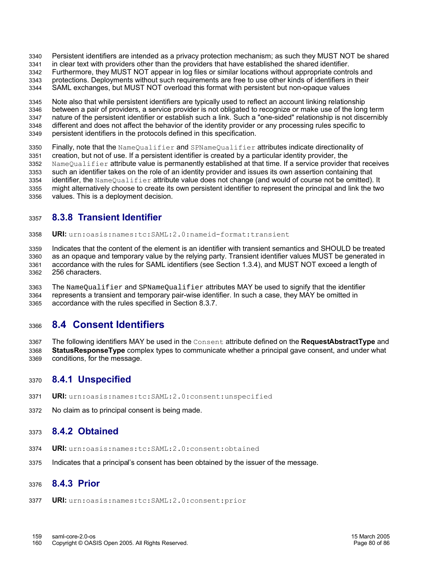Persistent identifiers are intended as a privacy protection mechanism; as such they MUST NOT be shared 3340

in clear text with providers other than the providers that have established the shared identifier. 3341

Furthermore, they MUST NOT appear in log files or similar locations without appropriate controls and 3342

protections. Deployments without such requirements are free to use other kinds of identifiers in their 3343

SAML exchanges, but MUST NOT overload this format with persistent but non-opaque values 3344

Note also that while persistent identifiers are typically used to reflect an account linking relationship between a pair of providers, a service provider is not obligated to recognize or make use of the long term nature of the persistent identifier or establish such a link. Such a "one-sided" relationship is not discernibly different and does not affect the behavior of the identity provider or any processing rules specific to persistent identifiers in the protocols defined in this specification. 3345 3346 3347 3348 3349

Finally, note that the NameQualifier and SPNameQualifier attributes indicate directionality of creation, but not of use. If a persistent identifier is created by a particular identity provider, the NameQualifier attribute value is permanently established at that time. If a service provider that receives such an identifier takes on the role of an identity provider and issues its own assertion containing that identifier, the NameQualifier attribute value does not change (and would of course not be omitted). It might alternatively choose to create its own persistent identifier to represent the principal and link the two values. This is a deployment decision. 3350 3351 3352 3353 3354 3355 3356

## **8.3.8 Transient Identifier** 3357

**URI:** urn:oasis:names:tc:SAML:2.0:nameid-format:transient 3358

Indicates that the content of the element is an identifier with transient semantics and SHOULD be treated as an opaque and temporary value by the relying party. Transient identifier values MUST be generated in accordance with the rules for SAML identifiers (see Section 1.3.4), and MUST NOT exceed a length of 256 characters. 3359 3360 3361 3362

The NameQualifier and SPNameQualifier attributes MAY be used to signify that the identifier represents a transient and temporary pair-wise identifier. In such a case, they MAY be omitted in accordance with the rules specified in Section 8.3.7. 3363 3364 3365

## **8.4 Consent Identifiers** 3366

The following identifiers MAY be used in the Consent attribute defined on the **RequestAbstractType** and **StatusResponseType** complex types to communicate whether a principal gave consent, and under what conditions, for the message. 3367 3368 3369

#### **8.4.1 Unspecified** 3370

- **URI:** urn:oasis:names:tc:SAML:2.0:consent:unspecified 3371
- No claim as to principal consent is being made. 3372

#### **8.4.2 Obtained** 3373

- **URI:** urn:oasis:names:tc:SAML:2.0:consent:obtained 3374
- Indicates that a principal's consent has been obtained by the issuer of the message. 3375

#### **8.4.3 Prior** 3376

**URI:** urn:oasis:names:tc:SAML:2.0:consent:prior 3377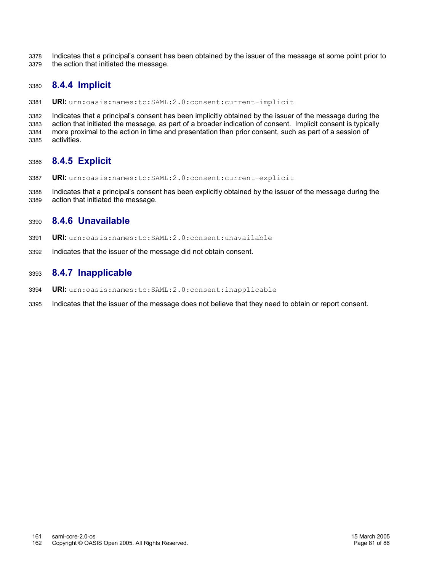Indicates that a principal's consent has been obtained by the issuer of the message at some point prior to the action that initiated the message. 3378 3379

### **8.4.4 Implicit** 3380

**URI:** urn:oasis:names:tc:SAML:2.0:consent:current-implicit 3381

Indicates that a principal's consent has been implicitly obtained by the issuer of the message during the action that initiated the message, as part of a broader indication of consent. Implicit consent is typically more proximal to the action in time and presentation than prior consent, such as part of a session of activities. 3382 3383 3384 3385

### **8.4.5 Explicit** 3386

**URI:** urn:oasis:names:tc:SAML:2.0:consent:current-explicit 3387

Indicates that a principal's consent has been explicitly obtained by the issuer of the message during the action that initiated the message. 3388 3389

### **8.4.6 Unavailable** 3390

- **URI:** urn:oasis:names:tc:SAML:2.0:consent:unavailable 3391
- Indicates that the issuer of the message did not obtain consent. 3392

### **8.4.7 Inapplicable** 3393

- **URI:** urn:oasis:names:tc:SAML:2.0:consent:inapplicable 3394
- Indicates that the issuer of the message does not believe that they need to obtain or report consent. 3395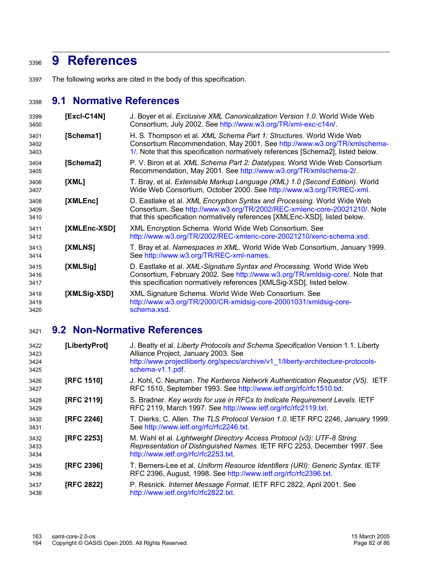## **9 References** 3396

The following works are cited in the body of this specification. 3397

## **9.1 Normative References** 3398

| 3399<br>3400         | [Excl-C14N]  | J. Boyer et al. Exclusive XML Canonicalization Version 1.0. World Wide Web<br>Consortium, July 2002. See http://www.w3.org/TR/xml-exc-c14n/.                                                                                        |
|----------------------|--------------|-------------------------------------------------------------------------------------------------------------------------------------------------------------------------------------------------------------------------------------|
| 3401<br>3402<br>3403 | [Schema1]    | H. S. Thompson et al. XML Schema Part 1: Structures. World Wide Web<br>Consortium Recommendation, May 2001. See http://www.w3.org/TR/xmlschema-<br>1/. Note that this specification normatively references [Schema2], listed below. |
| 3404<br>3405         | [Schema2]    | P. V. Biron et al. XML Schema Part 2: Datatypes. World Wide Web Consortium<br>Recommendation, May 2001. See http://www.w3.org/TR/xmlschema-2/.                                                                                      |
| 3406<br>3407         | [XML]        | T. Bray, et al. Extensible Markup Language (XML) 1.0 (Second Edition). World<br>Wide Web Consortium, October 2000. See http://www.w3.org/TR/REC-xml.                                                                                |
| 3408<br>3409<br>3410 | [XMLEnc]     | D. Eastlake et al. XML Encryption Syntax and Processing. World Wide Web<br>Consortium. See http://www.w3.org/TR/2002/REC-xmlenc-core-20021210/. Note<br>that this specification normatively references [XMLEnc-XSD], listed below.  |
| 3411<br>3412         | [XMLEnc-XSD] | XML Encryption Schema. World Wide Web Consortium. See<br>http://www.w3.org/TR/2002/REC-xmlenc-core-20021210/xenc-schema.xsd.                                                                                                        |
| 3413<br>3414         | [XMLNS]      | T. Bray et al. Namespaces in XML. World Wide Web Consortium, January 1999.<br>See http://www.w3.org/TR/REC-xml-names.                                                                                                               |
| 3415<br>3416<br>3417 | [XMLSig]     | D. Eastlake et al. XML-Signature Syntax and Processing. World Wide Web<br>Consortium, February 2002. See http://www.w3.org/TR/xmldsig-core/. Note that<br>this specification normatively references [XMLSig-XSD], listed below.     |
| 3418<br>3419<br>3420 | [XMLSig-XSD] | XML Signature Schema. World Wide Web Consortium. See<br>http://www.w3.org/TR/2000/CR-xmldsig-core-20001031/xmldsig-core-<br>schema.xsd.                                                                                             |

## **9.2 Non-Normative References** 3421

| 3422<br>3423<br>3424<br>3425 | [LibertyProt]     | J. Beatty et al. Liberty Protocols and Schema Specification Version 1.1. Liberty<br>Alliance Project, January 2003. See<br>http://www.projectliberty.org/specs/archive/v1_1/liberty-architecture-protocols-<br>schema-v1.1.pdf. |
|------------------------------|-------------------|---------------------------------------------------------------------------------------------------------------------------------------------------------------------------------------------------------------------------------|
| 3426<br>3427                 | <b>[RFC 1510]</b> | J. Kohl, C. Neuman. The Kerberos Network Authentication Requestor (V5). IETF<br>RFC 1510, September 1993. See http://www.ietf.org/rfc/rfc1510.txt.                                                                              |
| 3428<br>3429                 | <b>[RFC 2119]</b> | S. Bradner. Key words for use in RFCs to Indicate Requirement Levels. IETF<br>RFC 2119, March 1997. See http://www.ietf.org/rfc/rfc2119.txt.                                                                                    |
| 3430<br>3431                 | [RFC 2246]        | T. Dierks, C. Allen. The TLS Protocol Version 1.0. IETF RFC 2246, January 1999.<br>See http://www.ietf.org/rfc/rfc2246.txt.                                                                                                     |
| 3432<br>3433<br>3434         | <b>[RFC 2253]</b> | M. Wahl et al. Lightweight Directory Access Protocol (v3): UTF-8 String<br>Representation of Distinguished Names. IETF RFC 2253, December 1997. See<br>http://www.ietf.org/rfc/rfc2253.txt                                      |
| 3435<br>3436                 | [RFC 2396]        | T. Berners-Lee et al. Uniform Resource Identifiers (URI): Generic Syntax. IETF<br>RFC 2396, August, 1998. See http://www.ietf.org/rfc/rfc2396.txt.                                                                              |
| 3437<br>3438                 | <b>[RFC 2822]</b> | P. Resnick. Internet Message Format. IETF RFC 2822, April 2001. See<br>http://www.ietf.org/rfc/rfc2822.txt.                                                                                                                     |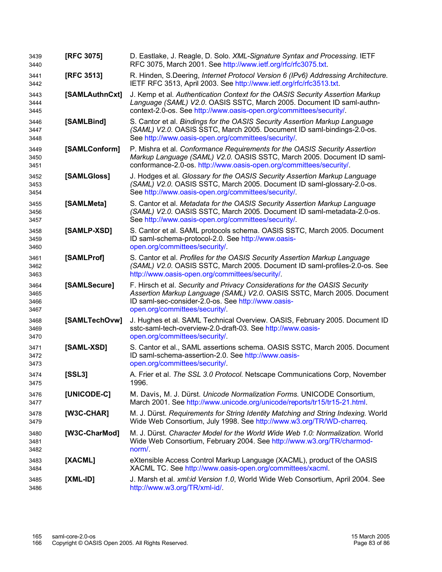| 3439<br>3440                 | [RFC 3075]     | D. Eastlake, J. Reagle, D. Solo. XML-Signature Syntax and Processing. IETF<br>RFC 3075, March 2001. See http://www.ietf.org/rfc/rfc3075.txt.                                                                                                   |
|------------------------------|----------------|------------------------------------------------------------------------------------------------------------------------------------------------------------------------------------------------------------------------------------------------|
| 3441<br>3442                 | [RFC 3513]     | R. Hinden, S.Deering, Internet Protocol Version 6 (IPv6) Addressing Architecture.<br>IETF RFC 3513, April 2003. See http://www.ietf.org/rfc/rfc3513.txt.                                                                                       |
| 3443<br>3444<br>3445         | [SAMLAuthnCxt] | J. Kemp et al. Authentication Context for the OASIS Security Assertion Markup<br>Language (SAML) V2.0. OASIS SSTC, March 2005. Document ID saml-authn-<br>context-2.0-os. See http://www.oasis-open.org/committees/security/.                  |
| 3446<br>3447<br>3448         | [SAMLBind]     | S. Cantor et al. Bindings for the OASIS Security Assertion Markup Language<br>(SAML) V2.0. OASIS SSTC, March 2005. Document ID saml-bindings-2.0-os.<br>See http://www.oasis-open.org/committees/security/.                                    |
| 3449<br>3450<br>3451         | [SAMLConform]  | P. Mishra et al. Conformance Requirements for the OASIS Security Assertion<br>Markup Language (SAML) V2.0. OASIS SSTC, March 2005. Document ID saml-<br>conformance-2.0-os. http://www.oasis-open.org/committees/security/.                    |
| 3452<br>3453<br>3454         | [SAMLGloss]    | J. Hodges et al. Glossary for the OASIS Security Assertion Markup Language<br>(SAML) V2.0. OASIS SSTC, March 2005. Document ID saml-glossary-2.0-os.<br>See http://www.oasis-open.org/committees/security/.                                    |
| 3455<br>3456<br>3457         | [SAMLMeta]     | S. Cantor et al. Metadata for the OASIS Security Assertion Markup Language<br>(SAML) V2.0. OASIS SSTC, March 2005. Document ID saml-metadata-2.0-os.<br>See http://www.oasis-open.org/committees/security/.                                    |
| 3458<br>3459<br>3460         | [SAMLP-XSD]    | S. Cantor et al. SAML protocols schema. OASIS SSTC, March 2005. Document<br>ID saml-schema-protocol-2.0. See http://www.oasis-<br>open.org/committees/security/.                                                                               |
| 3461<br>3462<br>3463         | [SAMLProf]     | S. Cantor et al. Profiles for the OASIS Security Assertion Markup Language<br>(SAML) V2.0. OASIS SSTC, March 2005. Document ID saml-profiles-2.0-os. See<br>http://www.oasis-open.org/committees/security/.                                    |
| 3464<br>3465<br>3466<br>3467 | [SAMLSecure]   | F. Hirsch et al. Security and Privacy Considerations for the OASIS Security<br>Assertion Markup Language (SAML) V2.0. OASIS SSTC, March 2005. Document<br>ID saml-sec-consider-2.0-os. See http://www.oasis-<br>open.org/committees/security/. |
| 3468<br>3469<br>3470         | [SAMLTechOvw]  | J. Hughes et al. SAML Technical Overview. OASIS, February 2005. Document ID<br>sstc-saml-tech-overview-2.0-draft-03. See http://www.oasis-<br>open.org/committees/security/.                                                                   |
| 3471<br>3472<br>3473         | [SAML-XSD]     | S. Cantor et al., SAML assertions schema. OASIS SSTC, March 2005. Document<br>ID saml-schema-assertion-2.0. See http://www.oasis-<br>open.org/committees/security/.                                                                            |
| 3474<br>3475                 | [SSL3]         | A. Frier et al. The SSL 3.0 Protocol. Netscape Communications Corp, November<br>1996.                                                                                                                                                          |
| 3476<br>3477                 | [UNICODE-C]    | M. Davis, M. J. Dürst. Unicode Normalization Forms. UNICODE Consortium,<br>March 2001. See http://www.unicode.org/unicode/reports/tr15/tr15-21.html.                                                                                           |
| 3478<br>3479                 | [W3C-CHAR]     | M. J. Dürst. Requirements for String Identity Matching and String Indexing. World<br>Wide Web Consortium, July 1998. See http://www.w3.org/TR/WD-charreg.                                                                                      |
| 3480<br>3481<br>3482         | [W3C-CharMod]  | M. J. Dürst. Character Model for the World Wide Web 1.0: Normalization. World<br>Wide Web Consortium, February 2004. See http://www.w3.org/TR/charmod-<br>norm/                                                                                |
| 3483<br>3484                 | [XACML]        | eXtensible Access Control Markup Language (XACML), product of the OASIS<br>XACML TC. See http://www.oasis-open.org/committees/xacml.                                                                                                           |
| 3485<br>3486                 | $[XML-ID]$     | J. Marsh et al. xml:id Version 1.0, World Wide Web Consortium, April 2004. See<br>http://www.w3.org/TR/xml-id/                                                                                                                                 |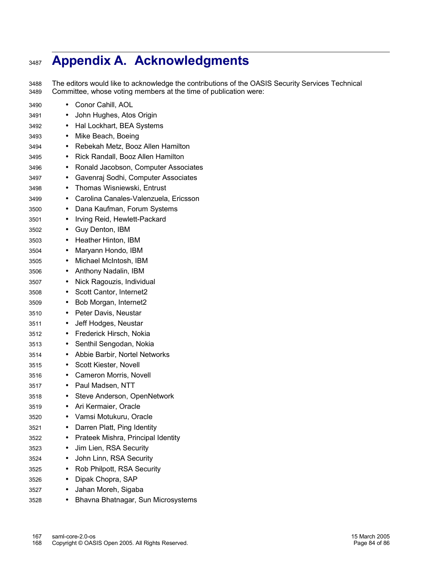# **Appendix A. Acknowledgments** 3487

• Conor Cahill, AOL

3490

The editors would like to acknowledge the contributions of the OASIS Security Services Technical Committee, whose voting members at the time of publication were: 3488 3489

- John Hughes, Atos Origin • Hal Lockhart, BEA Systems • Mike Beach, Boeing • Rebekah Metz, Booz Allen Hamilton • Rick Randall, Booz Allen Hamilton • Ronald Jacobson, Computer Associates • Gavenraj Sodhi, Computer Associates • Thomas Wisniewski, Entrust • Carolina Canales-Valenzuela, Ericsson • Dana Kaufman, Forum Systems • Irving Reid, Hewlett-Packard • Guy Denton, IBM • Heather Hinton, IBM • Maryann Hondo, IBM • Michael McIntosh, IBM • Anthony Nadalin, IBM • Nick Ragouzis, Individual • Scott Cantor, Internet2 • Bob Morgan, Internet2 • Peter Davis, Neustar • Jeff Hodges, Neustar • Frederick Hirsch, Nokia • Senthil Sengodan, Nokia • Abbie Barbir, Nortel Networks • Scott Kiester, Novell • Cameron Morris, Novell • Paul Madsen, NTT • Steve Anderson, OpenNetwork • Ari Kermaier, Oracle • Vamsi Motukuru, Oracle • Darren Platt, Ping Identity • Prateek Mishra, Principal Identity • Jim Lien, RSA Security • John Linn, RSA Security • Rob Philpott, RSA Security • Dipak Chopra, SAP • Jahan Moreh, Sigaba 3491 3492 3493 3494 3495 3496 3497 3498 3499 3500 3501 3502 3503 3504 3505 3506 3507 3508 3509 3510 3511 3512 3513 3514 3515 3516 3517 3518 3519 3520 3521 3522 3523 3524 3525 3526 3527
- Bhavna Bhatnagar, Sun Microsystems 3528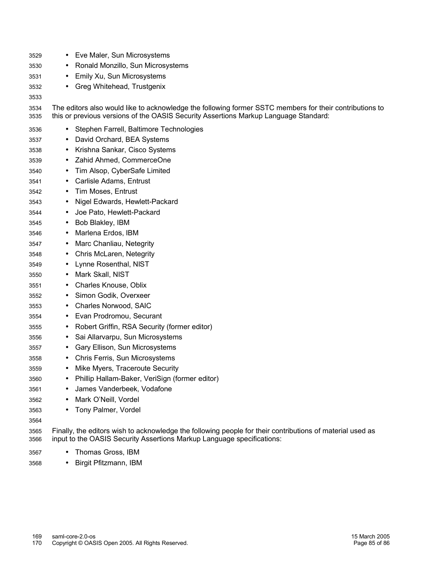- Eve Maler, Sun Microsystems 3529
- Ronald Monzillo, Sun Microsystems 3530
- Emily Xu, Sun Microsystems 3531
- Greg Whitehead, Trustgenix 3532
- 3533
- The editors also would like to acknowledge the following former SSTC members for their contributions to this or previous versions of the OASIS Security Assertions Markup Language Standard: 3534 3535
- Stephen Farrell, Baltimore Technologies • David Orchard, BEA Systems • Krishna Sankar, Cisco Systems • Zahid Ahmed, CommerceOne • Tim Alsop, CyberSafe Limited • Carlisle Adams, Entrust • Tim Moses, Entrust • Nigel Edwards, Hewlett-Packard • Joe Pato, Hewlett-Packard • Bob Blakley, IBM • Marlena Erdos, IBM • Marc Chanliau, Netegrity • Chris McLaren, Netegrity • Lynne Rosenthal, NIST • Mark Skall, NIST • Charles Knouse, Oblix • Simon Godik, Overxeer • Charles Norwood, SAIC • Evan Prodromou, Securant • Robert Griffin, RSA Security (former editor) • Sai Allarvarpu, Sun Microsystems • Gary Ellison, Sun Microsystems • Chris Ferris, Sun Microsystems • Mike Myers, Traceroute Security • Phillip Hallam-Baker, VeriSign (former editor) • James Vanderbeek, Vodafone • Mark O'Neill, Vordel • Tony Palmer, Vordel 3536 3537 3538 3539 3540 3541 3542 3543 3544 3545 3546 3547 3548 3549 3550 3551 3552 3553 3554 3555 3556 3557 3558 3559 3560 3561 3562 3563 3564
- Finally, the editors wish to acknowledge the following people for their contributions of material used as input to the OASIS Security Assertions Markup Language specifications: 3565 3566
- Thomas Gross, IBM 3567
- Birgit Pfitzmann, IBM 3568